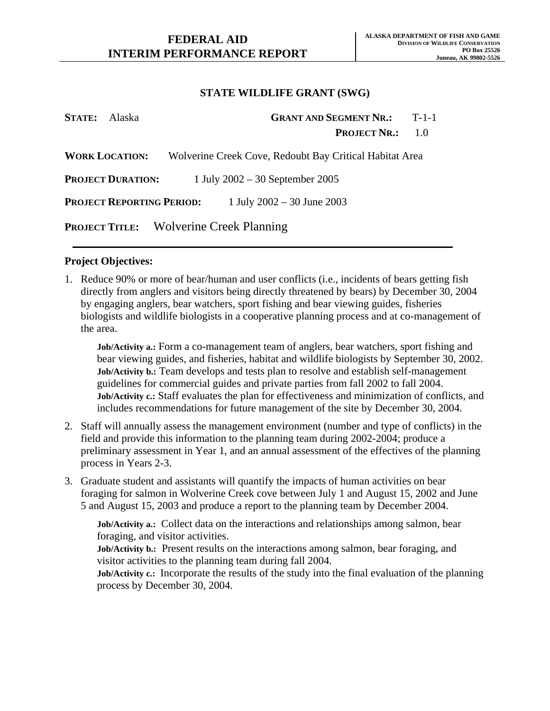| <b>STATE:</b> Alaska |                                  |                                                         | <b>GRANT AND SEGMENT NR.:</b> | $T-1-1$ |
|----------------------|----------------------------------|---------------------------------------------------------|-------------------------------|---------|
|                      |                                  |                                                         | <b>PROJECT NR.:</b>           | 1.0     |
|                      | <b>WORK LOCATION:</b>            | Wolverine Creek Cove, Redoubt Bay Critical Habitat Area |                               |         |
|                      | <b>PROJECT DURATION:</b>         | 1 July $2002 - 30$ September 2005                       |                               |         |
|                      | <b>PROJECT REPORTING PERIOD:</b> | 1 July $2002 - 30$ June $2003$                          |                               |         |
|                      |                                  | <b>PROJECT TITLE:</b> Wolverine Creek Planning          |                               |         |

#### **Project Objectives:**

1. Reduce 90% or more of bear/human and user conflicts (i.e., incidents of bears getting fish directly from anglers and visitors being directly threatened by bears) by December 30, 2004 by engaging anglers, bear watchers, sport fishing and bear viewing guides, fisheries biologists and wildlife biologists in a cooperative planning process and at co-management of the area.

**Job/Activity a.:** Form a co-management team of anglers, bear watchers, sport fishing and bear viewing guides, and fisheries, habitat and wildlife biologists by September 30, 2002. **Job/Activity b.:** Team develops and tests plan to resolve and establish self-management guidelines for commercial guides and private parties from fall 2002 to fall 2004. **Job/Activity c.:** Staff evaluates the plan for effectiveness and minimization of conflicts, and includes recommendations for future management of the site by December 30, 2004.

- 2. Staff will annually assess the management environment (number and type of conflicts) in the field and provide this information to the planning team during 2002-2004; produce a preliminary assessment in Year 1, and an annual assessment of the effectives of the planning process in Years 2-3.
- 3. Graduate student and assistants will quantify the impacts of human activities on bear foraging for salmon in Wolverine Creek cove between July 1 and August 15, 2002 and June 5 and August 15, 2003 and produce a report to the planning team by December 2004.

**Job/Activity a.:** Collect data on the interactions and relationships among salmon, bear foraging, and visitor activities.

**Job/Activity b.:** Present results on the interactions among salmon, bear foraging, and visitor activities to the planning team during fall 2004.

**Job/Activity c.:** Incorporate the results of the study into the final evaluation of the planning process by December 30, 2004.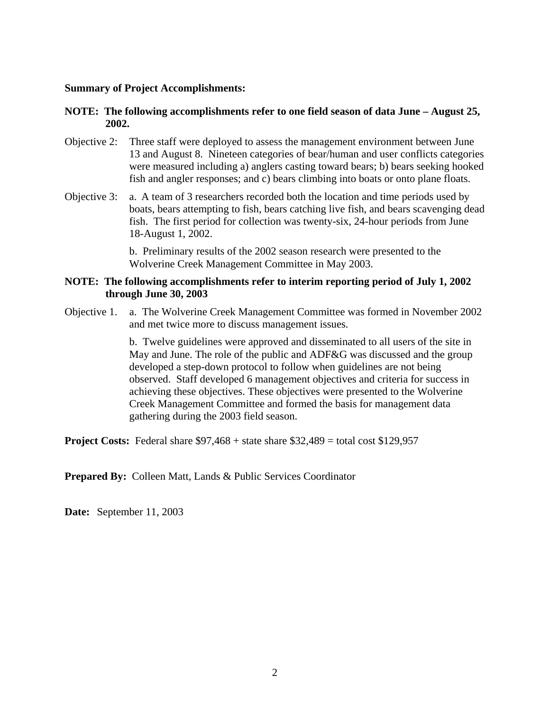#### **Summary of Project Accomplishments:**

### **NOTE: The following accomplishments refer to one field season of data June – August 25, 2002.**

- Objective 2: Three staff were deployed to assess the management environment between June 13 and August 8. Nineteen categories of bear/human and user conflicts categories were measured including a) anglers casting toward bears; b) bears seeking hooked fish and angler responses; and c) bears climbing into boats or onto plane floats.
- Objective 3: a. A team of 3 researchers recorded both the location and time periods used by boats, bears attempting to fish, bears catching live fish, and bears scavenging dead fish. The first period for collection was twenty-six, 24-hour periods from June 18-August 1, 2002.

b. Preliminary results of the 2002 season research were presented to the Wolverine Creek Management Committee in May 2003.

#### **NOTE: The following accomplishments refer to interim reporting period of July 1, 2002 through June 30, 2003**

Objective 1. a. The Wolverine Creek Management Committee was formed in November 2002 and met twice more to discuss management issues.

> b. Twelve guidelines were approved and disseminated to all users of the site in May and June. The role of the public and ADF&G was discussed and the group developed a step-down protocol to follow when guidelines are not being observed. Staff developed 6 management objectives and criteria for success in achieving these objectives. These objectives were presented to the Wolverine Creek Management Committee and formed the basis for management data gathering during the 2003 field season.

**Project Costs:** Federal share \$97,468 + state share \$32,489 = total cost \$129,957

**Prepared By: Colleen Matt, Lands & Public Services Coordinator** 

**Date:** September 11, 2003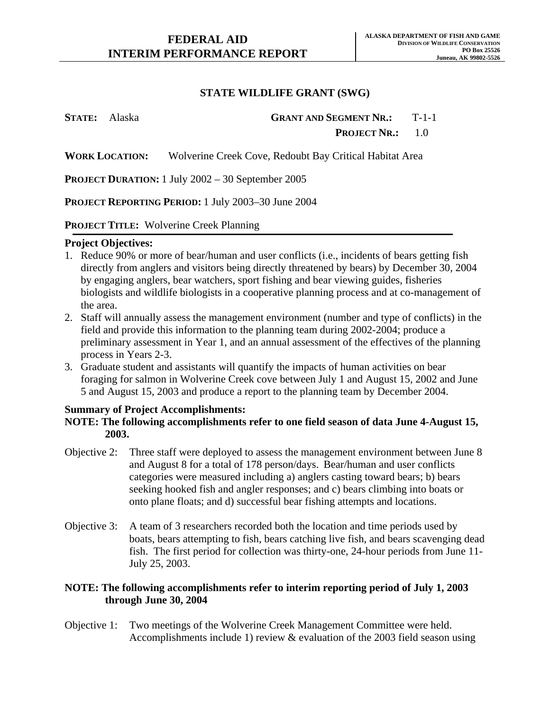**STATE:** Alaska **GRANT AND SEGMENT NR.:** T-1-1 **PROJECT NR.:** 1.0

**WORK LOCATION:** Wolverine Creek Cove, Redoubt Bay Critical Habitat Area

**PROJECT DURATION:** 1 July 2002 – 30 September 2005

**PROJECT REPORTING PERIOD:** 1 July 2003–30 June 2004

#### **PROJECT TITLE:** Wolverine Creek Planning

#### **Project Objectives:**

- 1. Reduce 90% or more of bear/human and user conflicts (i.e., incidents of bears getting fish directly from anglers and visitors being directly threatened by bears) by December 30, 2004 by engaging anglers, bear watchers, sport fishing and bear viewing guides, fisheries biologists and wildlife biologists in a cooperative planning process and at co-management of the area.
- 2. Staff will annually assess the management environment (number and type of conflicts) in the field and provide this information to the planning team during 2002-2004; produce a preliminary assessment in Year 1, and an annual assessment of the effectives of the planning process in Years 2-3.
- 3. Graduate student and assistants will quantify the impacts of human activities on bear foraging for salmon in Wolverine Creek cove between July 1 and August 15, 2002 and June 5 and August 15, 2003 and produce a report to the planning team by December 2004.

### **Summary of Project Accomplishments:**

## **NOTE: The following accomplishments refer to one field season of data June 4-August 15, 2003.**

- Objective 2: Three staff were deployed to assess the management environment between June 8 and August 8 for a total of 178 person/days. Bear/human and user conflicts categories were measured including a) anglers casting toward bears; b) bears seeking hooked fish and angler responses; and c) bears climbing into boats or onto plane floats; and d) successful bear fishing attempts and locations.
- Objective 3: A team of 3 researchers recorded both the location and time periods used by boats, bears attempting to fish, bears catching live fish, and bears scavenging dead fish. The first period for collection was thirty-one, 24-hour periods from June 11- July 25, 2003.

## **NOTE: The following accomplishments refer to interim reporting period of July 1, 2003 through June 30, 2004**

Objective 1: Two meetings of the Wolverine Creek Management Committee were held. Accomplishments include 1) review & evaluation of the 2003 field season using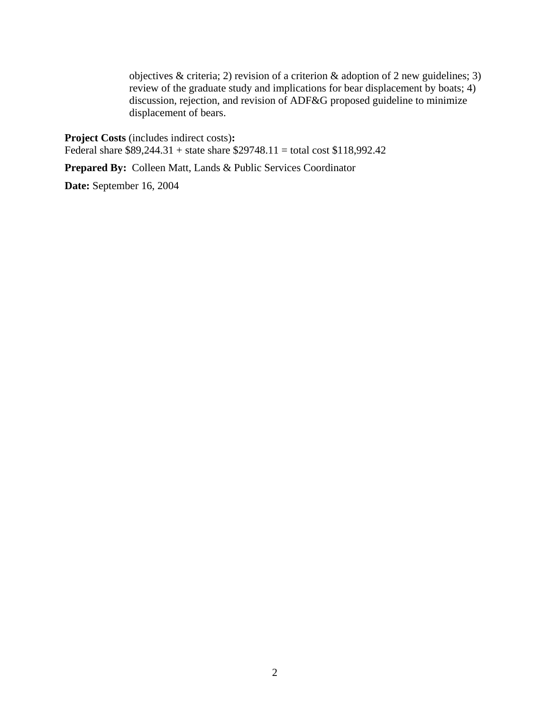objectives & criteria; 2) revision of a criterion & adoption of 2 new guidelines; 3) review of the graduate study and implications for bear displacement by boats; 4) discussion, rejection, and revision of ADF&G proposed guideline to minimize displacement of bears.

**Project Costs** (includes indirect costs)**:**  Federal share \$89,244.31 + state share \$29748.11 = total cost \$118,992.42

**Prepared By:** Colleen Matt, Lands & Public Services Coordinator

**Date:** September 16, 2004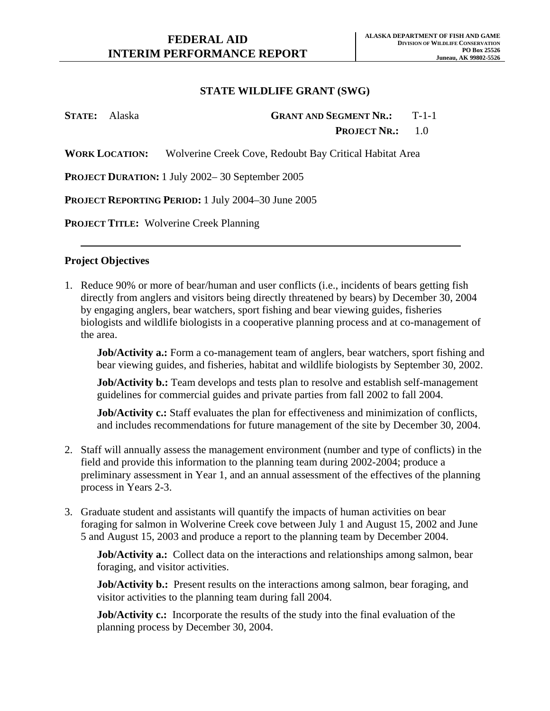**STATE:** Alaska **GRANT AND SEGMENT NR.:** T-1-1 **PROJECT NR.:** 1.0

**WORK LOCATION:** Wolverine Creek Cove, Redoubt Bay Critical Habitat Area

**PROJECT DURATION:** 1 July 2002– 30 September 2005

**PROJECT REPORTING PERIOD:** 1 July 2004–30 June 2005

**PROJECT TITLE:** Wolverine Creek Planning

### **Project Objectives**

1. Reduce 90% or more of bear/human and user conflicts (i.e., incidents of bears getting fish directly from anglers and visitors being directly threatened by bears) by December 30, 2004 by engaging anglers, bear watchers, sport fishing and bear viewing guides, fisheries biologists and wildlife biologists in a cooperative planning process and at co-management of the area.

**Job/Activity a.:** Form a co-management team of anglers, bear watchers, sport fishing and bear viewing guides, and fisheries, habitat and wildlife biologists by September 30, 2002.

**Job/Activity b.:** Team develops and tests plan to resolve and establish self-management guidelines for commercial guides and private parties from fall 2002 to fall 2004.

**Job/Activity c.:** Staff evaluates the plan for effectiveness and minimization of conflicts, and includes recommendations for future management of the site by December 30, 2004.

- 2. Staff will annually assess the management environment (number and type of conflicts) in the field and provide this information to the planning team during 2002-2004; produce a preliminary assessment in Year 1, and an annual assessment of the effectives of the planning process in Years 2-3.
- 3. Graduate student and assistants will quantify the impacts of human activities on bear foraging for salmon in Wolverine Creek cove between July 1 and August 15, 2002 and June 5 and August 15, 2003 and produce a report to the planning team by December 2004.

**Job/Activity a.:** Collect data on the interactions and relationships among salmon, bear foraging, and visitor activities.

**Job/Activity b.:** Present results on the interactions among salmon, bear foraging, and visitor activities to the planning team during fall 2004.

**Job/Activity c.:** Incorporate the results of the study into the final evaluation of the planning process by December 30, 2004.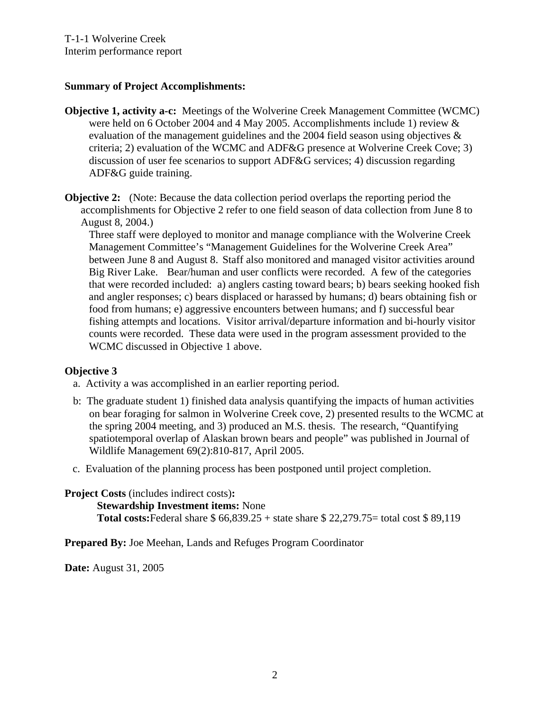## **Summary of Project Accomplishments:**

- **Objective 1, activity a-c:** Meetings of the Wolverine Creek Management Committee (WCMC) were held on 6 October 2004 and 4 May 2005. Accomplishments include 1) review & evaluation of the management guidelines and the 2004 field season using objectives & criteria; 2) evaluation of the WCMC and ADF&G presence at Wolverine Creek Cove; 3) discussion of user fee scenarios to support ADF&G services; 4) discussion regarding ADF&G guide training.
- **Objective 2:** (Note: Because the data collection period overlaps the reporting period the accomplishments for Objective 2 refer to one field season of data collection from June 8 to August 8, 2004.)

Three staff were deployed to monitor and manage compliance with the Wolverine Creek Management Committee's "Management Guidelines for the Wolverine Creek Area" between June 8 and August 8. Staff also monitored and managed visitor activities around Big River Lake. Bear/human and user conflicts were recorded. A few of the categories that were recorded included: a) anglers casting toward bears; b) bears seeking hooked fish and angler responses; c) bears displaced or harassed by humans; d) bears obtaining fish or food from humans; e) aggressive encounters between humans; and f) successful bear fishing attempts and locations. Visitor arrival/departure information and bi-hourly visitor counts were recorded. These data were used in the program assessment provided to the WCMC discussed in Objective 1 above.

### **Objective 3**

- a. Activity a was accomplished in an earlier reporting period.
- b: The graduate student 1) finished data analysis quantifying the impacts of human activities on bear foraging for salmon in Wolverine Creek cove, 2) presented results to the WCMC at the spring 2004 meeting, and 3) produced an M.S. thesis. The research, "Quantifying spatiotemporal overlap of Alaskan brown bears and people" was published in Journal of Wildlife Management 69(2):810-817, April 2005.
- c. Evaluation of the planning process has been postponed until project completion.

# **Project Costs** (includes indirect costs)**: Stewardship Investment items:** None **Total costs:**Federal share \$ 66,839.25 + state share \$ 22,279.75= total cost \$ 89,119

**Prepared By:** Joe Meehan, Lands and Refuges Program Coordinator

**Date:** August 31, 2005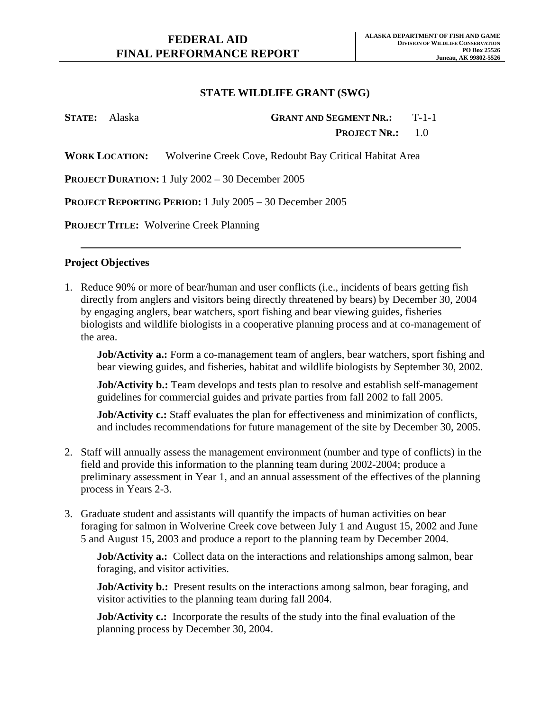| <b>STATE:</b> Alaska | <b>GRANT AND SEGMENT NR.: T-1-1</b>                                           |  |
|----------------------|-------------------------------------------------------------------------------|--|
|                      | <b>PROJECT NR.:</b> 1.0                                                       |  |
|                      | <b>WORK LOCATION:</b> Wolverine Creek Cove, Redoubt Bay Critical Habitat Area |  |
|                      | <b>PROJECT DURATION:</b> 1 July $2002 - 30$ December $2005$                   |  |
|                      | <b>PROJECT REPORTING PERIOD:</b> 1 July 2005 – 30 December 2005               |  |

**PROJECT TITLE:** Wolverine Creek Planning

### **Project Objectives**

1. Reduce 90% or more of bear/human and user conflicts (i.e., incidents of bears getting fish directly from anglers and visitors being directly threatened by bears) by December 30, 2004 by engaging anglers, bear watchers, sport fishing and bear viewing guides, fisheries biologists and wildlife biologists in a cooperative planning process and at co-management of the area.

**Job/Activity a.:** Form a co-management team of anglers, bear watchers, sport fishing and bear viewing guides, and fisheries, habitat and wildlife biologists by September 30, 2002.

**Job/Activity b.:** Team develops and tests plan to resolve and establish self-management guidelines for commercial guides and private parties from fall 2002 to fall 2005.

**Job/Activity c.:** Staff evaluates the plan for effectiveness and minimization of conflicts, and includes recommendations for future management of the site by December 30, 2005.

- 2. Staff will annually assess the management environment (number and type of conflicts) in the field and provide this information to the planning team during 2002-2004; produce a preliminary assessment in Year 1, and an annual assessment of the effectives of the planning process in Years 2-3.
- 3. Graduate student and assistants will quantify the impacts of human activities on bear foraging for salmon in Wolverine Creek cove between July 1 and August 15, 2002 and June 5 and August 15, 2003 and produce a report to the planning team by December 2004.

**Job/Activity a.:** Collect data on the interactions and relationships among salmon, bear foraging, and visitor activities.

**Job/Activity b.:** Present results on the interactions among salmon, bear foraging, and visitor activities to the planning team during fall 2004.

**Job/Activity c.:** Incorporate the results of the study into the final evaluation of the planning process by December 30, 2004.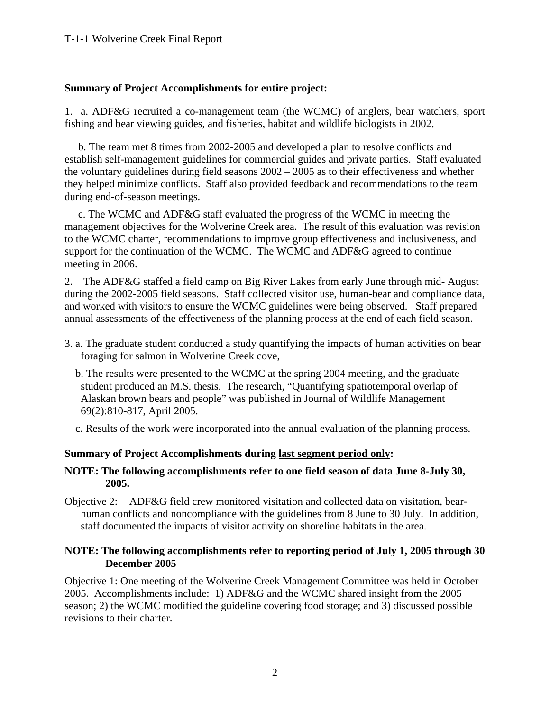## **Summary of Project Accomplishments for entire project:**

1. a. ADF&G recruited a co-management team (the WCMC) of anglers, bear watchers, sport fishing and bear viewing guides, and fisheries, habitat and wildlife biologists in 2002.

 b. The team met 8 times from 2002-2005 and developed a plan to resolve conflicts and establish self-management guidelines for commercial guides and private parties. Staff evaluated the voluntary guidelines during field seasons 2002 – 2005 as to their effectiveness and whether they helped minimize conflicts. Staff also provided feedback and recommendations to the team during end-of-season meetings.

 c. The WCMC and ADF&G staff evaluated the progress of the WCMC in meeting the management objectives for the Wolverine Creek area. The result of this evaluation was revision to the WCMC charter, recommendations to improve group effectiveness and inclusiveness, and support for the continuation of the WCMC. The WCMC and ADF&G agreed to continue meeting in 2006.

2. The ADF&G staffed a field camp on Big River Lakes from early June through mid- August during the 2002-2005 field seasons. Staff collected visitor use, human-bear and compliance data, and worked with visitors to ensure the WCMC guidelines were being observed. Staff prepared annual assessments of the effectiveness of the planning process at the end of each field season.

- 3. a. The graduate student conducted a study quantifying the impacts of human activities on bear foraging for salmon in Wolverine Creek cove,
	- b. The results were presented to the WCMC at the spring 2004 meeting, and the graduate student produced an M.S. thesis. The research, "Quantifying spatiotemporal overlap of Alaskan brown bears and people" was published in Journal of Wildlife Management 69(2):810-817, April 2005.

c. Results of the work were incorporated into the annual evaluation of the planning process.

## **Summary of Project Accomplishments during last segment period only:**

## **NOTE: The following accomplishments refer to one field season of data June 8-July 30, 2005.**

Objective 2: ADF&G field crew monitored visitation and collected data on visitation, bearhuman conflicts and noncompliance with the guidelines from 8 June to 30 July. In addition, staff documented the impacts of visitor activity on shoreline habitats in the area.

## **NOTE: The following accomplishments refer to reporting period of July 1, 2005 through 30 December 2005**

Objective 1: One meeting of the Wolverine Creek Management Committee was held in October 2005. Accomplishments include: 1) ADF&G and the WCMC shared insight from the 2005 season; 2) the WCMC modified the guideline covering food storage; and 3) discussed possible revisions to their charter.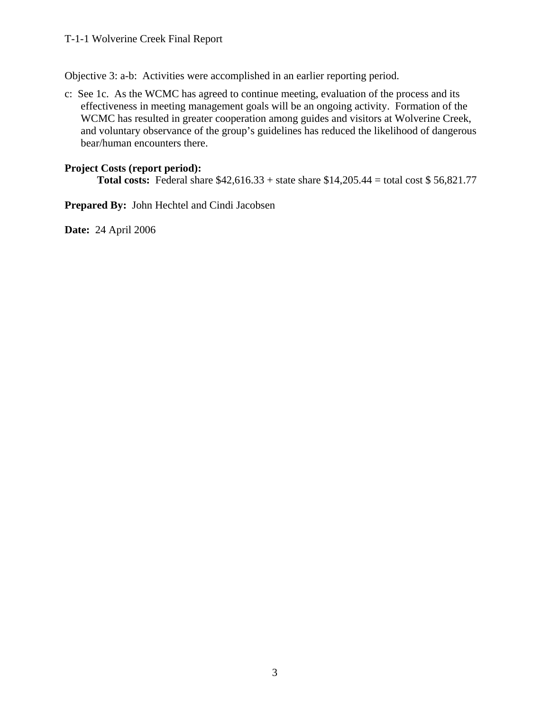### T-1-1 Wolverine Creek Final Report

Objective 3: a-b: Activities were accomplished in an earlier reporting period.

c: See 1c. As the WCMC has agreed to continue meeting, evaluation of the process and its effectiveness in meeting management goals will be an ongoing activity. Formation of the WCMC has resulted in greater cooperation among guides and visitors at Wolverine Creek, and voluntary observance of the group's guidelines has reduced the likelihood of dangerous bear/human encounters there.

## **Project Costs (report period):**

**Total costs:** Federal share \$42,616.33 + state share \$14,205.44 = total cost \$ 56,821.77

**Prepared By:** John Hechtel and Cindi Jacobsen

**Date:** 24 April 2006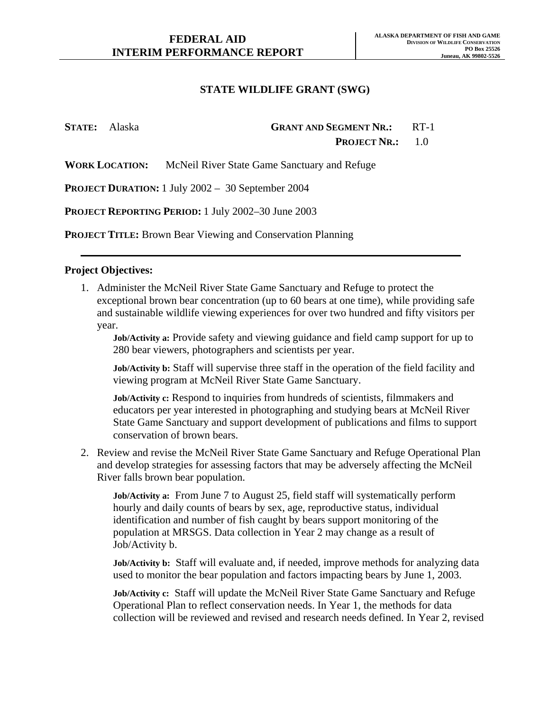| <b>STATE:</b> Alaska | <b>GRANT AND SEGMENT NR.:</b> RT-1 |  |
|----------------------|------------------------------------|--|
|                      | <b>PROJECT NR.:</b> $1.0$          |  |

**WORK LOCATION:** McNeil River State Game Sanctuary and Refuge

**PROJECT DURATION:** 1 July 2002 – 30 September 2004

**PROJECT REPORTING PERIOD:** 1 July 2002–30 June 2003

**PROJECT TITLE:** Brown Bear Viewing and Conservation Planning

#### **Project Objectives:**

1. Administer the McNeil River State Game Sanctuary and Refuge to protect the exceptional brown bear concentration (up to 60 bears at one time), while providing safe and sustainable wildlife viewing experiences for over two hundred and fifty visitors per year.

**Job/Activity a:** Provide safety and viewing guidance and field camp support for up to 280 bear viewers, photographers and scientists per year.

**Job/Activity b:** Staff will supervise three staff in the operation of the field facility and viewing program at McNeil River State Game Sanctuary.

**Job/Activity c:** Respond to inquiries from hundreds of scientists, filmmakers and educators per year interested in photographing and studying bears at McNeil River State Game Sanctuary and support development of publications and films to support conservation of brown bears.

2. Review and revise the McNeil River State Game Sanctuary and Refuge Operational Plan and develop strategies for assessing factors that may be adversely affecting the McNeil River falls brown bear population.

**Job/Activity a:** From June 7 to August 25, field staff will systematically perform hourly and daily counts of bears by sex, age, reproductive status, individual identification and number of fish caught by bears support monitoring of the population at MRSGS. Data collection in Year 2 may change as a result of Job/Activity b.

**Job/Activity b:** Staff will evaluate and, if needed, improve methods for analyzing data used to monitor the bear population and factors impacting bears by June 1, 2003.

**Job/Activity c:** Staff will update the McNeil River State Game Sanctuary and Refuge Operational Plan to reflect conservation needs. In Year 1, the methods for data collection will be reviewed and revised and research needs defined. In Year 2, revised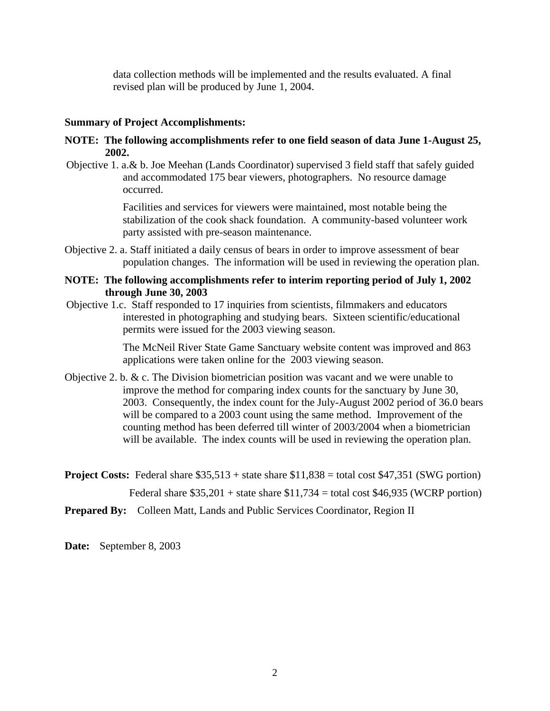data collection methods will be implemented and the results evaluated. A final revised plan will be produced by June 1, 2004.

#### **Summary of Project Accomplishments:**

#### **NOTE: The following accomplishments refer to one field season of data June 1-August 25, 2002.**

Objective 1. a.& b. Joe Meehan (Lands Coordinator) supervised 3 field staff that safely guided and accommodated 175 bear viewers, photographers. No resource damage occurred.

> Facilities and services for viewers were maintained, most notable being the stabilization of the cook shack foundation. A community-based volunteer work party assisted with pre-season maintenance.

Objective 2. a. Staff initiated a daily census of bears in order to improve assessment of bear population changes. The information will be used in reviewing the operation plan.

#### **NOTE: The following accomplishments refer to interim reporting period of July 1, 2002 through June 30, 2003**

Objective 1.c. Staff responded to 17 inquiries from scientists, filmmakers and educators interested in photographing and studying bears. Sixteen scientific/educational permits were issued for the 2003 viewing season.

> The McNeil River State Game Sanctuary website content was improved and 863 applications were taken online for the 2003 viewing season.

- Objective 2. b.  $\& c$ . The Division biometrician position was vacant and we were unable to improve the method for comparing index counts for the sanctuary by June 30, 2003. Consequently, the index count for the July-August 2002 period of 36.0 bears will be compared to a 2003 count using the same method. Improvement of the counting method has been deferred till winter of 2003/2004 when a biometrician will be available. The index counts will be used in reviewing the operation plan.
- **Project Costs:** Federal share \$35,513 + state share \$11,838 = total cost \$47,351 (SWG portion) Federal share  $$35,201 + state$  share  $$11,734 = total cost $46,935 (WCRP portion)$

**Prepared By:** Colleen Matt, Lands and Public Services Coordinator, Region II

**Date:** September 8, 2003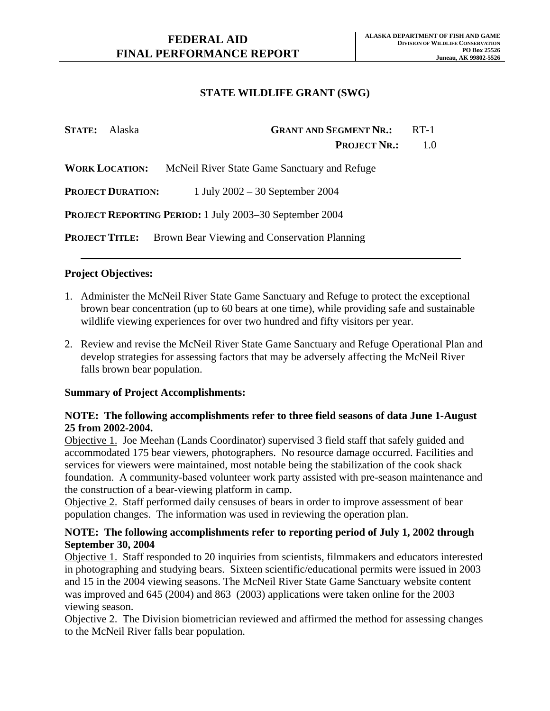| <b>STATE:</b> Alaska     | <b>GRANT AND SEGMENT NR.:</b>                                  | $RT-1$ |
|--------------------------|----------------------------------------------------------------|--------|
|                          | <b>PROJECT NR.:</b>                                            | 1.0    |
| <b>WORK LOCATION:</b>    | McNeil River State Game Sanctuary and Refuge                   |        |
| <b>PROJECT DURATION:</b> | 1 July $2002 - 30$ September 2004                              |        |
|                          | <b>PROJECT REPORTING PERIOD:</b> 1 July 2003-30 September 2004 |        |
| <b>PROJECT TITLE:</b>    | Brown Bear Viewing and Conservation Planning                   |        |

## **Project Objectives:**

- 1. Administer the McNeil River State Game Sanctuary and Refuge to protect the exceptional brown bear concentration (up to 60 bears at one time), while providing safe and sustainable wildlife viewing experiences for over two hundred and fifty visitors per year.
- 2. Review and revise the McNeil River State Game Sanctuary and Refuge Operational Plan and develop strategies for assessing factors that may be adversely affecting the McNeil River falls brown bear population.

### **Summary of Project Accomplishments:**

## **NOTE: The following accomplishments refer to three field seasons of data June 1-August 25 from 2002-2004.**

Objective 1. Joe Meehan (Lands Coordinator) supervised 3 field staff that safely guided and accommodated 175 bear viewers, photographers. No resource damage occurred. Facilities and services for viewers were maintained, most notable being the stabilization of the cook shack foundation. A community-based volunteer work party assisted with pre-season maintenance and the construction of a bear-viewing platform in camp.

Objective 2. Staff performed daily censuses of bears in order to improve assessment of bear population changes. The information was used in reviewing the operation plan.

## **NOTE: The following accomplishments refer to reporting period of July 1, 2002 through September 30, 2004**

Objective 1. Staff responded to 20 inquiries from scientists, filmmakers and educators interested in photographing and studying bears. Sixteen scientific/educational permits were issued in 2003 and 15 in the 2004 viewing seasons. The McNeil River State Game Sanctuary website content was improved and 645 (2004) and 863 (2003) applications were taken online for the 2003 viewing season.

Objective 2. The Division biometrician reviewed and affirmed the method for assessing changes to the McNeil River falls bear population.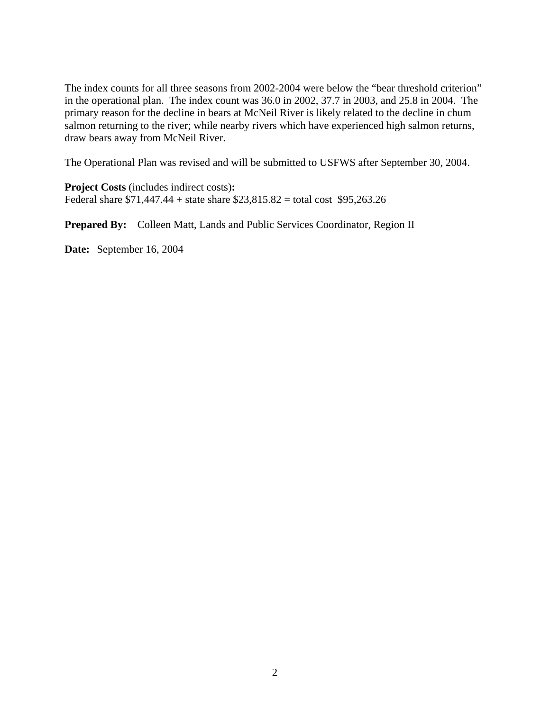The index counts for all three seasons from 2002-2004 were below the "bear threshold criterion" in the operational plan. The index count was 36.0 in 2002, 37.7 in 2003, and 25.8 in 2004. The primary reason for the decline in bears at McNeil River is likely related to the decline in chum salmon returning to the river; while nearby rivers which have experienced high salmon returns, draw bears away from McNeil River.

The Operational Plan was revised and will be submitted to USFWS after September 30, 2004.

**Project Costs** (includes indirect costs)**:**  Federal share \$71,447.44 + state share \$23,815.82 = total cost \$95,263.26

**Prepared By:** Colleen Matt, Lands and Public Services Coordinator, Region II

**Date:** September 16, 2004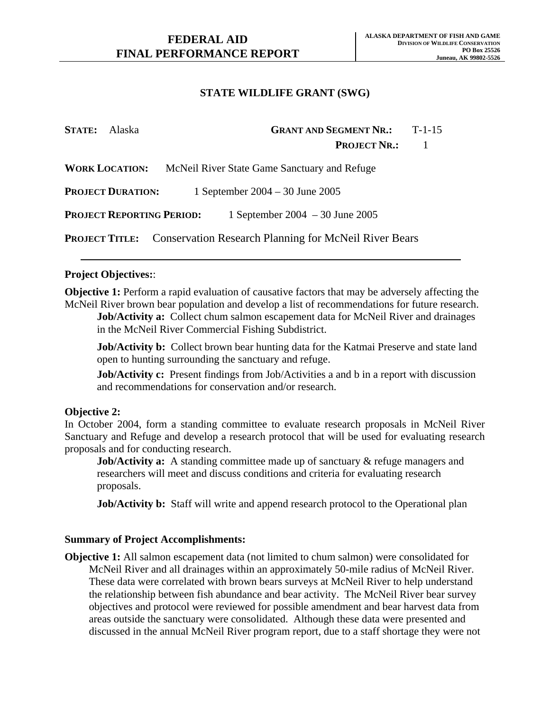| <b>STATE:</b> Alaska             | <b>GRANT AND SEGMENT NR.:</b><br>$T-1-15$                                   |
|----------------------------------|-----------------------------------------------------------------------------|
|                                  | <b>PROJECT NR.:</b>                                                         |
| <b>WORK LOCATION:</b>            | McNeil River State Game Sanctuary and Refuge                                |
| <b>PROJECT DURATION:</b>         | 1 September 2004 – 30 June 2005                                             |
| <b>PROJECT REPORTING PERIOD:</b> | 1 September 2004 – 30 June 2005                                             |
|                                  | <b>PROJECT TITLE:</b> Conservation Research Planning for McNeil River Bears |

## **Project Objectives:**:

**Objective 1:** Perform a rapid evaluation of causative factors that may be adversely affecting the McNeil River brown bear population and develop a list of recommendations for future research.

**Job/Activity a:** Collect chum salmon escapement data for McNeil River and drainages in the McNeil River Commercial Fishing Subdistrict.

**Job/Activity b:** Collect brown bear hunting data for the Katmai Preserve and state land open to hunting surrounding the sanctuary and refuge.

**Job/Activity c:** Present findings from Job/Activities a and b in a report with discussion and recommendations for conservation and/or research.

### **Objective 2:**

In October 2004, form a standing committee to evaluate research proposals in McNeil River Sanctuary and Refuge and develop a research protocol that will be used for evaluating research proposals and for conducting research.

**Job/Activity a:** A standing committee made up of sanctuary & refuge managers and researchers will meet and discuss conditions and criteria for evaluating research proposals.

**Job/Activity b:** Staff will write and append research protocol to the Operational plan

### **Summary of Project Accomplishments:**

**Objective 1:** All salmon escapement data (not limited to chum salmon) were consolidated for McNeil River and all drainages within an approximately 50-mile radius of McNeil River. These data were correlated with brown bears surveys at McNeil River to help understand the relationship between fish abundance and bear activity. The McNeil River bear survey objectives and protocol were reviewed for possible amendment and bear harvest data from areas outside the sanctuary were consolidated. Although these data were presented and discussed in the annual McNeil River program report, due to a staff shortage they were not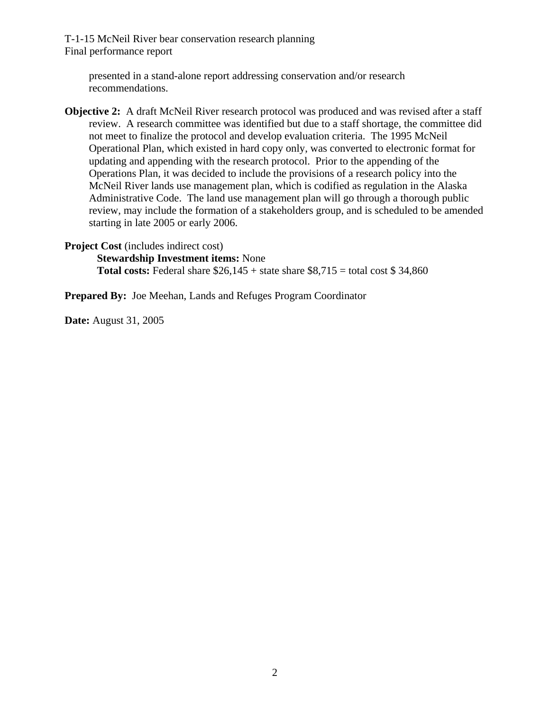T-1-15 McNeil River bear conservation research planning Final performance report

presented in a stand-alone report addressing conservation and/or research recommendations.

**Objective 2:** A draft McNeil River research protocol was produced and was revised after a staff review. A research committee was identified but due to a staff shortage, the committee did not meet to finalize the protocol and develop evaluation criteria. The 1995 McNeil Operational Plan, which existed in hard copy only, was converted to electronic format for updating and appending with the research protocol. Prior to the appending of the Operations Plan, it was decided to include the provisions of a research policy into the McNeil River lands use management plan, which is codified as regulation in the Alaska Administrative Code. The land use management plan will go through a thorough public review, may include the formation of a stakeholders group, and is scheduled to be amended starting in late 2005 or early 2006.

**Project Cost** (includes indirect cost)

**Stewardship Investment items:** None

**Total costs:** Federal share  $$26,145 +$  state share  $$8,715 =$  total cost  $$34,860$ 

**Prepared By:** Joe Meehan, Lands and Refuges Program Coordinator

**Date:** August 31, 2005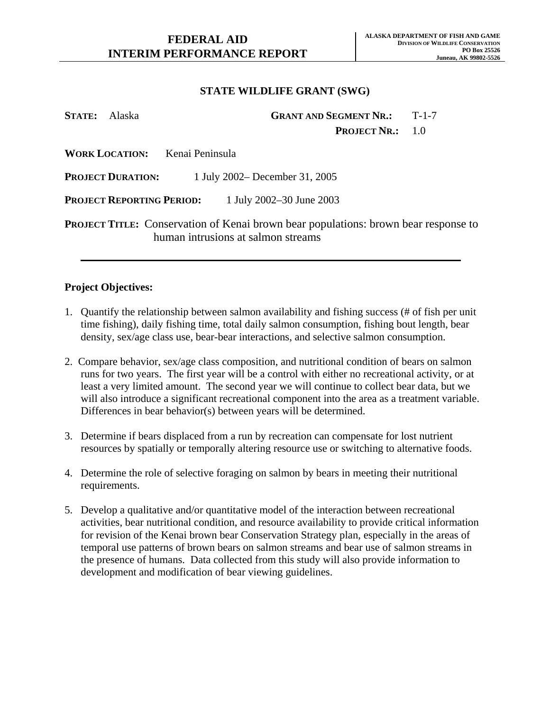| <b>STATE:</b> Alaska |                                  | <b>GRANT AND SEGMENT NR.: T-1-7</b>                                                                                              |  |
|----------------------|----------------------------------|----------------------------------------------------------------------------------------------------------------------------------|--|
|                      |                                  | <b>PROJECT NR.:</b> 1.0                                                                                                          |  |
|                      |                                  | <b>WORK LOCATION:</b> Kenai Peninsula                                                                                            |  |
|                      | <b>PROJECT DURATION:</b>         | 1 July 2002– December 31, 2005                                                                                                   |  |
|                      | <b>PROJECT REPORTING PERIOD:</b> | 1 July 2002–30 June 2003                                                                                                         |  |
|                      |                                  | <b>PROJECT TITLE:</b> Conservation of Kenai brown bear populations: brown bear response to<br>human intrusions at salmon streams |  |

#### **Project Objectives:**

- 1. Quantify the relationship between salmon availability and fishing success (# of fish per unit time fishing), daily fishing time, total daily salmon consumption, fishing bout length, bear density, sex/age class use, bear-bear interactions, and selective salmon consumption.
- 2.Compare behavior, sex/age class composition, and nutritional condition of bears on salmon runs for two years. The first year will be a control with either no recreational activity, or at least a very limited amount. The second year we will continue to collect bear data, but we will also introduce a significant recreational component into the area as a treatment variable. Differences in bear behavior(s) between years will be determined.
- 3. Determine if bears displaced from a run by recreation can compensate for lost nutrient resources by spatially or temporally altering resource use or switching to alternative foods.
- 4. Determine the role of selective foraging on salmon by bears in meeting their nutritional requirements.
- 5. Develop a qualitative and/or quantitative model of the interaction between recreational activities, bear nutritional condition, and resource availability to provide critical information for revision of the Kenai brown bear Conservation Strategy plan, especially in the areas of temporal use patterns of brown bears on salmon streams and bear use of salmon streams in the presence of humans. Data collected from this study will also provide information to development and modification of bear viewing guidelines.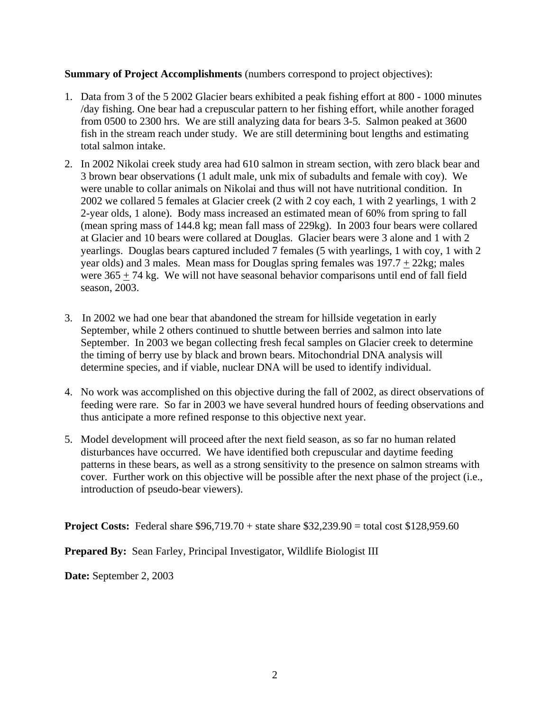## **Summary of Project Accomplishments** (numbers correspond to project objectives):

- 1. Data from 3 of the 5 2002 Glacier bears exhibited a peak fishing effort at 800 1000 minutes /day fishing. One bear had a crepuscular pattern to her fishing effort, while another foraged from 0500 to 2300 hrs. We are still analyzing data for bears 3-5. Salmon peaked at 3600 fish in the stream reach under study. We are still determining bout lengths and estimating total salmon intake.
- 2. In 2002 Nikolai creek study area had 610 salmon in stream section, with zero black bear and 3 brown bear observations (1 adult male, unk mix of subadults and female with coy). We were unable to collar animals on Nikolai and thus will not have nutritional condition. In 2002 we collared 5 females at Glacier creek (2 with 2 coy each, 1 with 2 yearlings, 1 with 2 2-year olds, 1 alone). Body mass increased an estimated mean of 60% from spring to fall (mean spring mass of 144.8 kg; mean fall mass of 229kg). In 2003 four bears were collared at Glacier and 10 bears were collared at Douglas. Glacier bears were 3 alone and 1 with 2 yearlings. Douglas bears captured included 7 females (5 with yearlings, 1 with coy, 1 with 2 year olds) and 3 males. Mean mass for Douglas spring females was 197.7 + 22kg; males were  $365 + 74$  kg. We will not have seasonal behavior comparisons until end of fall field season, 2003.
- 3.In 2002 we had one bear that abandoned the stream for hillside vegetation in early September, while 2 others continued to shuttle between berries and salmon into late September. In 2003 we began collecting fresh fecal samples on Glacier creek to determine the timing of berry use by black and brown bears. Mitochondrial DNA analysis will determine species, and if viable, nuclear DNA will be used to identify individual.
- 4. No work was accomplished on this objective during the fall of 2002, as direct observations of feeding were rare. So far in 2003 we have several hundred hours of feeding observations and thus anticipate a more refined response to this objective next year.
- 5. Model development will proceed after the next field season, as so far no human related disturbances have occurred. We have identified both crepuscular and daytime feeding patterns in these bears, as well as a strong sensitivity to the presence on salmon streams with cover. Further work on this objective will be possible after the next phase of the project (i.e., introduction of pseudo-bear viewers).

**Project Costs:** Federal share \$96,719.70 + state share \$32,239.90 = total cost \$128,959.60

**Prepared By:** Sean Farley, Principal Investigator, Wildlife Biologist III

**Date:** September 2, 2003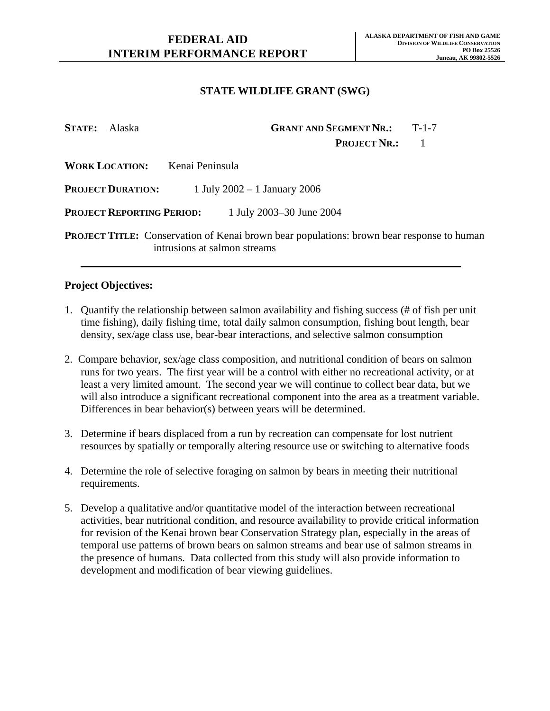**STATE:** Alaska **GRANT AND SEGMENT NR.:** T-1-7 **PROJECT NR.:** 1 **WORK LOCATION:** Kenai Peninsula **PROJECT DURATION:** 1 July 2002 – 1 January 2006 **PROJECT REPORTING PERIOD:** 1 July 2003–30 June 2004 **PROJECT TITLE:** Conservation of Kenai brown bear populations: brown bear response to human intrusions at salmon streams

#### **Project Objectives:**

- 1. Quantify the relationship between salmon availability and fishing success (# of fish per unit time fishing), daily fishing time, total daily salmon consumption, fishing bout length, bear density, sex/age class use, bear-bear interactions, and selective salmon consumption
- 2. Compare behavior, sex/age class composition, and nutritional condition of bears on salmon runs for two years. The first year will be a control with either no recreational activity, or at least a very limited amount. The second year we will continue to collect bear data, but we will also introduce a significant recreational component into the area as a treatment variable. Differences in bear behavior(s) between years will be determined.
- 3. Determine if bears displaced from a run by recreation can compensate for lost nutrient resources by spatially or temporally altering resource use or switching to alternative foods
- 4. Determine the role of selective foraging on salmon by bears in meeting their nutritional requirements.
- 5. Develop a qualitative and/or quantitative model of the interaction between recreational activities, bear nutritional condition, and resource availability to provide critical information for revision of the Kenai brown bear Conservation Strategy plan, especially in the areas of temporal use patterns of brown bears on salmon streams and bear use of salmon streams in the presence of humans. Data collected from this study will also provide information to development and modification of bear viewing guidelines.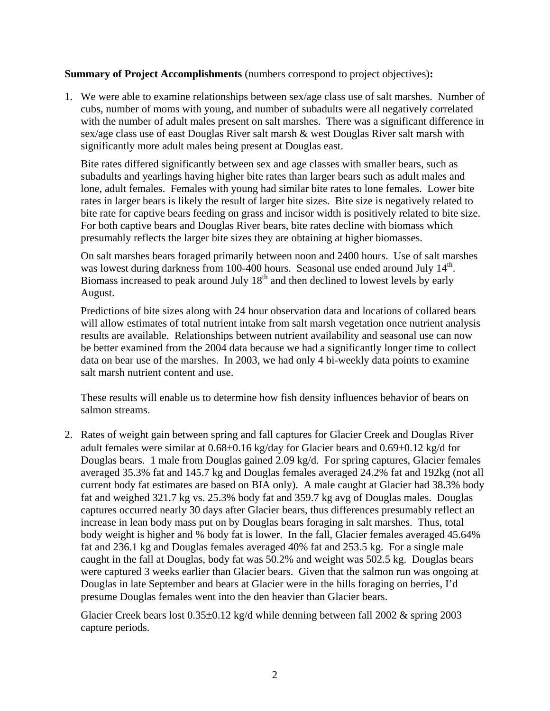**Summary of Project Accomplishments** (numbers correspond to project objectives)**:**

1. We were able to examine relationships between sex/age class use of salt marshes. Number of cubs, number of moms with young, and number of subadults were all negatively correlated with the number of adult males present on salt marshes. There was a significant difference in sex/age class use of east Douglas River salt marsh & west Douglas River salt marsh with significantly more adult males being present at Douglas east.

 Bite rates differed significantly between sex and age classes with smaller bears, such as subadults and yearlings having higher bite rates than larger bears such as adult males and lone, adult females. Females with young had similar bite rates to lone females. Lower bite rates in larger bears is likely the result of larger bite sizes. Bite size is negatively related to bite rate for captive bears feeding on grass and incisor width is positively related to bite size. For both captive bears and Douglas River bears, bite rates decline with biomass which presumably reflects the larger bite sizes they are obtaining at higher biomasses.

 On salt marshes bears foraged primarily between noon and 2400 hours. Use of salt marshes was lowest during darkness from 100-400 hours. Seasonal use ended around July 14<sup>th</sup>. Biomass increased to peak around July  $18<sup>th</sup>$  and then declined to lowest levels by early August.

Predictions of bite sizes along with 24 hour observation data and locations of collared bears will allow estimates of total nutrient intake from salt marsh vegetation once nutrient analysis results are available. Relationships between nutrient availability and seasonal use can now be better examined from the 2004 data because we had a significantly longer time to collect data on bear use of the marshes. In 2003, we had only 4 bi-weekly data points to examine salt marsh nutrient content and use.

These results will enable us to determine how fish density influences behavior of bears on salmon streams.

2. Rates of weight gain between spring and fall captures for Glacier Creek and Douglas River adult females were similar at 0.68±0.16 kg/day for Glacier bears and 0.69±0.12 kg/d for Douglas bears. 1 male from Douglas gained 2.09 kg/d. For spring captures, Glacier females averaged 35.3% fat and 145.7 kg and Douglas females averaged 24.2% fat and 192kg (not all current body fat estimates are based on BIA only). A male caught at Glacier had 38.3% body fat and weighed 321.7 kg vs. 25.3% body fat and 359.7 kg avg of Douglas males. Douglas captures occurred nearly 30 days after Glacier bears, thus differences presumably reflect an increase in lean body mass put on by Douglas bears foraging in salt marshes. Thus, total body weight is higher and % body fat is lower. In the fall, Glacier females averaged 45.64% fat and 236.1 kg and Douglas females averaged 40% fat and 253.5 kg. For a single male caught in the fall at Douglas, body fat was 50.2% and weight was 502.5 kg. Douglas bears were captured 3 weeks earlier than Glacier bears. Given that the salmon run was ongoing at Douglas in late September and bears at Glacier were in the hills foraging on berries, I'd presume Douglas females went into the den heavier than Glacier bears.

Glacier Creek bears lost  $0.35\pm0.12$  kg/d while denning between fall 2002 & spring 2003 capture periods.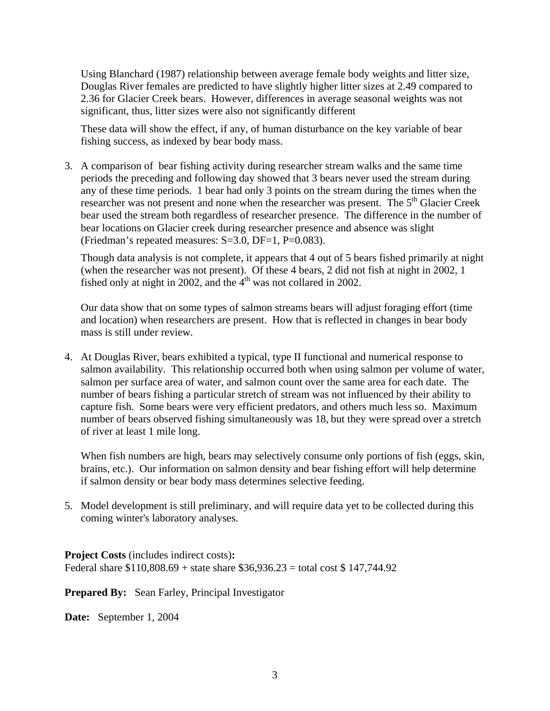Using Blanchard (1987) relationship between average female body weights and litter size, Douglas River females are predicted to have slightly higher litter sizes at 2.49 compared to 2.36 for Glacier Creek bears. However, differences in average seasonal weights was not significant, thus, litter sizes were also not significantly different

These data will show the effect, if any, of human disturbance on the key variable of bear fishing success, as indexed by bear body mass.

3. A comparison of bear fishing activity during researcher stream walks and the same time periods the preceding and following day showed that 3 bears never used the stream during any of these time periods. 1 bear had only 3 points on the stream during the times when the researcher was not present and none when the researcher was present. The  $5<sup>th</sup>$  Glacier Creek bear used the stream both regardless of researcher presence. The difference in the number of bear locations on Glacier creek during researcher presence and absence was slight (Friedman's repeated measures: S=3.0, DF=1, P=0.083).

 Though data analysis is not complete, it appears that 4 out of 5 bears fished primarily at night (when the researcher was not present). Of these 4 bears, 2 did not fish at night in 2002, 1 fished only at night in 2002, and the  $4<sup>th</sup>$  was not collared in 2002.

Our data show that on some types of salmon streams bears will adjust foraging effort (time and location) when researchers are present. How that is reflected in changes in bear body mass is still under review.

4. At Douglas River, bears exhibited a typical, type II functional and numerical response to salmon availability. This relationship occurred both when using salmon per volume of water, salmon per surface area of water, and salmon count over the same area for each date. The number of bears fishing a particular stretch of stream was not influenced by their ability to capture fish. Some bears were very efficient predators, and others much less so. Maximum number of bears observed fishing simultaneously was 18, but they were spread over a stretch of river at least 1 mile long.

When fish numbers are high, bears may selectively consume only portions of fish (eggs, skin, brains, etc.). Our information on salmon density and bear fishing effort will help determine if salmon density or bear body mass determines selective feeding.

5. Model development is still preliminary, and will require data yet to be collected during this coming winter's laboratory analyses.

**Project Costs** (includes indirect costs)**:**  Federal share  $$110,808.69 + state share $36,936.23 = total cost $ 147,744.92$ 

**Prepared By:** Sean Farley, Principal Investigator

**Date:** September 1, 2004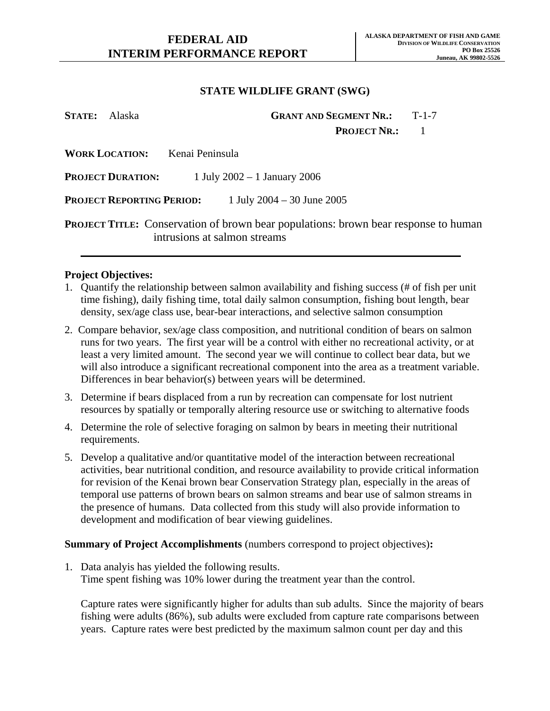| STATE: Alaska             | <b>GRANT AND SEGMENT NR.:</b><br>$T-1-7$                                                                                   |
|---------------------------|----------------------------------------------------------------------------------------------------------------------------|
|                           | <b>PROJECT NR.:</b>                                                                                                        |
|                           | <b>WORK LOCATION:</b> Kenai Peninsula                                                                                      |
| <b>PROJECT DURATION:</b>  | 1 July 2002 – 1 January 2006                                                                                               |
| Project Reporting Period: | 1 July 2004 – 30 June 2005                                                                                                 |
|                           | <b>PROJECT TITLE:</b> Conservation of brown bear populations: brown bear response to human<br>intrusions at salmon streams |

#### **Project Objectives:**

- 1. Quantify the relationship between salmon availability and fishing success (# of fish per unit time fishing), daily fishing time, total daily salmon consumption, fishing bout length, bear density, sex/age class use, bear-bear interactions, and selective salmon consumption
- 2. Compare behavior, sex/age class composition, and nutritional condition of bears on salmon runs for two years. The first year will be a control with either no recreational activity, or at least a very limited amount. The second year we will continue to collect bear data, but we will also introduce a significant recreational component into the area as a treatment variable. Differences in bear behavior(s) between years will be determined.
- 3. Determine if bears displaced from a run by recreation can compensate for lost nutrient resources by spatially or temporally altering resource use or switching to alternative foods
- 4. Determine the role of selective foraging on salmon by bears in meeting their nutritional requirements.
- 5. Develop a qualitative and/or quantitative model of the interaction between recreational activities, bear nutritional condition, and resource availability to provide critical information for revision of the Kenai brown bear Conservation Strategy plan, especially in the areas of temporal use patterns of brown bears on salmon streams and bear use of salmon streams in the presence of humans. Data collected from this study will also provide information to development and modification of bear viewing guidelines.

### **Summary of Project Accomplishments** (numbers correspond to project objectives)**:**

1. Data analyis has yielded the following results. Time spent fishing was 10% lower during the treatment year than the control.

Capture rates were significantly higher for adults than sub adults. Since the majority of bears fishing were adults (86%), sub adults were excluded from capture rate comparisons between years. Capture rates were best predicted by the maximum salmon count per day and this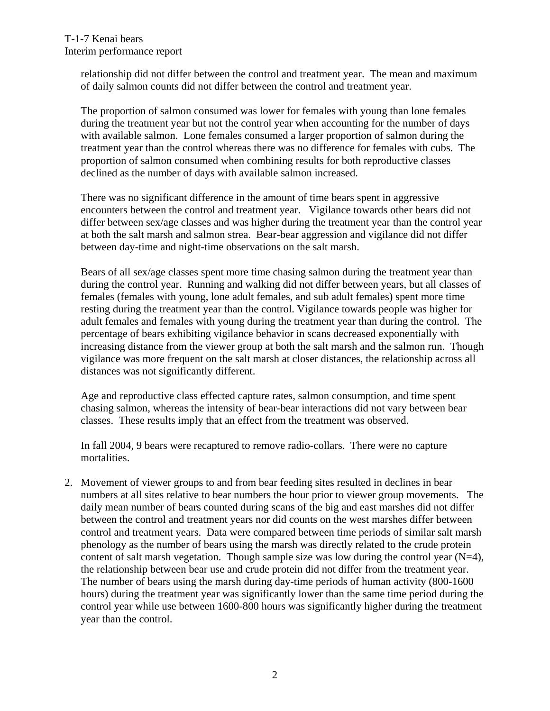relationship did not differ between the control and treatment year. The mean and maximum of daily salmon counts did not differ between the control and treatment year.

The proportion of salmon consumed was lower for females with young than lone females during the treatment year but not the control year when accounting for the number of days with available salmon. Lone females consumed a larger proportion of salmon during the treatment year than the control whereas there was no difference for females with cubs. The proportion of salmon consumed when combining results for both reproductive classes declined as the number of days with available salmon increased.

There was no significant difference in the amount of time bears spent in aggressive encounters between the control and treatment year. Vigilance towards other bears did not differ between sex/age classes and was higher during the treatment year than the control year at both the salt marsh and salmon strea. Bear-bear aggression and vigilance did not differ between day-time and night-time observations on the salt marsh.

Bears of all sex/age classes spent more time chasing salmon during the treatment year than during the control year. Running and walking did not differ between years, but all classes of females (females with young, lone adult females, and sub adult females) spent more time resting during the treatment year than the control. Vigilance towards people was higher for adult females and females with young during the treatment year than during the control. The percentage of bears exhibiting vigilance behavior in scans decreased exponentially with increasing distance from the viewer group at both the salt marsh and the salmon run. Though vigilance was more frequent on the salt marsh at closer distances, the relationship across all distances was not significantly different.

Age and reproductive class effected capture rates, salmon consumption, and time spent chasing salmon, whereas the intensity of bear-bear interactions did not vary between bear classes. These results imply that an effect from the treatment was observed.

In fall 2004, 9 bears were recaptured to remove radio-collars. There were no capture mortalities.

2. Movement of viewer groups to and from bear feeding sites resulted in declines in bear numbers at all sites relative to bear numbers the hour prior to viewer group movements. The daily mean number of bears counted during scans of the big and east marshes did not differ between the control and treatment years nor did counts on the west marshes differ between control and treatment years. Data were compared between time periods of similar salt marsh phenology as the number of bears using the marsh was directly related to the crude protein content of salt marsh vegetation. Though sample size was low during the control year  $(N=4)$ , the relationship between bear use and crude protein did not differ from the treatment year. The number of bears using the marsh during day-time periods of human activity (800-1600 hours) during the treatment year was significantly lower than the same time period during the control year while use between 1600-800 hours was significantly higher during the treatment year than the control.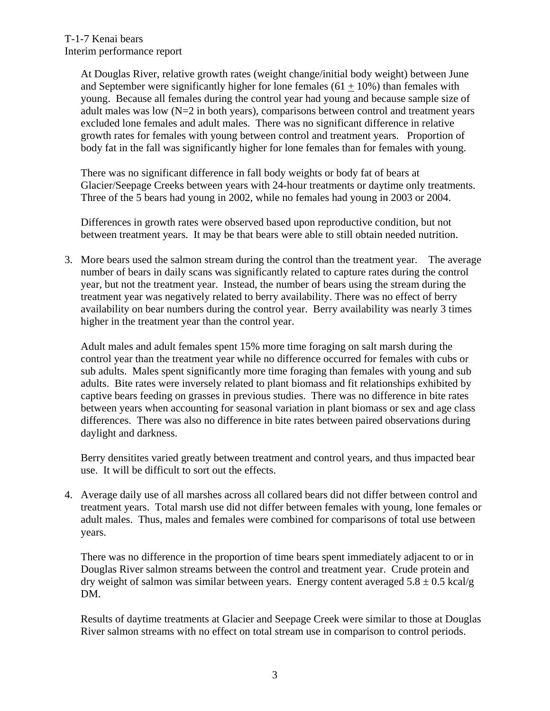At Douglas River, relative growth rates (weight change/initial body weight) between June and September were significantly higher for lone females  $(61 + 10\%)$  than females with young. Because all females during the control year had young and because sample size of adult males was low (N=2 in both years), comparisons between control and treatment years excluded lone females and adult males. There was no significant difference in relative growth rates for females with young between control and treatment years. Proportion of body fat in the fall was significantly higher for lone females than for females with young.

There was no significant difference in fall body weights or body fat of bears at Glacier/Seepage Creeks between years with 24-hour treatments or daytime only treatments. Three of the 5 bears had young in 2002, while no females had young in 2003 or 2004.

Differences in growth rates were observed based upon reproductive condition, but not between treatment years. It may be that bears were able to still obtain needed nutrition.

3. More bears used the salmon stream during the control than the treatment year. The average number of bears in daily scans was significantly related to capture rates during the control year, but not the treatment year. Instead, the number of bears using the stream during the treatment year was negatively related to berry availability. There was no effect of berry availability on bear numbers during the control year. Berry availability was nearly 3 times higher in the treatment year than the control year.

Adult males and adult females spent 15% more time foraging on salt marsh during the control year than the treatment year while no difference occurred for females with cubs or sub adults. Males spent significantly more time foraging than females with young and sub adults. Bite rates were inversely related to plant biomass and fit relationships exhibited by captive bears feeding on grasses in previous studies. There was no difference in bite rates between years when accounting for seasonal variation in plant biomass or sex and age class differences. There was also no difference in bite rates between paired observations during daylight and darkness.

Berry densitites varied greatly between treatment and control years, and thus impacted bear use. It will be difficult to sort out the effects.

4. Average daily use of all marshes across all collared bears did not differ between control and treatment years. Total marsh use did not differ between females with young, lone females or adult males. Thus, males and females were combined for comparisons of total use between years.

There was no difference in the proportion of time bears spent immediately adjacent to or in Douglas River salmon streams between the control and treatment year. Crude protein and dry weight of salmon was similar between years. Energy content averaged  $5.8 \pm 0.5$  kcal/g DM.

Results of daytime treatments at Glacier and Seepage Creek were similar to those at Douglas River salmon streams with no effect on total stream use in comparison to control periods.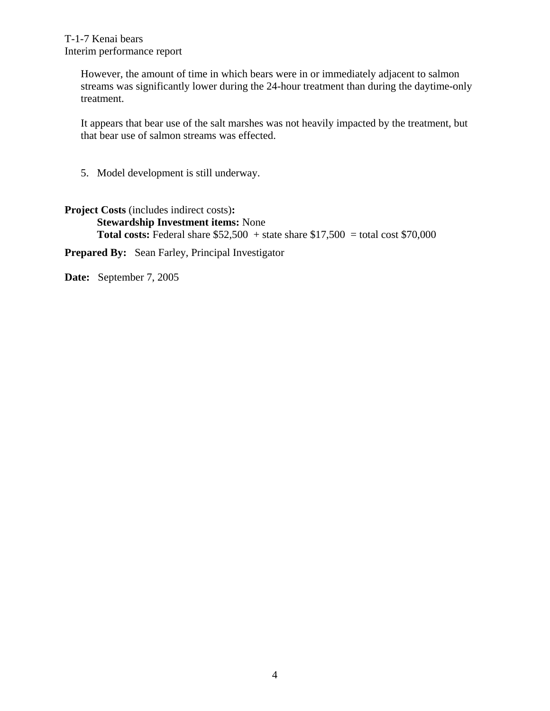T-1-7 Kenai bears Interim performance report

> However, the amount of time in which bears were in or immediately adjacent to salmon streams was significantly lower during the 24-hour treatment than during the daytime-only treatment.

> It appears that bear use of the salt marshes was not heavily impacted by the treatment, but that bear use of salmon streams was effected.

5. Model development is still underway.

## **Project Costs** (includes indirect costs)**:**

**Stewardship Investment items:** None **Total costs:** Federal share  $$52,500 + state$  share  $$17,500 = total cost $70,000$ 

**Prepared By:** Sean Farley, Principal Investigator

**Date:** September 7, 2005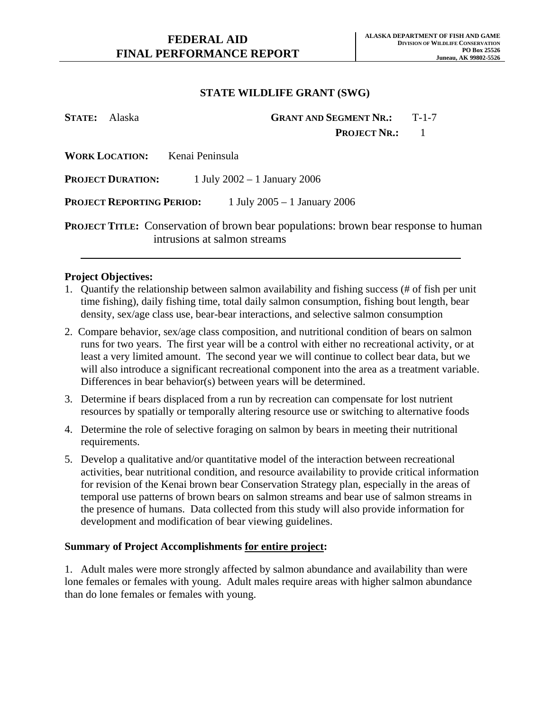| <b>STATE:</b> Alaska |                                  |                 | <b>GRANT AND SEGMENT NR.:</b>                                                                                              | $T-1-7$ |
|----------------------|----------------------------------|-----------------|----------------------------------------------------------------------------------------------------------------------------|---------|
|                      |                                  |                 | <b>PROJECT NR.:</b>                                                                                                        |         |
|                      | <b>WORK LOCATION:</b>            | Kenai Peninsula |                                                                                                                            |         |
|                      | <b>PROJECT DURATION:</b>         |                 | 1 July 2002 – 1 January 2006                                                                                               |         |
|                      | <b>PROJECT REPORTING PERIOD:</b> |                 | 1 July 2005 – 1 January 2006                                                                                               |         |
|                      |                                  |                 | <b>PROJECT TITLE:</b> Conservation of brown bear populations: brown bear response to human<br>intrusions at salmon streams |         |

#### **Project Objectives:**

- 1. Quantify the relationship between salmon availability and fishing success (# of fish per unit time fishing), daily fishing time, total daily salmon consumption, fishing bout length, bear density, sex/age class use, bear-bear interactions, and selective salmon consumption
- 2. Compare behavior, sex/age class composition, and nutritional condition of bears on salmon runs for two years. The first year will be a control with either no recreational activity, or at least a very limited amount. The second year we will continue to collect bear data, but we will also introduce a significant recreational component into the area as a treatment variable. Differences in bear behavior(s) between years will be determined.
- 3. Determine if bears displaced from a run by recreation can compensate for lost nutrient resources by spatially or temporally altering resource use or switching to alternative foods
- 4. Determine the role of selective foraging on salmon by bears in meeting their nutritional requirements.
- 5. Develop a qualitative and/or quantitative model of the interaction between recreational activities, bear nutritional condition, and resource availability to provide critical information for revision of the Kenai brown bear Conservation Strategy plan, especially in the areas of temporal use patterns of brown bears on salmon streams and bear use of salmon streams in the presence of humans. Data collected from this study will also provide information for development and modification of bear viewing guidelines.

### **Summary of Project Accomplishments for entire project:**

1. Adult males were more strongly affected by salmon abundance and availability than were lone females or females with young. Adult males require areas with higher salmon abundance than do lone females or females with young.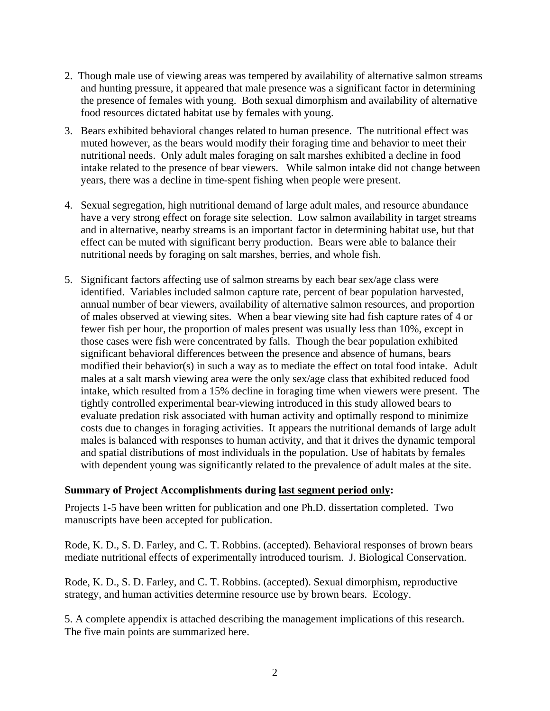- 2. Though male use of viewing areas was tempered by availability of alternative salmon streams and hunting pressure, it appeared that male presence was a significant factor in determining the presence of females with young. Both sexual dimorphism and availability of alternative food resources dictated habitat use by females with young.
- 3. Bears exhibited behavioral changes related to human presence. The nutritional effect was muted however, as the bears would modify their foraging time and behavior to meet their nutritional needs. Only adult males foraging on salt marshes exhibited a decline in food intake related to the presence of bear viewers. While salmon intake did not change between years, there was a decline in time-spent fishing when people were present.
- 4. Sexual segregation, high nutritional demand of large adult males, and resource abundance have a very strong effect on forage site selection. Low salmon availability in target streams and in alternative, nearby streams is an important factor in determining habitat use, but that effect can be muted with significant berry production. Bears were able to balance their nutritional needs by foraging on salt marshes, berries, and whole fish.
- 5. Significant factors affecting use of salmon streams by each bear sex/age class were identified. Variables included salmon capture rate, percent of bear population harvested, annual number of bear viewers, availability of alternative salmon resources, and proportion of males observed at viewing sites. When a bear viewing site had fish capture rates of 4 or fewer fish per hour, the proportion of males present was usually less than 10%, except in those cases were fish were concentrated by falls. Though the bear population exhibited significant behavioral differences between the presence and absence of humans, bears modified their behavior(s) in such a way as to mediate the effect on total food intake. Adult males at a salt marsh viewing area were the only sex/age class that exhibited reduced food intake, which resulted from a 15% decline in foraging time when viewers were present. The tightly controlled experimental bear-viewing introduced in this study allowed bears to evaluate predation risk associated with human activity and optimally respond to minimize costs due to changes in foraging activities. It appears the nutritional demands of large adult males is balanced with responses to human activity, and that it drives the dynamic temporal and spatial distributions of most individuals in the population. Use of habitats by females with dependent young was significantly related to the prevalence of adult males at the site.

### **Summary of Project Accomplishments during last segment period only:**

Projects 1-5 have been written for publication and one Ph.D. dissertation completed. Two manuscripts have been accepted for publication.

Rode, K. D., S. D. Farley, and C. T. Robbins. (accepted). Behavioral responses of brown bears mediate nutritional effects of experimentally introduced tourism. J. Biological Conservation.

Rode, K. D., S. D. Farley, and C. T. Robbins. (accepted). Sexual dimorphism, reproductive strategy, and human activities determine resource use by brown bears. Ecology.

5. A complete appendix is attached describing the management implications of this research. The five main points are summarized here.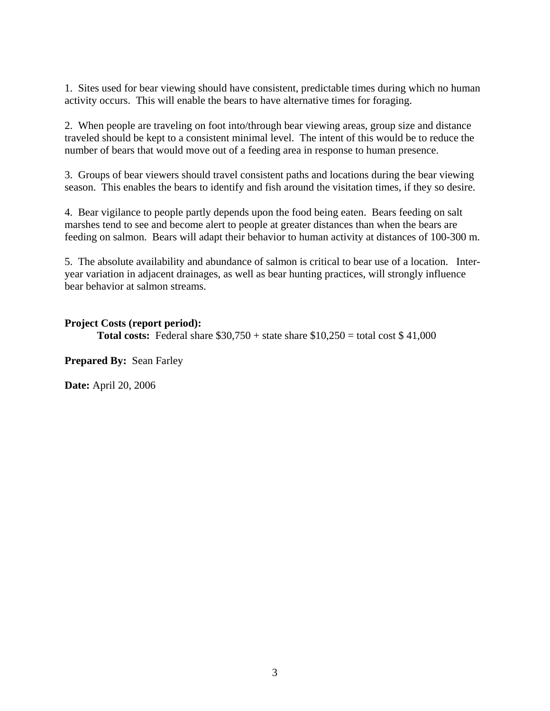1. Sites used for bear viewing should have consistent, predictable times during which no human activity occurs. This will enable the bears to have alternative times for foraging.

2. When people are traveling on foot into/through bear viewing areas, group size and distance traveled should be kept to a consistent minimal level. The intent of this would be to reduce the number of bears that would move out of a feeding area in response to human presence.

3. Groups of bear viewers should travel consistent paths and locations during the bear viewing season. This enables the bears to identify and fish around the visitation times, if they so desire.

4. Bear vigilance to people partly depends upon the food being eaten. Bears feeding on salt marshes tend to see and become alert to people at greater distances than when the bears are feeding on salmon. Bears will adapt their behavior to human activity at distances of 100-300 m.

5. The absolute availability and abundance of salmon is critical to bear use of a location. Interyear variation in adjacent drainages, as well as bear hunting practices, will strongly influence bear behavior at salmon streams.

**Project Costs (report period): Total costs:** Federal share  $$30,750 + state$  share  $$10,250 = total cost$   $$41,000$ 

**Prepared By: Sean Farley** 

**Date:** April 20, 2006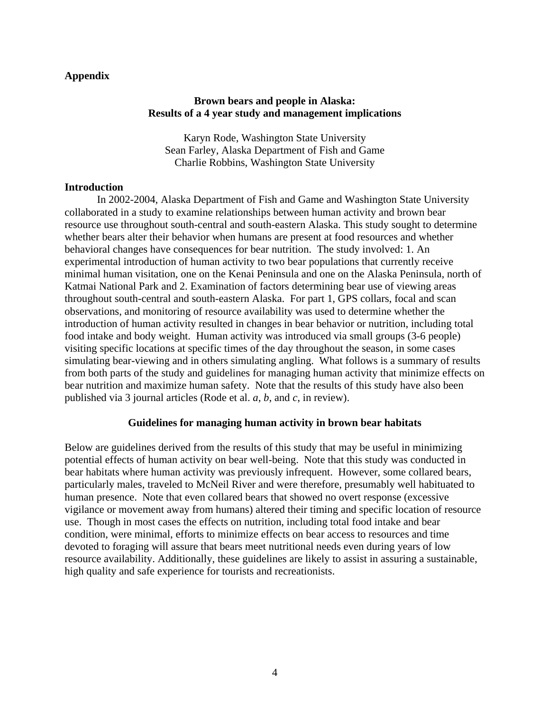### **Appendix**

### **Brown bears and people in Alaska: Results of a 4 year study and management implications**

Karyn Rode, Washington State University Sean Farley, Alaska Department of Fish and Game Charlie Robbins, Washington State University

### **Introduction**

In 2002-2004, Alaska Department of Fish and Game and Washington State University collaborated in a study to examine relationships between human activity and brown bear resource use throughout south-central and south-eastern Alaska. This study sought to determine whether bears alter their behavior when humans are present at food resources and whether behavioral changes have consequences for bear nutrition. The study involved: 1. An experimental introduction of human activity to two bear populations that currently receive minimal human visitation, one on the Kenai Peninsula and one on the Alaska Peninsula, north of Katmai National Park and 2. Examination of factors determining bear use of viewing areas throughout south-central and south-eastern Alaska. For part 1, GPS collars, focal and scan observations, and monitoring of resource availability was used to determine whether the introduction of human activity resulted in changes in bear behavior or nutrition, including total food intake and body weight. Human activity was introduced via small groups (3-6 people) visiting specific locations at specific times of the day throughout the season, in some cases simulating bear-viewing and in others simulating angling. What follows is a summary of results from both parts of the study and guidelines for managing human activity that minimize effects on bear nutrition and maximize human safety. Note that the results of this study have also been published via 3 journal articles (Rode et al. *a*, *b*, and *c*, in review).

### **Guidelines for managing human activity in brown bear habitats**

Below are guidelines derived from the results of this study that may be useful in minimizing potential effects of human activity on bear well-being. Note that this study was conducted in bear habitats where human activity was previously infrequent. However, some collared bears, particularly males, traveled to McNeil River and were therefore, presumably well habituated to human presence. Note that even collared bears that showed no overt response (excessive vigilance or movement away from humans) altered their timing and specific location of resource use. Though in most cases the effects on nutrition, including total food intake and bear condition, were minimal, efforts to minimize effects on bear access to resources and time devoted to foraging will assure that bears meet nutritional needs even during years of low resource availability. Additionally, these guidelines are likely to assist in assuring a sustainable, high quality and safe experience for tourists and recreationists.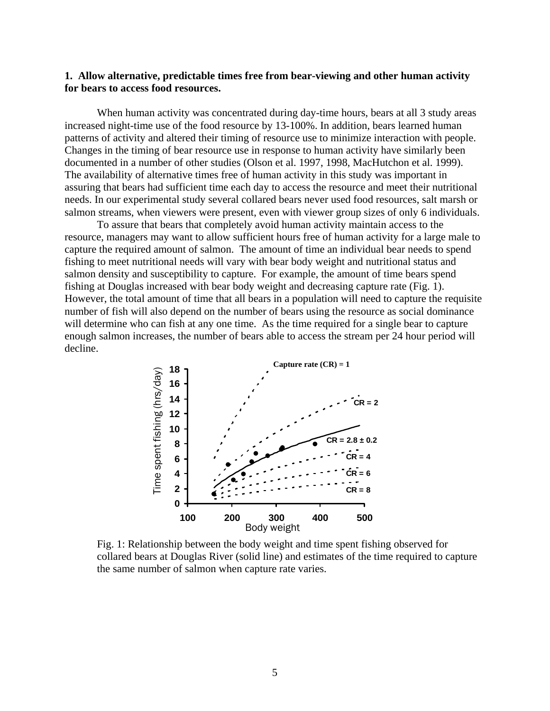#### **1. Allow alternative, predictable times free from bear-viewing and other human activity for bears to access food resources.**

When human activity was concentrated during day-time hours, bears at all 3 study areas increased night-time use of the food resource by 13-100%. In addition, bears learned human patterns of activity and altered their timing of resource use to minimize interaction with people. Changes in the timing of bear resource use in response to human activity have similarly been documented in a number of other studies (Olson et al. 1997, 1998, MacHutchon et al. 1999). The availability of alternative times free of human activity in this study was important in assuring that bears had sufficient time each day to access the resource and meet their nutritional needs. In our experimental study several collared bears never used food resources, salt marsh or salmon streams, when viewers were present, even with viewer group sizes of only 6 individuals.

To assure that bears that completely avoid human activity maintain access to the resource, managers may want to allow sufficient hours free of human activity for a large male to capture the required amount of salmon. The amount of time an individual bear needs to spend fishing to meet nutritional needs will vary with bear body weight and nutritional status and salmon density and susceptibility to capture. For example, the amount of time bears spend fishing at Douglas increased with bear body weight and decreasing capture rate (Fig. 1). However, the total amount of time that all bears in a population will need to capture the requisite number of fish will also depend on the number of bears using the resource as social dominance will determine who can fish at any one time. As the time required for a single bear to capture enough salmon increases, the number of bears able to access the stream per 24 hour period will decline.



Fig. 1: Relationship between the body weight and time spent fishing observed for collared bears at Douglas River (solid line) and estimates of the time required to capture the same number of salmon when capture rate varies.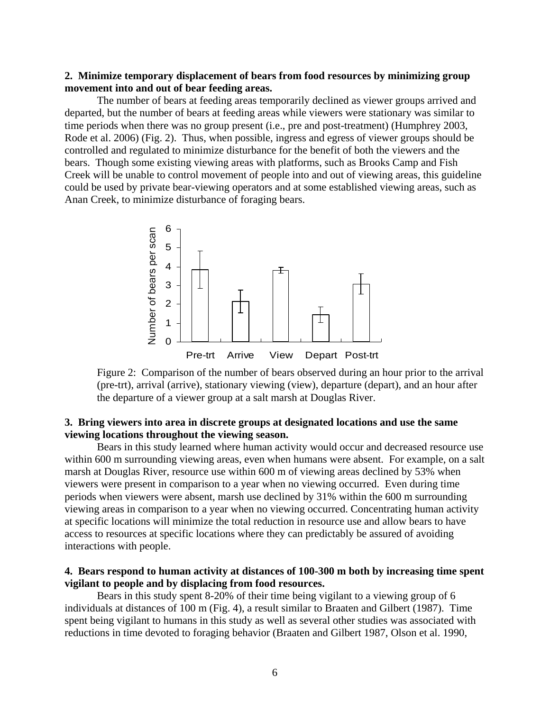### **2. Minimize temporary displacement of bears from food resources by minimizing group movement into and out of bear feeding areas.**

The number of bears at feeding areas temporarily declined as viewer groups arrived and departed, but the number of bears at feeding areas while viewers were stationary was similar to time periods when there was no group present (i.e., pre and post-treatment) (Humphrey 2003, Rode et al. 2006) (Fig. 2). Thus, when possible, ingress and egress of viewer groups should be controlled and regulated to minimize disturbance for the benefit of both the viewers and the bears. Though some existing viewing areas with platforms, such as Brooks Camp and Fish Creek will be unable to control movement of people into and out of viewing areas, this guideline could be used by private bear-viewing operators and at some established viewing areas, such as Anan Creek, to minimize disturbance of foraging bears.



Figure 2: Comparison of the number of bears observed during an hour prior to the arrival (pre-trt), arrival (arrive), stationary viewing (view), departure (depart), and an hour after the departure of a viewer group at a salt marsh at Douglas River.

#### **3. Bring viewers into area in discrete groups at designated locations and use the same viewing locations throughout the viewing season.**

Bears in this study learned where human activity would occur and decreased resource use within 600 m surrounding viewing areas, even when humans were absent. For example, on a salt marsh at Douglas River, resource use within 600 m of viewing areas declined by 53% when viewers were present in comparison to a year when no viewing occurred. Even during time periods when viewers were absent, marsh use declined by 31% within the 600 m surrounding viewing areas in comparison to a year when no viewing occurred. Concentrating human activity at specific locations will minimize the total reduction in resource use and allow bears to have access to resources at specific locations where they can predictably be assured of avoiding interactions with people.  $\frac{6}{20}$ <br>  $\frac{6}{20}$ <br>  $\frac{2}{20}$ <br>  $\frac{2}{20}$ <br>  $\frac{2}{20}$ <br>  $\frac{2}{20}$ <br>  $\frac{2}{20}$ <br>  $\frac{2}{20}$ <br>  $\frac{2}{20}$ <br>  $\frac{2}{20}$ <br>  $\frac{2}{20}$ <br>  $\frac{2}{20}$ <br>  $\frac{2}{20}$ <br>  $\frac{2}{20}$ <br>  $\frac{2}{20}$ <br>  $\frac{2}{20}$ <br>  $\frac{2}{20}$ <br>  $\frac{2}{20}$ <br>  $\frac{2$ 

### **4. Bears respond to human activity at distances of 100-300 m both by increasing time spent vigilant to people and by displacing from food resources.**

Bears in this study spent 8-20% of their time being vigilant to a viewing group of 6 individuals at distances of 100 m (Fig. 4), a result similar to Braaten and Gilbert (1987). Time spent being vigilant to humans in this study as well as several other studies was associated with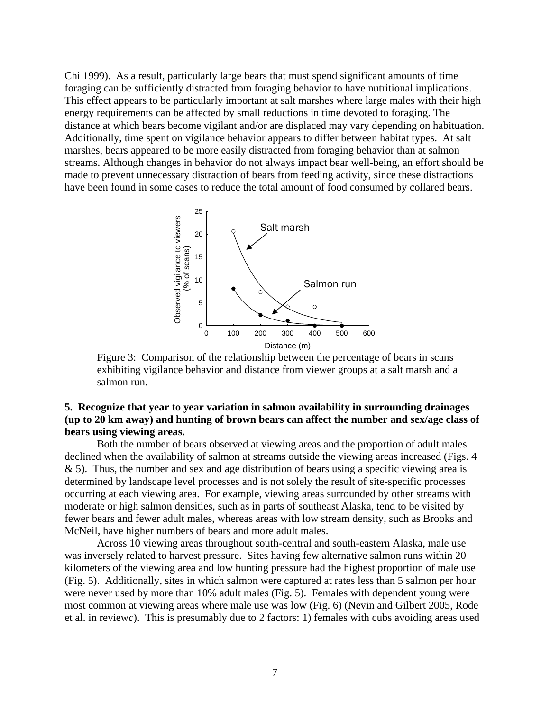Chi 1999). As a result, particularly large bears that must spend significant amounts of time foraging can be sufficiently distracted from foraging behavior to have nutritional implications. This effect appears to be particularly important at salt marshes where large males with their high energy requirements can be affected by small reductions in time devoted to foraging. The distance at which bears become vigilant and/or are displaced may vary depending on habituation. Additionally, time spent on vigilance behavior appears to differ between habitat types. At salt marshes, bears appeared to be more easily distracted from foraging behavior than at salmon streams. Although changes in behavior do not always impact bear well-being, an effort should be made to prevent unnecessary distraction of bears from feeding activity, since these distractions have been found in some cases to reduce the total amount of food consumed by collared bears.



Figure 3: Comparison of the relationship between the percentage of bears in scans exhibiting vigilance behavior and distance from viewer groups at a salt marsh and a salmon run.

## **5. Recognize that year to year variation in salmon availability in surrounding drainages (up to 20 km away) and hunting of brown bears can affect the number and sex/age class of bears using viewing areas.**

 Both the number of bears observed at viewing areas and the proportion of adult males declined when the availability of salmon at streams outside the viewing areas increased (Figs. 4  $\&$  5). Thus, the number and sex and age distribution of bears using a specific viewing area is determined by landscape level processes and is not solely the result of site-specific processes occurring at each viewing area. For example, viewing areas surrounded by other streams with moderate or high salmon densities, such as in parts of southeast Alaska, tend to be visited by fewer bears and fewer adult males, whereas areas with low stream density, such as Brooks and McNeil, have higher numbers of bears and more adult males.

 Across 10 viewing areas throughout south-central and south-eastern Alaska, male use was inversely related to harvest pressure. Sites having few alternative salmon runs within 20 kilometers of the viewing area and low hunting pressure had the highest proportion of male use (Fig. 5). Additionally, sites in which salmon were captured at rates less than 5 salmon per hour were never used by more than 10% adult males (Fig. 5). Females with dependent young were most common at viewing areas where male use was low (Fig. 6) (Nevin and Gilbert 2005, Rode et al. in review*c*). This is presumably due to 2 factors: 1) females with cubs avoiding areas used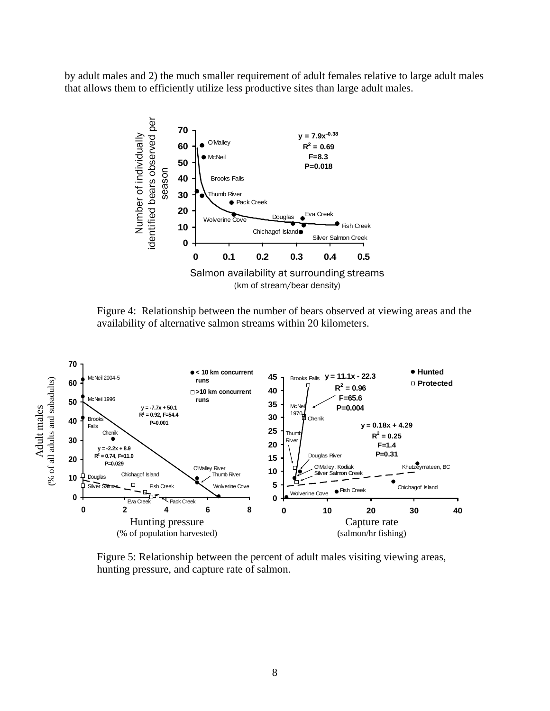by adult males and 2) the much smaller requirement of adult females relative to large adult males that allows them to efficiently utilize less productive sites than large adult males.



Figure 4: Relationship between the number of bears observed at viewing areas and the availability of alternative salmon streams within 20 kilometers.



 Figure 5: Relationship between the percent of adult males visiting viewing areas, hunting pressure, and capture rate of salmon.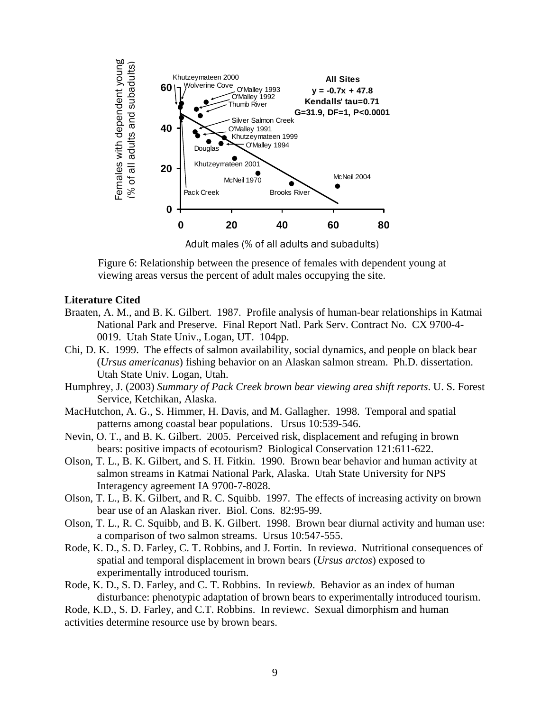

Adult males (% of all adults and subadults)

Figure 6: Relationship between the presence of females with dependent young at viewing areas versus the percent of adult males occupying the site.

#### **Literature Cited**

- Braaten, A. M., and B. K. Gilbert. 1987. Profile analysis of human-bear relationships in Katmai National Park and Preserve. Final Report Natl. Park Serv. Contract No. CX 9700-4- 0019. Utah State Univ., Logan, UT. 104pp.
- Chi, D. K. 1999. The effects of salmon availability, social dynamics, and people on black bear (*Ursus americanus*) fishing behavior on an Alaskan salmon stream. Ph.D. dissertation. Utah State Univ. Logan, Utah.
- Humphrey, J. (2003) *Summary of Pack Creek brown bear viewing area shift reports*. U. S. Forest Service, Ketchikan, Alaska.
- MacHutchon, A. G., S. Himmer, H. Davis, and M. Gallagher. 1998. Temporal and spatial patterns among coastal bear populations. Ursus 10:539-546.
- Nevin, O. T., and B. K. Gilbert. 2005. Perceived risk, displacement and refuging in brown bears: positive impacts of ecotourism? Biological Conservation 121:611-622.
- Olson, T. L., B. K. Gilbert, and S. H. Fitkin. 1990. Brown bear behavior and human activity at salmon streams in Katmai National Park, Alaska. Utah State University for NPS Interagency agreement IA 9700-7-8028.
- Olson, T. L., B. K. Gilbert, and R. C. Squibb. 1997. The effects of increasing activity on brown bear use of an Alaskan river. Biol. Cons. 82:95-99.
- Olson, T. L., R. C. Squibb, and B. K. Gilbert. 1998. Brown bear diurnal activity and human use: a comparison of two salmon streams. Ursus 10:547-555.
- Rode, K. D., S. D. Farley, C. T. Robbins, and J. Fortin. In review*a*. Nutritional consequences of spatial and temporal displacement in brown bears (*Ursus arctos*) exposed to experimentally introduced tourism.
- Rode, K. D., S. D. Farley, and C. T. Robbins. In review*b*. Behavior as an index of human disturbance: phenotypic adaptation of brown bears to experimentally introduced tourism.

Rode, K.D., S. D. Farley, and C.T. Robbins. In review*c*. Sexual dimorphism and human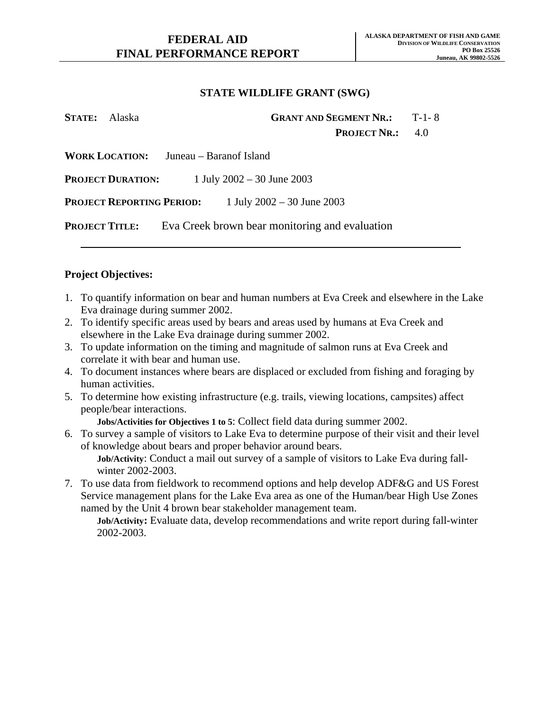| <b>STATE:</b> Alaska  | <b>GRANT AND SEGMENT NR.:</b>                                                   | $T-1-8$ |
|-----------------------|---------------------------------------------------------------------------------|---------|
|                       | <b>PROJECT NR.:</b>                                                             | 4.0     |
|                       | <b>WORK LOCATION:</b> Juneau – Baranof Island                                   |         |
|                       | <b>PROJECT DURATION:</b> $1 \text{ July } 2002 - 30 \text{ June } 2003$         |         |
|                       | <b>PROJECT REPORTING PERIOD:</b> $1 \text{ July } 2002 - 30 \text{ June } 2003$ |         |
| <b>PROJECT TITLE:</b> | Eva Creek brown bear monitoring and evaluation                                  |         |

## **Project Objectives:**

- 1. To quantify information on bear and human numbers at Eva Creek and elsewhere in the Lake Eva drainage during summer 2002.
- 2. To identify specific areas used by bears and areas used by humans at Eva Creek and elsewhere in the Lake Eva drainage during summer 2002.
- 3. To update information on the timing and magnitude of salmon runs at Eva Creek and correlate it with bear and human use.
- 4. To document instances where bears are displaced or excluded from fishing and foraging by human activities.
- 5. To determine how existing infrastructure (e.g. trails, viewing locations, campsites) affect people/bear interactions.

**Jobs/Activities for Objectives 1 to 5**: Collect field data during summer 2002.

6. To survey a sample of visitors to Lake Eva to determine purpose of their visit and their level of knowledge about bears and proper behavior around bears.

**Job/Activity**: Conduct a mail out survey of a sample of visitors to Lake Eva during fallwinter 2002-2003.

7. To use data from fieldwork to recommend options and help develop ADF&G and US Forest Service management plans for the Lake Eva area as one of the Human/bear High Use Zones named by the Unit 4 brown bear stakeholder management team.

**Job/Activity:** Evaluate data, develop recommendations and write report during fall-winter 2002-2003.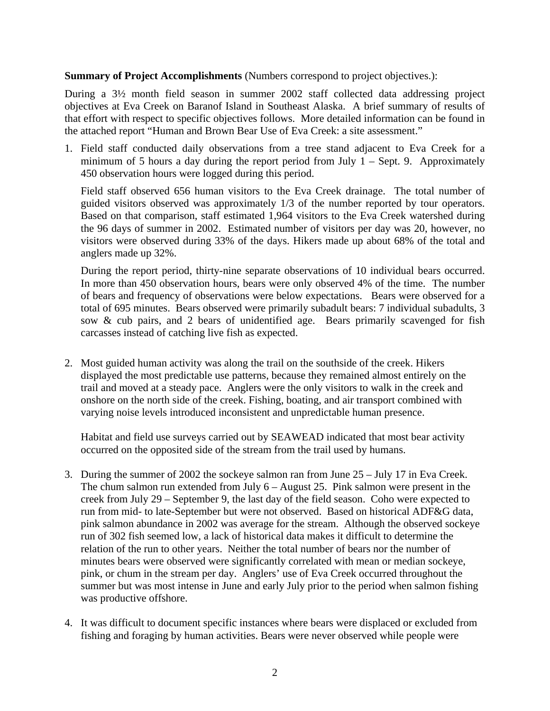**Summary of Project Accomplishments** (Numbers correspond to project objectives.):

During a 3½ month field season in summer 2002 staff collected data addressing project objectives at Eva Creek on Baranof Island in Southeast Alaska. A brief summary of results of that effort with respect to specific objectives follows. More detailed information can be found in the attached report "Human and Brown Bear Use of Eva Creek: a site assessment."

1. Field staff conducted daily observations from a tree stand adjacent to Eva Creek for a minimum of 5 hours a day during the report period from July  $1 -$  Sept. 9. Approximately 450 observation hours were logged during this period.

Field staff observed 656 human visitors to the Eva Creek drainage. The total number of guided visitors observed was approximately 1/3 of the number reported by tour operators. Based on that comparison, staff estimated 1,964 visitors to the Eva Creek watershed during the 96 days of summer in 2002. Estimated number of visitors per day was 20, however, no visitors were observed during 33% of the days. Hikers made up about 68% of the total and anglers made up 32%.

During the report period, thirty-nine separate observations of 10 individual bears occurred. In more than 450 observation hours, bears were only observed 4% of the time. The number of bears and frequency of observations were below expectations. Bears were observed for a total of 695 minutes. Bears observed were primarily subadult bears: 7 individual subadults, 3 sow & cub pairs, and 2 bears of unidentified age. Bears primarily scavenged for fish carcasses instead of catching live fish as expected.

2. Most guided human activity was along the trail on the southside of the creek. Hikers displayed the most predictable use patterns, because they remained almost entirely on the trail and moved at a steady pace. Anglers were the only visitors to walk in the creek and onshore on the north side of the creek. Fishing, boating, and air transport combined with varying noise levels introduced inconsistent and unpredictable human presence.

Habitat and field use surveys carried out by SEAWEAD indicated that most bear activity occurred on the opposited side of the stream from the trail used by humans.

- 3. During the summer of 2002 the sockeye salmon ran from June 25 July 17 in Eva Creek. The chum salmon run extended from July 6 – August 25. Pink salmon were present in the creek from July 29 – September 9, the last day of the field season. Coho were expected to run from mid- to late-September but were not observed. Based on historical ADF&G data, pink salmon abundance in 2002 was average for the stream. Although the observed sockeye run of 302 fish seemed low, a lack of historical data makes it difficult to determine the relation of the run to other years. Neither the total number of bears nor the number of minutes bears were observed were significantly correlated with mean or median sockeye, pink, or chum in the stream per day. Anglers' use of Eva Creek occurred throughout the summer but was most intense in June and early July prior to the period when salmon fishing was productive offshore.
- 4. It was difficult to document specific instances where bears were displaced or excluded from fishing and foraging by human activities. Bears were never observed while people were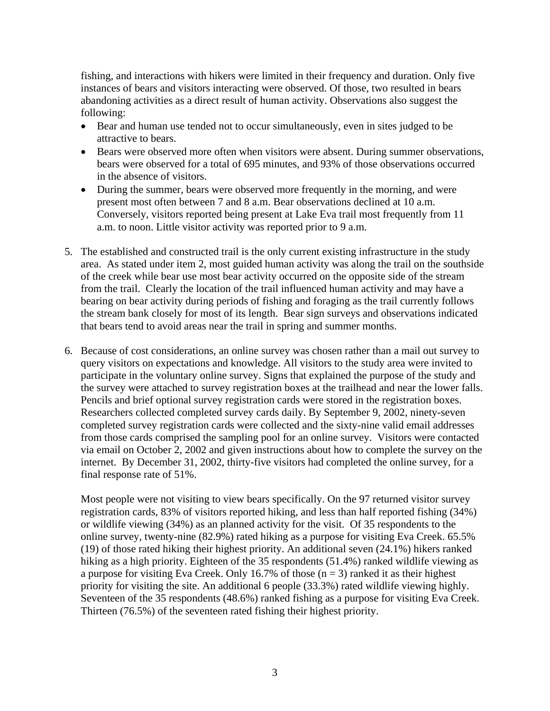fishing, and interactions with hikers were limited in their frequency and duration. Only five instances of bears and visitors interacting were observed. Of those, two resulted in bears abandoning activities as a direct result of human activity. Observations also suggest the following:

- Bear and human use tended not to occur simultaneously, even in sites judged to be attractive to bears.
- Bears were observed more often when visitors were absent. During summer observations, bears were observed for a total of 695 minutes, and 93% of those observations occurred in the absence of visitors.
- During the summer, bears were observed more frequently in the morning, and were present most often between 7 and 8 a.m. Bear observations declined at 10 a.m. Conversely, visitors reported being present at Lake Eva trail most frequently from 11 a.m. to noon. Little visitor activity was reported prior to 9 a.m.
- 5. The established and constructed trail is the only current existing infrastructure in the study area. As stated under item 2, most guided human activity was along the trail on the southside of the creek while bear use most bear activity occurred on the opposite side of the stream from the trail. Clearly the location of the trail influenced human activity and may have a bearing on bear activity during periods of fishing and foraging as the trail currently follows the stream bank closely for most of its length. Bear sign surveys and observations indicated that bears tend to avoid areas near the trail in spring and summer months.
- 6. Because of cost considerations, an online survey was chosen rather than a mail out survey to query visitors on expectations and knowledge. All visitors to the study area were invited to participate in the voluntary online survey. Signs that explained the purpose of the study and the survey were attached to survey registration boxes at the trailhead and near the lower falls. Pencils and brief optional survey registration cards were stored in the registration boxes. Researchers collected completed survey cards daily. By September 9, 2002, ninety-seven completed survey registration cards were collected and the sixty-nine valid email addresses from those cards comprised the sampling pool for an online survey. Visitors were contacted via email on October 2, 2002 and given instructions about how to complete the survey on the internet. By December 31, 2002, thirty-five visitors had completed the online survey, for a final response rate of 51%.

Most people were not visiting to view bears specifically. On the 97 returned visitor survey registration cards, 83% of visitors reported hiking, and less than half reported fishing (34%) or wildlife viewing (34%) as an planned activity for the visit. Of 35 respondents to the online survey, twenty-nine (82.9%) rated hiking as a purpose for visiting Eva Creek. 65.5% (19) of those rated hiking their highest priority. An additional seven (24.1%) hikers ranked hiking as a high priority. Eighteen of the 35 respondents (51.4%) ranked wildlife viewing as a purpose for visiting Eva Creek. Only 16.7% of those  $(n = 3)$  ranked it as their highest priority for visiting the site. An additional 6 people (33.3%) rated wildlife viewing highly. Seventeen of the 35 respondents (48.6%) ranked fishing as a purpose for visiting Eva Creek. Thirteen (76.5%) of the seventeen rated fishing their highest priority.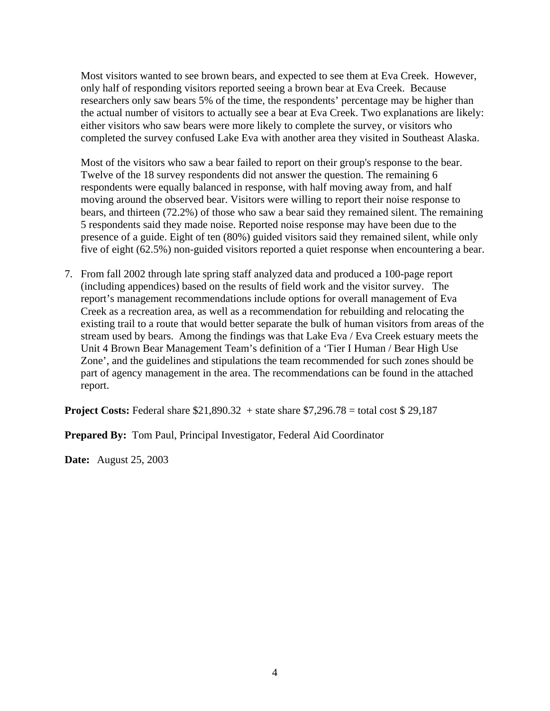Most visitors wanted to see brown bears, and expected to see them at Eva Creek. However, only half of responding visitors reported seeing a brown bear at Eva Creek. Because researchers only saw bears 5% of the time, the respondents' percentage may be higher than the actual number of visitors to actually see a bear at Eva Creek. Two explanations are likely: either visitors who saw bears were more likely to complete the survey, or visitors who completed the survey confused Lake Eva with another area they visited in Southeast Alaska.

Most of the visitors who saw a bear failed to report on their group's response to the bear. Twelve of the 18 survey respondents did not answer the question. The remaining 6 respondents were equally balanced in response, with half moving away from, and half moving around the observed bear. Visitors were willing to report their noise response to bears, and thirteen (72.2%) of those who saw a bear said they remained silent. The remaining 5 respondents said they made noise. Reported noise response may have been due to the presence of a guide. Eight of ten (80%) guided visitors said they remained silent, while only five of eight (62.5%) non-guided visitors reported a quiet response when encountering a bear.

7. From fall 2002 through late spring staff analyzed data and produced a 100-page report (including appendices) based on the results of field work and the visitor survey. The report's management recommendations include options for overall management of Eva Creek as a recreation area, as well as a recommendation for rebuilding and relocating the existing trail to a route that would better separate the bulk of human visitors from areas of the stream used by bears. Among the findings was that Lake Eva / Eva Creek estuary meets the Unit 4 Brown Bear Management Team's definition of a 'Tier I Human / Bear High Use Zone', and the guidelines and stipulations the team recommended for such zones should be part of agency management in the area. The recommendations can be found in the attached report.

**Project Costs:** Federal share \$21,890.32 + state share \$7,296.78 = total cost \$29,187

**Prepared By:** Tom Paul, Principal Investigator, Federal Aid Coordinator

**Date:** August 25, 2003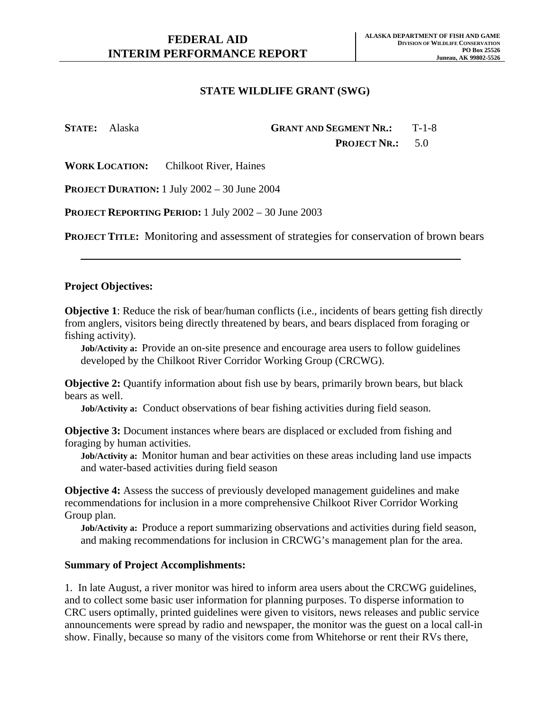**STATE:** Alaska **GRANT AND SEGMENT NR.:** T-1-8

PROJECT NR.: 5.0

**WORK LOCATION:** Chilkoot River, Haines

**PROJECT DURATION:** 1 July 2002 – 30 June 2004

**PROJECT REPORTING PERIOD:** 1 July 2002 – 30 June 2003

**PROJECT TITLE:** Monitoring and assessment of strategies for conservation of brown bears

### **Project Objectives:**

**Objective 1**: Reduce the risk of bear/human conflicts (i.e., incidents of bears getting fish directly from anglers, visitors being directly threatened by bears, and bears displaced from foraging or fishing activity).

**Job/Activity a:** Provide an on-site presence and encourage area users to follow guidelines developed by the Chilkoot River Corridor Working Group (CRCWG).

**Objective 2:** Quantify information about fish use by bears, primarily brown bears, but black bears as well.

**Job/Activity a:** Conduct observations of bear fishing activities during field season.

**Objective 3:** Document instances where bears are displaced or excluded from fishing and foraging by human activities.

**Job/Activity a:** Monitor human and bear activities on these areas including land use impacts and water-based activities during field season

**Objective 4:** Assess the success of previously developed management guidelines and make recommendations for inclusion in a more comprehensive Chilkoot River Corridor Working Group plan.

**Job/Activity a:** Produce a report summarizing observations and activities during field season, and making recommendations for inclusion in CRCWG's management plan for the area.

#### **Summary of Project Accomplishments:**

1. In late August, a river monitor was hired to inform area users about the CRCWG guidelines, and to collect some basic user information for planning purposes. To disperse information to CRC users optimally, printed guidelines were given to visitors, news releases and public service announcements were spread by radio and newspaper, the monitor was the guest on a local call-in show. Finally, because so many of the visitors come from Whitehorse or rent their RVs there,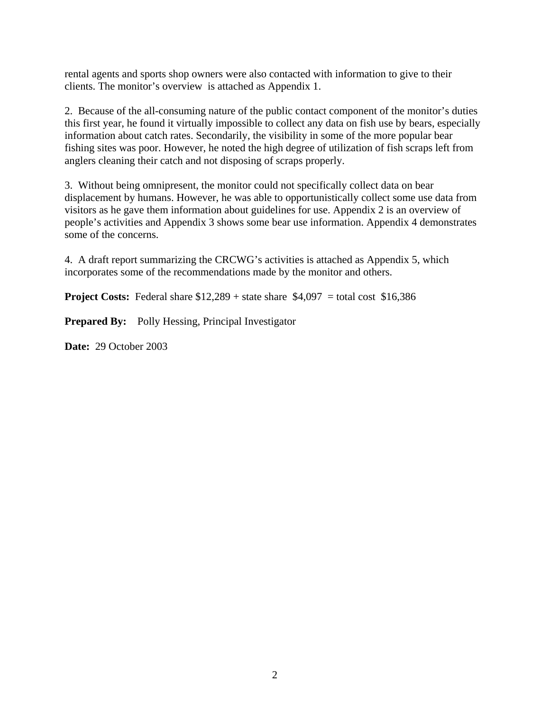rental agents and sports shop owners were also contacted with information to give to their clients. The monitor's overview is attached as Appendix 1.

2. Because of the all-consuming nature of the public contact component of the monitor's duties this first year, he found it virtually impossible to collect any data on fish use by bears, especially information about catch rates. Secondarily, the visibility in some of the more popular bear fishing sites was poor. However, he noted the high degree of utilization of fish scraps left from anglers cleaning their catch and not disposing of scraps properly.

3. Without being omnipresent, the monitor could not specifically collect data on bear displacement by humans. However, he was able to opportunistically collect some use data from visitors as he gave them information about guidelines for use. Appendix 2 is an overview of people's activities and Appendix 3 shows some bear use information. Appendix 4 demonstrates some of the concerns.

4. A draft report summarizing the CRCWG's activities is attached as Appendix 5, which incorporates some of the recommendations made by the monitor and others.

**Project Costs:** Federal share  $$12,289$  + state share  $$4,097$  = total cost  $$16,386$ 

**Prepared By:** Polly Hessing, Principal Investigator

**Date:** 29 October 2003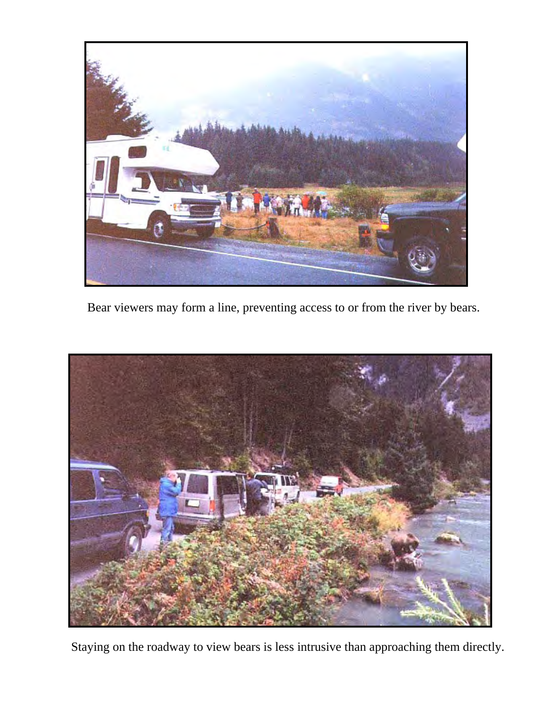

Bear viewers may form a line, preventing access to or from the river by bears.



Staying on the roadway to view bears is less intrusive than approaching them directly.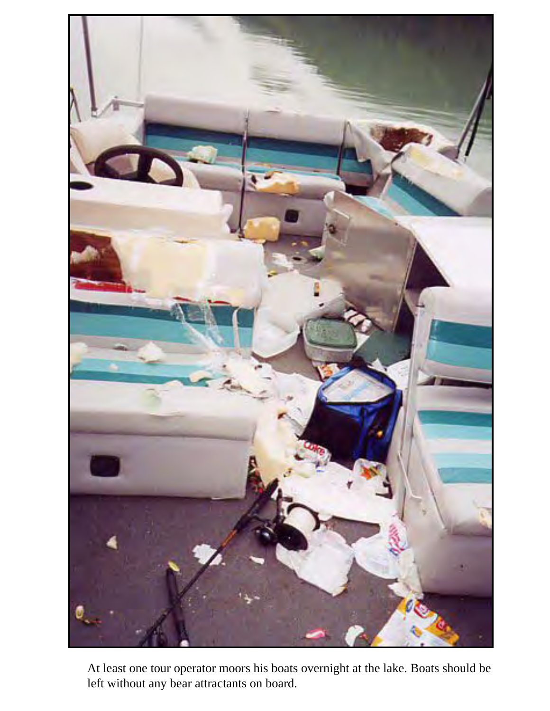

At least one tour operator moors his boats overnight at the lake. Boats should be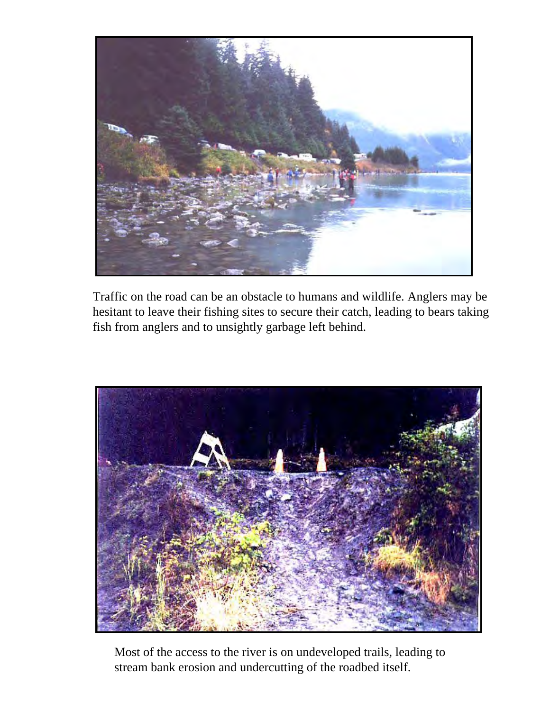

Traffic on the road can be an obstacle to humans and wildlife. Anglers may be hesitant to leave their fishing sites to secure their catch, leading to bears taking fish from anglers and to unsightly garbage left behind.



Most of the access to the river is on undeveloped trails, leading to stream bank erosion and undercutting of the roadbed itself.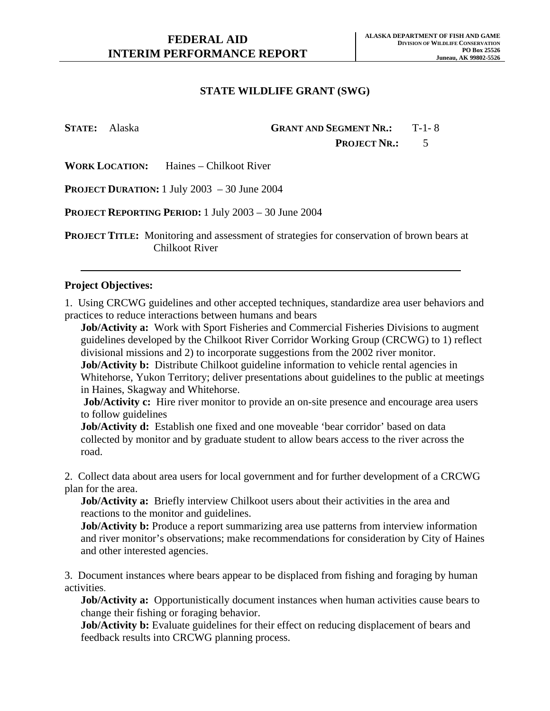## **STATE:** Alaska **GRANT AND SEGMENT NR.:** T-1- 8 PROJECT NR.: 5

**WORK LOCATION:** Haines – Chilkoot River

**PROJECT DURATION:** 1 July 2003 – 30 June 2004

**PROJECT REPORTING PERIOD:** 1 July 2003 – 30 June 2004

**PROJECT TITLE:** Monitoring and assessment of strategies for conservation of brown bears at Chilkoot River

#### **Project Objectives:**

1. Using CRCWG guidelines and other accepted techniques, standardize area user behaviors and practices to reduce interactions between humans and bears

**Job/Activity a:** Work with Sport Fisheries and Commercial Fisheries Divisions to augment guidelines developed by the Chilkoot River Corridor Working Group (CRCWG) to 1) reflect divisional missions and 2) to incorporate suggestions from the 2002 river monitor.

**Job/Activity b:** Distribute Chilkoot guideline information to vehicle rental agencies in Whitehorse, Yukon Territory; deliver presentations about guidelines to the public at meetings in Haines, Skagway and Whitehorse.

**Job/Activity c:** Hire river monitor to provide an on-site presence and encourage area users to follow guidelines

**Job/Activity d:** Establish one fixed and one moveable 'bear corridor' based on data collected by monitor and by graduate student to allow bears access to the river across the road.

2. Collect data about area users for local government and for further development of a CRCWG plan for the area.

**Job/Activity a:** Briefly interview Chilkoot users about their activities in the area and reactions to the monitor and guidelines.

**Job/Activity b:** Produce a report summarizing area use patterns from interview information and river monitor's observations; make recommendations for consideration by City of Haines and other interested agencies.

3. Document instances where bears appear to be displaced from fishing and foraging by human activities.

**Job/Activity a:** Opportunistically document instances when human activities cause bears to change their fishing or foraging behavior.

**Job/Activity b:** Evaluate guidelines for their effect on reducing displacement of bears and feedback results into CRCWG planning process.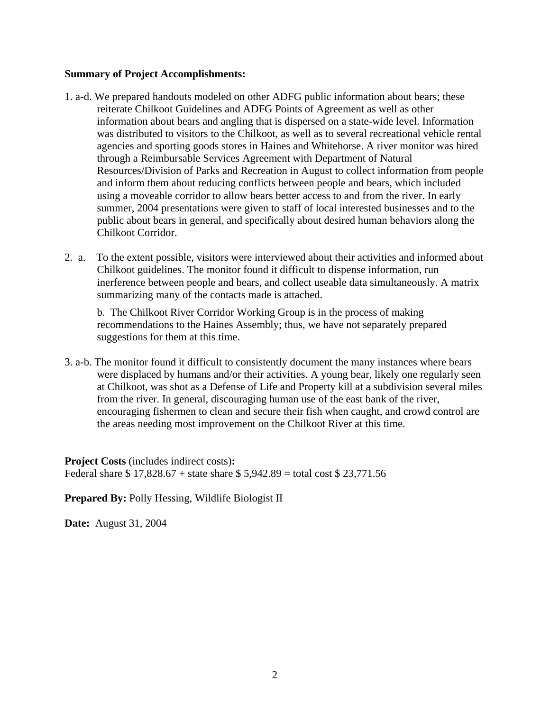### **Summary of Project Accomplishments:**

- 1. a-d. We prepared handouts modeled on other ADFG public information about bears; these reiterate Chilkoot Guidelines and ADFG Points of Agreement as well as other information about bears and angling that is dispersed on a state-wide level. Information was distributed to visitors to the Chilkoot, as well as to several recreational vehicle rental agencies and sporting goods stores in Haines and Whitehorse. A river monitor was hired through a Reimbursable Services Agreement with Department of Natural Resources/Division of Parks and Recreation in August to collect information from people and inform them about reducing conflicts between people and bears, which included using a moveable corridor to allow bears better access to and from the river. In early summer, 2004 presentations were given to staff of local interested businesses and to the public about bears in general, and specifically about desired human behaviors along the Chilkoot Corridor.
- 2. a. To the extent possible, visitors were interviewed about their activities and informed about Chilkoot guidelines. The monitor found it difficult to dispense information, run inerference between people and bears, and collect useable data simultaneously. A matrix summarizing many of the contacts made is attached.

b. The Chilkoot River Corridor Working Group is in the process of making recommendations to the Haines Assembly; thus, we have not separately prepared suggestions for them at this time.

3. a-b. The monitor found it difficult to consistently document the many instances where bears were displaced by humans and/or their activities. A young bear, likely one regularly seen at Chilkoot, was shot as a Defense of Life and Property kill at a subdivision several miles from the river. In general, discouraging human use of the east bank of the river, encouraging fishermen to clean and secure their fish when caught, and crowd control are the areas needing most improvement on the Chilkoot River at this time.

**Project Costs** (includes indirect costs)**:**  Federal share \$ 17,828.67 + state share \$ 5,942.89 = total cost \$ 23,771.56

**Prepared By:** Polly Hessing, Wildlife Biologist II

**Date:** August 31, 2004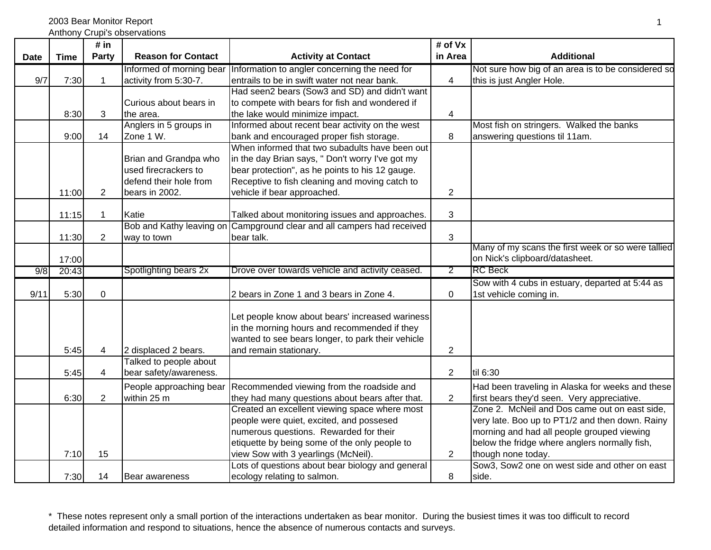2003 Bear Monitor Report

Anthony Crupi's observations

|             |              | # in                 |                                                |                                                                                                                                                                                                                                                                                                                                                                                 | # of Vx                          |                                                                                                                                                                                                                                                                                                                                                                           |
|-------------|--------------|----------------------|------------------------------------------------|---------------------------------------------------------------------------------------------------------------------------------------------------------------------------------------------------------------------------------------------------------------------------------------------------------------------------------------------------------------------------------|----------------------------------|---------------------------------------------------------------------------------------------------------------------------------------------------------------------------------------------------------------------------------------------------------------------------------------------------------------------------------------------------------------------------|
| <b>Date</b> | <b>Time</b>  | Party                | <b>Reason for Contact</b>                      | <b>Activity at Contact</b>                                                                                                                                                                                                                                                                                                                                                      | in Area                          | <b>Additional</b>                                                                                                                                                                                                                                                                                                                                                         |
|             |              |                      | Informed of morning bear                       | Information to angler concerning the need for                                                                                                                                                                                                                                                                                                                                   |                                  | Not sure how big of an area is to be considered so                                                                                                                                                                                                                                                                                                                        |
| 9/7         | 7:30         | $\mathbf{1}$         | activity from 5:30-7.                          | entrails to be in swift water not near bank.                                                                                                                                                                                                                                                                                                                                    | 4                                | this is just Angler Hole.                                                                                                                                                                                                                                                                                                                                                 |
|             |              |                      |                                                | Had seen2 bears (Sow3 and SD) and didn't want                                                                                                                                                                                                                                                                                                                                   |                                  |                                                                                                                                                                                                                                                                                                                                                                           |
|             |              |                      | Curious about bears in                         | to compete with bears for fish and wondered if                                                                                                                                                                                                                                                                                                                                  |                                  |                                                                                                                                                                                                                                                                                                                                                                           |
|             | 8:30         | 3                    | the area.                                      | the lake would minimize impact.                                                                                                                                                                                                                                                                                                                                                 | 4                                |                                                                                                                                                                                                                                                                                                                                                                           |
|             |              |                      | Anglers in 5 groups in                         | Informed about recent bear activity on the west                                                                                                                                                                                                                                                                                                                                 |                                  | Most fish on stringers. Walked the banks                                                                                                                                                                                                                                                                                                                                  |
|             | 9:00         | 14                   | Zone 1 W.                                      | bank and encouraged proper fish storage.                                                                                                                                                                                                                                                                                                                                        | 8                                | answering questions til 11am.                                                                                                                                                                                                                                                                                                                                             |
|             |              |                      |                                                | When informed that two subadults have been out                                                                                                                                                                                                                                                                                                                                  |                                  |                                                                                                                                                                                                                                                                                                                                                                           |
|             |              |                      | Brian and Grandpa who                          | in the day Brian says, " Don't worry I've got my                                                                                                                                                                                                                                                                                                                                |                                  |                                                                                                                                                                                                                                                                                                                                                                           |
|             |              |                      | used firecrackers to                           | bear protection", as he points to his 12 gauge.                                                                                                                                                                                                                                                                                                                                 |                                  |                                                                                                                                                                                                                                                                                                                                                                           |
|             |              |                      | defend their hole from                         | Receptive to fish cleaning and moving catch to                                                                                                                                                                                                                                                                                                                                  |                                  |                                                                                                                                                                                                                                                                                                                                                                           |
|             | 11:00        | 2                    | bears in 2002.                                 | vehicle if bear approached.                                                                                                                                                                                                                                                                                                                                                     | $\overline{c}$                   |                                                                                                                                                                                                                                                                                                                                                                           |
|             | 11:15        | $\mathbf 1$          | Katie                                          | Talked about monitoring issues and approaches.                                                                                                                                                                                                                                                                                                                                  | 3                                |                                                                                                                                                                                                                                                                                                                                                                           |
|             |              |                      | Bob and Kathy leaving on                       | Campground clear and all campers had received                                                                                                                                                                                                                                                                                                                                   |                                  |                                                                                                                                                                                                                                                                                                                                                                           |
|             | 11:30        | $\overline{2}$       | way to town                                    | bear talk.                                                                                                                                                                                                                                                                                                                                                                      | 3                                |                                                                                                                                                                                                                                                                                                                                                                           |
|             |              |                      |                                                |                                                                                                                                                                                                                                                                                                                                                                                 |                                  | Many of my scans the first week or so were tallied                                                                                                                                                                                                                                                                                                                        |
|             | 17:00        |                      |                                                |                                                                                                                                                                                                                                                                                                                                                                                 |                                  | on Nick's clipboard/datasheet.                                                                                                                                                                                                                                                                                                                                            |
| 9/8         | 20:43        |                      | Spotlighting bears 2x                          | Drove over towards vehicle and activity ceased.                                                                                                                                                                                                                                                                                                                                 | 2                                | <b>RC</b> Beck                                                                                                                                                                                                                                                                                                                                                            |
|             |              |                      |                                                |                                                                                                                                                                                                                                                                                                                                                                                 |                                  | Sow with 4 cubs in estuary, departed at 5:44 as                                                                                                                                                                                                                                                                                                                           |
| 9/11        | 5:30         | $\mathbf 0$          |                                                | 2 bears in Zone 1 and 3 bears in Zone 4.                                                                                                                                                                                                                                                                                                                                        | $\mathbf 0$                      | 1st vehicle coming in.                                                                                                                                                                                                                                                                                                                                                    |
|             |              |                      |                                                |                                                                                                                                                                                                                                                                                                                                                                                 |                                  |                                                                                                                                                                                                                                                                                                                                                                           |
|             |              |                      |                                                | Let people know about bears' increased wariness                                                                                                                                                                                                                                                                                                                                 |                                  |                                                                                                                                                                                                                                                                                                                                                                           |
|             |              |                      |                                                | in the morning hours and recommended if they                                                                                                                                                                                                                                                                                                                                    |                                  |                                                                                                                                                                                                                                                                                                                                                                           |
|             | 5:45         |                      |                                                | wanted to see bears longer, to park their vehicle                                                                                                                                                                                                                                                                                                                               |                                  |                                                                                                                                                                                                                                                                                                                                                                           |
|             |              | 4                    | 2 displaced 2 bears.<br>Talked to people about | and remain stationary.                                                                                                                                                                                                                                                                                                                                                          | $\overline{2}$                   |                                                                                                                                                                                                                                                                                                                                                                           |
|             | 5:45         | 4                    | bear safety/awareness.                         |                                                                                                                                                                                                                                                                                                                                                                                 | $\overline{2}$                   | til 6:30                                                                                                                                                                                                                                                                                                                                                                  |
|             |              |                      |                                                |                                                                                                                                                                                                                                                                                                                                                                                 |                                  |                                                                                                                                                                                                                                                                                                                                                                           |
|             |              |                      |                                                |                                                                                                                                                                                                                                                                                                                                                                                 |                                  |                                                                                                                                                                                                                                                                                                                                                                           |
|             |              |                      |                                                |                                                                                                                                                                                                                                                                                                                                                                                 |                                  |                                                                                                                                                                                                                                                                                                                                                                           |
|             |              |                      |                                                |                                                                                                                                                                                                                                                                                                                                                                                 |                                  |                                                                                                                                                                                                                                                                                                                                                                           |
|             |              |                      |                                                |                                                                                                                                                                                                                                                                                                                                                                                 |                                  |                                                                                                                                                                                                                                                                                                                                                                           |
|             |              |                      |                                                |                                                                                                                                                                                                                                                                                                                                                                                 |                                  |                                                                                                                                                                                                                                                                                                                                                                           |
|             |              |                      |                                                |                                                                                                                                                                                                                                                                                                                                                                                 |                                  |                                                                                                                                                                                                                                                                                                                                                                           |
|             |              |                      |                                                |                                                                                                                                                                                                                                                                                                                                                                                 |                                  |                                                                                                                                                                                                                                                                                                                                                                           |
|             |              |                      |                                                |                                                                                                                                                                                                                                                                                                                                                                                 | 8                                | side.                                                                                                                                                                                                                                                                                                                                                                     |
|             | 6:30<br>7:10 | $\overline{2}$<br>15 | People approaching bear<br>within 25 m         | Recommended viewing from the roadside and<br>they had many questions about bears after that.<br>Created an excellent viewing space where most<br>people were quiet, excited, and possesed<br>numerous questions. Rewarded for their<br>etiquette by being some of the only people to<br>view Sow with 3 yearlings (McNeil).<br>Lots of questions about bear biology and general | $\overline{2}$<br>$\overline{2}$ | Had been traveling in Alaska for weeks and these<br>first bears they'd seen. Very appreciative.<br>Zone 2. McNeil and Dos came out on east side,<br>very late. Boo up to PT1/2 and then down. Rainy<br>morning and had all people grouped viewing<br>below the fridge where anglers normally fish,<br>though none today.<br>Sow3, Sow2 one on west side and other on east |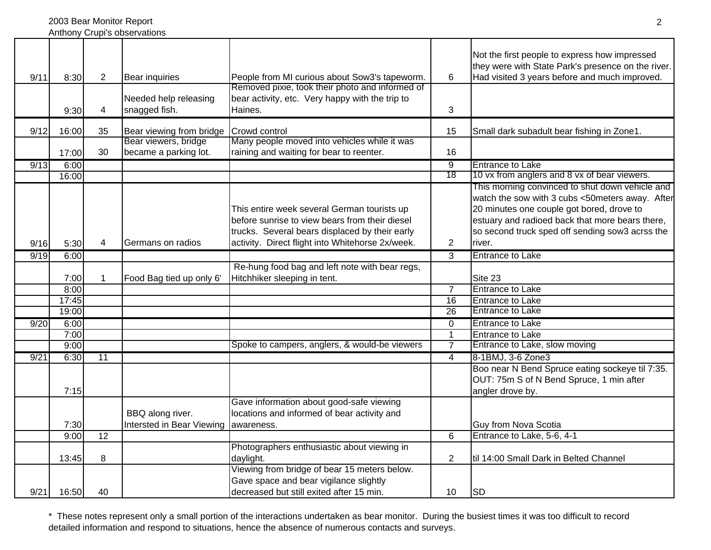2003 Bear Monitor Report Anthony Crupi's observations

| 9/11 | 8:30  | $\overline{2}$ | Bear inquiries<br>Needed help releasing       | People from MI curious about Sow3's tapeworm.<br>Removed pixie, took their photo and informed of<br>bear activity, etc. Very happy with the trip to                                                 | 6              | Not the first people to express how impressed<br>they were with State Park's presence on the river.<br>Had visited 3 years before and much improved.                                                                                                            |
|------|-------|----------------|-----------------------------------------------|-----------------------------------------------------------------------------------------------------------------------------------------------------------------------------------------------------|----------------|-----------------------------------------------------------------------------------------------------------------------------------------------------------------------------------------------------------------------------------------------------------------|
|      | 9:30  | 4              | snagged fish.                                 | Haines.                                                                                                                                                                                             | 3              |                                                                                                                                                                                                                                                                 |
| 9/12 | 16:00 | 35             | Bear viewing from bridge                      | Crowd control                                                                                                                                                                                       | 15             | Small dark subadult bear fishing in Zone1.                                                                                                                                                                                                                      |
|      | 17:00 | 30             | Bear viewers, bridge<br>became a parking lot. | Many people moved into vehicles while it was<br>raining and waiting for bear to reenter.                                                                                                            | 16             |                                                                                                                                                                                                                                                                 |
| 9/13 | 6:00  |                |                                               |                                                                                                                                                                                                     | $\overline{9}$ | <b>Entrance to Lake</b>                                                                                                                                                                                                                                         |
|      | 16:00 |                |                                               |                                                                                                                                                                                                     | 18             | 10 vx from anglers and 8 vx of bear viewers.                                                                                                                                                                                                                    |
| 9/16 | 5:30  | 4              | Germans on radios                             | This entire week several German tourists up<br>before sunrise to view bears from their diesel<br>trucks. Several bears displaced by their early<br>activity. Direct flight into Whitehorse 2x/week. | $\overline{2}$ | This morning convinced to shut down vehicle and<br>watch the sow with 3 cubs <50meters away. After<br>20 minutes one couple got bored, drove to<br>estuary and radioed back that more bears there,<br>so second truck sped off sending sow3 acrss the<br>river. |
| 9/19 | 6:00  |                |                                               |                                                                                                                                                                                                     | $\overline{3}$ | <b>Entrance to Lake</b>                                                                                                                                                                                                                                         |
|      | 7:00  | 1              | Food Bag tied up only 6'                      | Re-hung food bag and left note with bear regs,<br>Hitchhiker sleeping in tent.                                                                                                                      |                | Site 23                                                                                                                                                                                                                                                         |
|      | 8:00  |                |                                               |                                                                                                                                                                                                     | $\overline{7}$ | <b>Entrance to Lake</b>                                                                                                                                                                                                                                         |
|      | 17:45 |                |                                               |                                                                                                                                                                                                     | 16             | <b>Entrance to Lake</b>                                                                                                                                                                                                                                         |
|      | 19:00 |                |                                               |                                                                                                                                                                                                     | 26             | <b>Entrance to Lake</b>                                                                                                                                                                                                                                         |
| 9/20 | 6:00  |                |                                               |                                                                                                                                                                                                     | 0              | <b>Entrance to Lake</b>                                                                                                                                                                                                                                         |
|      | 7:00  |                |                                               |                                                                                                                                                                                                     | $\mathbf{1}$   | <b>Entrance to Lake</b>                                                                                                                                                                                                                                         |
|      | 9:00  |                |                                               | Spoke to campers, anglers, & would-be viewers                                                                                                                                                       | $\overline{7}$ | Entrance to Lake, slow moving                                                                                                                                                                                                                                   |
| 9/21 | 6:30  | 11             |                                               |                                                                                                                                                                                                     | 4              | 8-1BMJ, 3-6 Zone3                                                                                                                                                                                                                                               |
|      | 7:15  |                |                                               |                                                                                                                                                                                                     |                | Boo near N Bend Spruce eating sockeye til 7:35.<br>OUT: 75m S of N Bend Spruce, 1 min after<br>angler drove by.                                                                                                                                                 |
|      | 7:30  |                | BBQ along river.<br>Intersted in Bear Viewing | Gave information about good-safe viewing<br>locations and informed of bear activity and<br>awareness.                                                                                               |                | <b>Guy from Nova Scotia</b>                                                                                                                                                                                                                                     |
|      | 9:00  | 12             |                                               |                                                                                                                                                                                                     | 6              | Entrance to Lake, 5-6, 4-1                                                                                                                                                                                                                                      |
|      |       |                |                                               | Photographers enthusiastic about viewing in                                                                                                                                                         |                |                                                                                                                                                                                                                                                                 |
|      | 13:45 | 8              |                                               | daylight.<br>Viewing from bridge of bear 15 meters below.                                                                                                                                           | 2              | til 14:00 Small Dark in Belted Channel                                                                                                                                                                                                                          |
| 9/21 | 16:50 | 40             |                                               | Gave space and bear vigilance slightly<br>decreased but still exited after 15 min.                                                                                                                  | 10             | <b>SD</b>                                                                                                                                                                                                                                                       |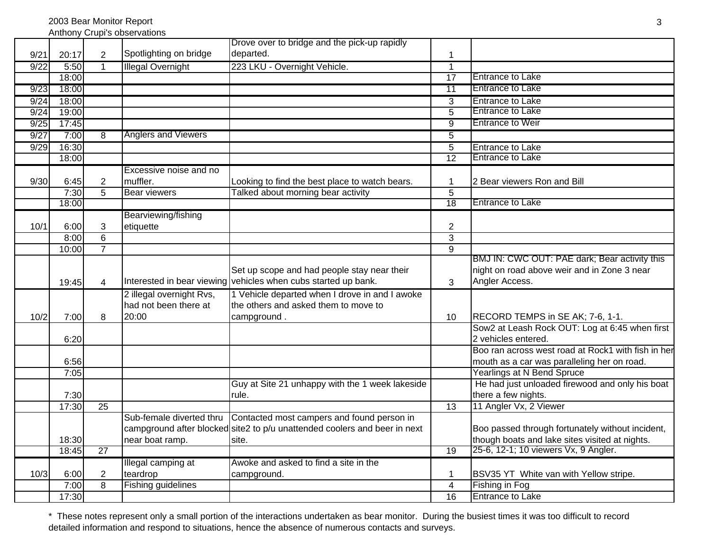Anthony Crupi's observations

|      |       |                 |                            | Drove over to bridge and the pick-up rapidly                              |                         |                                                    |
|------|-------|-----------------|----------------------------|---------------------------------------------------------------------------|-------------------------|----------------------------------------------------|
| 9/21 | 20:17 | $\overline{2}$  | Spotlighting on bridge     | departed.                                                                 | 1                       |                                                    |
| 9/22 | 5:50  | $\mathbf{1}$    | <b>Illegal Overnight</b>   | 223 LKU - Overnight Vehicle.                                              | $\overline{1}$          |                                                    |
|      | 18:00 |                 |                            |                                                                           | 17                      | <b>Entrance to Lake</b>                            |
| 9/23 | 18:00 |                 |                            |                                                                           | $\overline{11}$         | <b>Entrance to Lake</b>                            |
| 9/24 | 18:00 |                 |                            |                                                                           | 3                       | <b>Entrance to Lake</b>                            |
| 9/24 | 19:00 |                 |                            |                                                                           | $\overline{5}$          | <b>Entrance to Lake</b>                            |
| 9/25 | 17:45 |                 |                            |                                                                           | $\overline{9}$          | <b>Entrance to Weir</b>                            |
| 9/27 | 7:00  | $\overline{8}$  | <b>Anglers and Viewers</b> |                                                                           | $\overline{5}$          |                                                    |
| 9/29 | 16:30 |                 |                            |                                                                           | $\overline{5}$          | <b>Entrance to Lake</b>                            |
|      | 18:00 |                 |                            |                                                                           | 12                      | <b>Entrance to Lake</b>                            |
|      |       |                 | Excessive noise and no     |                                                                           |                         |                                                    |
| 9/30 | 6:45  | $\overline{c}$  | muffler.                   | Looking to find the best place to watch bears.                            | -1                      | 2 Bear viewers Ron and Bill                        |
|      | 7:30  | $\overline{5}$  | <b>Bear viewers</b>        | Talked about morning bear activity                                        | $\overline{5}$          |                                                    |
|      | 18:00 |                 |                            |                                                                           | 18                      | <b>Entrance to Lake</b>                            |
|      |       |                 | Bearviewing/fishing        |                                                                           |                         |                                                    |
| 10/1 | 6:00  | 3               | etiquette                  |                                                                           | $\overline{\mathbf{c}}$ |                                                    |
|      | 8:00  | $\overline{6}$  |                            |                                                                           | $\overline{3}$          |                                                    |
|      | 10:00 | $\overline{7}$  |                            |                                                                           | $\overline{9}$          |                                                    |
|      |       |                 |                            |                                                                           |                         | BMJ IN: CWC OUT: PAE dark; Bear activity this      |
|      |       |                 |                            | Set up scope and had people stay near their                               |                         | night on road above weir and in Zone 3 near        |
|      | 19:45 | $\overline{4}$  |                            | Interested in bear viewing vehicles when cubs started up bank.            | 3                       | Angler Access.                                     |
|      |       |                 | 2 illegal overnight Rvs,   | 1 Vehicle departed when I drove in and I awoke                            |                         |                                                    |
|      |       |                 | had not been there at      | the others and asked them to move to                                      |                         |                                                    |
| 10/2 | 7:00  | 8               | 20:00                      | campground.                                                               | 10                      | RECORD TEMPS in SE AK; 7-6, 1-1.                   |
|      |       |                 |                            |                                                                           |                         | Sow2 at Leash Rock OUT: Log at 6:45 when first     |
|      | 6:20  |                 |                            |                                                                           |                         | 2 vehicles entered.                                |
|      |       |                 |                            |                                                                           |                         | Boo ran across west road at Rock1 with fish in her |
|      | 6:56  |                 |                            |                                                                           |                         | mouth as a car was paralleling her on road.        |
|      | 7:05  |                 |                            |                                                                           |                         | Yearlings at N Bend Spruce                         |
|      |       |                 |                            | Guy at Site 21 unhappy with the 1 week lakeside                           |                         | He had just unloaded firewood and only his boat    |
|      | 7:30  |                 |                            | rule.                                                                     |                         | there a few nights.                                |
|      | 17:30 | $\overline{25}$ |                            |                                                                           | $\overline{13}$         | 11 Angler Vx, 2 Viewer                             |
|      |       |                 | Sub-female diverted thru   | Contacted most campers and found person in                                |                         |                                                    |
|      |       |                 |                            | campground after blocked site2 to p/u unattended coolers and beer in next |                         | Boo passed through fortunately without incident,   |
|      | 18:30 |                 | near boat ramp.            | site.                                                                     |                         | though boats and lake sites visited at nights.     |
|      | 18:45 | $\overline{27}$ |                            |                                                                           | 19                      | 25-6, 12-1; 10 viewers Vx, 9 Angler.               |
|      |       |                 | Illegal camping at         | Awoke and asked to find a site in the                                     |                         |                                                    |
| 10/3 | 6:00  | $\overline{2}$  | teardrop                   | campground.                                                               | $\mathbf 1$             | BSV35 YT White van with Yellow stripe.             |
|      | 7:00  | 8               | <b>Fishing guidelines</b>  |                                                                           | 4                       | Fishing in Fog                                     |
|      | 17:30 |                 |                            |                                                                           | 16                      | <b>Entrance to Lake</b>                            |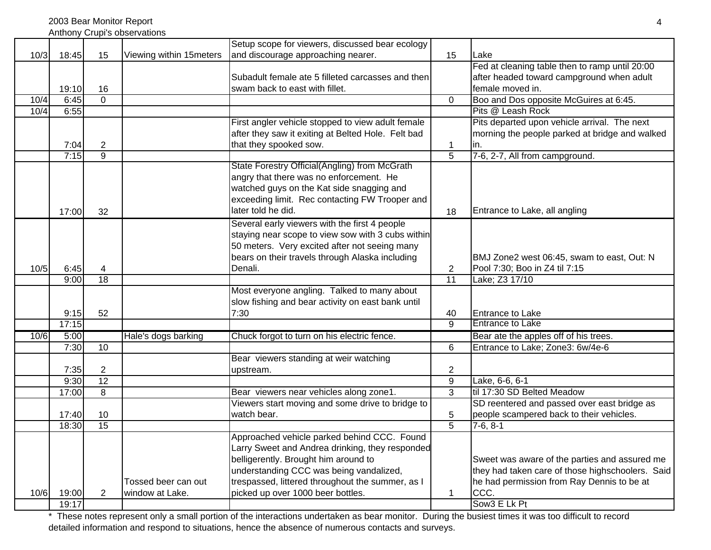2003 Bear Monitor Report

|  | Anthony Crupi's observations |
|--|------------------------------|
|  |                              |

|      |       |                |                         | Setup scope for viewers, discussed bear ecology    |                 |                                                  |
|------|-------|----------------|-------------------------|----------------------------------------------------|-----------------|--------------------------------------------------|
| 10/3 | 18:45 | 15             | Viewing within 15meters | and discourage approaching nearer.                 | 15              | Lake                                             |
|      |       |                |                         |                                                    |                 | Fed at cleaning table then to ramp until 20:00   |
|      |       |                |                         | Subadult female ate 5 filleted carcasses and then  |                 | after headed toward campground when adult        |
|      | 19:10 | 16             |                         | swam back to east with fillet.                     |                 | female moved in.                                 |
| 10/4 | 6:45  | $\Omega$       |                         |                                                    | $\Omega$        | Boo and Dos opposite McGuires at 6:45.           |
| 10/4 | 6:55  |                |                         |                                                    |                 | Pits @ Leash Rock                                |
|      |       |                |                         | First angler vehicle stopped to view adult female  |                 | Pits departed upon vehicle arrival. The next     |
|      |       |                |                         | after they saw it exiting at Belted Hole. Felt bad |                 | morning the people parked at bridge and walked   |
|      | 7:04  | $\overline{c}$ |                         | that they spooked sow.                             | $\mathbf 1$     | lin.                                             |
|      | 7:15  | $\overline{9}$ |                         |                                                    | $\overline{5}$  | 7-6, 2-7, All from campground.                   |
|      |       |                |                         | State Forestry Official(Angling) from McGrath      |                 |                                                  |
|      |       |                |                         | angry that there was no enforcement. He            |                 |                                                  |
|      |       |                |                         | watched guys on the Kat side snagging and          |                 |                                                  |
|      |       |                |                         | exceeding limit. Rec contacting FW Trooper and     |                 |                                                  |
|      | 17:00 | 32             |                         | later told he did.                                 | 18              | Entrance to Lake, all angling                    |
|      |       |                |                         | Several early viewers with the first 4 people      |                 |                                                  |
|      |       |                |                         | staying near scope to view sow with 3 cubs within  |                 |                                                  |
|      |       |                |                         | 50 meters. Very excited after not seeing many      |                 |                                                  |
|      |       |                |                         | bears on their travels through Alaska including    |                 | BMJ Zone2 west 06:45, swam to east, Out: N       |
| 10/5 | 6:45  | 4              |                         | Denali.                                            | $\overline{2}$  | Pool 7:30; Boo in Z4 til 7:15                    |
|      | 9:00  | 18             |                         |                                                    | $\overline{11}$ | Lake; Z3 17/10                                   |
|      |       |                |                         | Most everyone angling. Talked to many about        |                 |                                                  |
|      |       |                |                         | slow fishing and bear activity on east bank until  |                 |                                                  |
|      | 9:15  | 52             |                         | 7:30                                               | 40              | <b>Entrance to Lake</b>                          |
|      | 17:15 |                |                         |                                                    | $\overline{9}$  | <b>Entrance to Lake</b>                          |
| 10/6 | 5:00  |                | Hale's dogs barking     | Chuck forgot to turn on his electric fence.        |                 | Bear ate the apples off of his trees.            |
|      | 7:30  | 10             |                         |                                                    | $6\phantom{1}$  | Entrance to Lake; Zone3: 6w/4e-6                 |
|      |       |                |                         | Bear viewers standing at weir watching             |                 |                                                  |
|      | 7:35  | $\overline{2}$ |                         | upstream.                                          | $\overline{2}$  |                                                  |
|      | 9:30  | 12             |                         |                                                    | $\overline{9}$  | Lake, 6-6, 6-1                                   |
|      | 17:00 | 8              |                         | Bear viewers near vehicles along zone1.            | $\overline{3}$  | til 17:30 SD Belted Meadow                       |
|      |       |                |                         | Viewers start moving and some drive to bridge to   |                 | SD reentered and passed over east bridge as      |
|      | 17:40 | 10             |                         | watch bear.                                        | 5               | people scampered back to their vehicles.         |
|      | 18:30 | 15             |                         |                                                    | $\overline{5}$  | $7-6, 8-1$                                       |
|      |       |                |                         | Approached vehicle parked behind CCC. Found        |                 |                                                  |
|      |       |                |                         | Larry Sweet and Andrea drinking, they responded    |                 |                                                  |
|      |       |                |                         | belligerently. Brought him around to               |                 | Sweet was aware of the parties and assured me    |
|      |       |                |                         | understanding CCC was being vandalized,            |                 | they had taken care of those highschoolers. Said |
|      |       |                | Tossed beer can out     | trespassed, littered throughout the summer, as I   |                 | he had permission from Ray Dennis to be at       |
| 10/6 | 19:00 | $\overline{2}$ | window at Lake.         | picked up over 1000 beer bottles.                  | 1               | CCC.                                             |
|      | 19:17 |                |                         |                                                    |                 | Sow <sub>3</sub> E Lk Pt                         |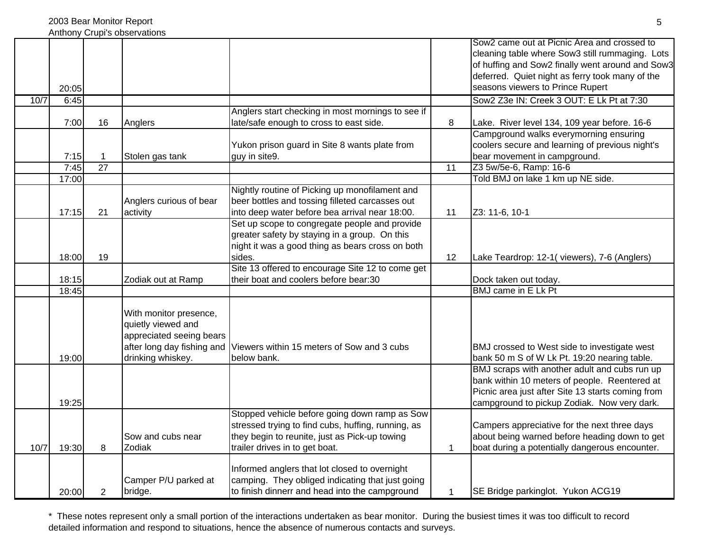|      |       |                 | ATITIOTIV UTUPI S UDSEIVATIOTIS                                                                                             |                                                                                                                                                                                        |                 |                                                                                                                                                                                                                                           |
|------|-------|-----------------|-----------------------------------------------------------------------------------------------------------------------------|----------------------------------------------------------------------------------------------------------------------------------------------------------------------------------------|-----------------|-------------------------------------------------------------------------------------------------------------------------------------------------------------------------------------------------------------------------------------------|
|      | 20:05 |                 |                                                                                                                             |                                                                                                                                                                                        |                 | Sow2 came out at Picnic Area and crossed to<br>cleaning table where Sow3 still rummaging. Lots<br>of huffing and Sow2 finally went around and Sow3<br>deferred. Quiet night as ferry took many of the<br>seasons viewers to Prince Rupert |
| 10/7 | 6:45  |                 |                                                                                                                             |                                                                                                                                                                                        |                 | Sow2 Z3e IN: Creek 3 OUT: E Lk Pt at 7:30                                                                                                                                                                                                 |
|      | 7:00  | 16              | Anglers                                                                                                                     | Anglers start checking in most mornings to see if<br>late/safe enough to cross to east side.                                                                                           | 8               | Lake. River level 134, 109 year before. 16-6                                                                                                                                                                                              |
|      | 7:15  |                 | Stolen gas tank                                                                                                             | Yukon prison guard in Site 8 wants plate from<br>guy in site9.                                                                                                                         |                 | Campground walks everymorning ensuring<br>coolers secure and learning of previous night's<br>bear movement in campground.                                                                                                                 |
|      | 7:45  | $\overline{27}$ |                                                                                                                             |                                                                                                                                                                                        | $\overline{11}$ | Z3 5w/5e-6, Ramp: 16-6                                                                                                                                                                                                                    |
|      | 17:00 |                 |                                                                                                                             |                                                                                                                                                                                        |                 | Told BMJ on lake 1 km up NE side.                                                                                                                                                                                                         |
|      | 17:15 | 21              | Anglers curious of bear<br>activity                                                                                         | Nightly routine of Picking up monofilament and<br>beer bottles and tossing filleted carcasses out<br>into deep water before bea arrival near 18:00.                                    | 11              | Z3: 11-6, 10-1                                                                                                                                                                                                                            |
|      | 18:00 | 19              |                                                                                                                             | Set up scope to congregate people and provide<br>greater safety by staying in a group. On this<br>night it was a good thing as bears cross on both<br>sides.                           | 12              | Lake Teardrop: 12-1(viewers), 7-6 (Anglers)                                                                                                                                                                                               |
|      |       |                 |                                                                                                                             | Site 13 offered to encourage Site 12 to come get                                                                                                                                       |                 |                                                                                                                                                                                                                                           |
|      | 18:15 |                 | Zodiak out at Ramp                                                                                                          | their boat and coolers before bear:30                                                                                                                                                  |                 | Dock taken out today.                                                                                                                                                                                                                     |
|      | 18:45 |                 |                                                                                                                             |                                                                                                                                                                                        |                 | BMJ came in E Lk Pt                                                                                                                                                                                                                       |
|      | 19:00 |                 | With monitor presence,<br>quietly viewed and<br>appreciated seeing bears<br>after long day fishing and<br>drinking whiskey. | Viewers within 15 meters of Sow and 3 cubs<br>below bank.                                                                                                                              |                 | BMJ crossed to West side to investigate west<br>bank 50 m S of W Lk Pt. 19:20 nearing table.                                                                                                                                              |
|      | 19:25 |                 |                                                                                                                             |                                                                                                                                                                                        |                 | BMJ scraps with another adult and cubs run up<br>bank within 10 meters of people. Reentered at<br>Picnic area just after Site 13 starts coming from<br>campground to pickup Zodiak. Now very dark.                                        |
| 10/7 | 19:30 | 8               | Sow and cubs near<br>Zodiak                                                                                                 | Stopped vehicle before going down ramp as Sow<br>stressed trying to find cubs, huffing, running, as<br>they begin to reunite, just as Pick-up towing<br>trailer drives in to get boat. | $\mathbf 1$     | Campers appreciative for the next three days<br>about being warned before heading down to get<br>boat during a potentially dangerous encounter.                                                                                           |
|      | 20:00 | 2               | Camper P/U parked at<br>bridge.                                                                                             | Informed anglers that lot closed to overnight<br>camping. They obliged indicating that just going<br>to finish dinnerr and head into the campground                                    | $\mathbf 1$     | SE Bridge parkinglot. Yukon ACG19                                                                                                                                                                                                         |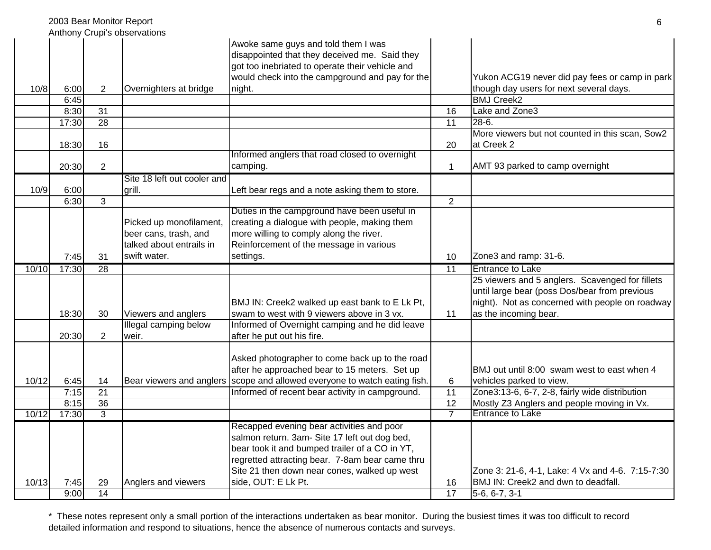|       |       | 2003 Bear Monitor Report |                                                                                              |                                                                                                                                                                                                                                                                        |                 | 6                                                                                                                                                                            |
|-------|-------|--------------------------|----------------------------------------------------------------------------------------------|------------------------------------------------------------------------------------------------------------------------------------------------------------------------------------------------------------------------------------------------------------------------|-----------------|------------------------------------------------------------------------------------------------------------------------------------------------------------------------------|
|       |       |                          | Anthony Crupi's observations                                                                 | Awoke same guys and told them I was<br>disappointed that they deceived me. Said they<br>got too inebriated to operate their vehicle and<br>would check into the campground and pay for the                                                                             |                 | Yukon ACG19 never did pay fees or camp in park                                                                                                                               |
| 10/8  | 6:00  | $\overline{2}$           | Overnighters at bridge                                                                       | night.                                                                                                                                                                                                                                                                 |                 | though day users for next several days.                                                                                                                                      |
|       | 6:45  |                          |                                                                                              |                                                                                                                                                                                                                                                                        |                 | <b>BMJ Creek2</b>                                                                                                                                                            |
|       | 8:30  | 31                       |                                                                                              |                                                                                                                                                                                                                                                                        | 16              | Lake and Zone3                                                                                                                                                               |
|       | 17:30 | 28                       |                                                                                              |                                                                                                                                                                                                                                                                        | $\overline{11}$ | $28 - 6.$                                                                                                                                                                    |
|       | 18:30 | 16                       |                                                                                              |                                                                                                                                                                                                                                                                        | 20              | More viewers but not counted in this scan, Sow2<br>at Creek 2                                                                                                                |
|       |       |                          |                                                                                              | Informed anglers that road closed to overnight                                                                                                                                                                                                                         |                 |                                                                                                                                                                              |
|       | 20:30 | $\overline{c}$           |                                                                                              | camping.                                                                                                                                                                                                                                                               | $\mathbf 1$     | AMT 93 parked to camp overnight                                                                                                                                              |
| 10/9  | 6:00  |                          | Site 18 left out cooler and<br>grill.                                                        | Left bear regs and a note asking them to store.                                                                                                                                                                                                                        |                 |                                                                                                                                                                              |
|       | 6:30  | $\overline{3}$           |                                                                                              |                                                                                                                                                                                                                                                                        | $\overline{2}$  |                                                                                                                                                                              |
|       | 7:45  | 31                       | Picked up monofilament,<br>beer cans, trash, and<br>talked about entrails in<br>swift water. | Duties in the campground have been useful in<br>creating a dialogue with people, making them<br>more willing to comply along the river.<br>Reinforcement of the message in various<br>settings.                                                                        | 10              | Zone3 and ramp: 31-6.                                                                                                                                                        |
| 10/10 | 17:30 | 28                       |                                                                                              |                                                                                                                                                                                                                                                                        | $\overline{11}$ | <b>Entrance to Lake</b>                                                                                                                                                      |
|       | 18:30 | 30                       | Viewers and anglers                                                                          | BMJ IN: Creek2 walked up east bank to E Lk Pt,<br>swam to west with 9 viewers above in 3 vx.                                                                                                                                                                           | 11              | 25 viewers and 5 anglers. Scavenged for fillets<br>until large bear (poss Dos/bear from previous<br>night). Not as concerned with people on roadway<br>as the incoming bear. |
|       | 20:30 | 2                        | Illegal camping below<br>weir.                                                               | Informed of Overnight camping and he did leave<br>after he put out his fire.                                                                                                                                                                                           |                 |                                                                                                                                                                              |
| 10/12 | 6:45  | 14                       |                                                                                              | Asked photographer to come back up to the road<br>after he approached bear to 15 meters. Set up<br>Bear viewers and anglers scope and allowed everyone to watch eating fish.                                                                                           | 6               | BMJ out until 8:00 swam west to east when 4<br>vehicles parked to view.                                                                                                      |
|       | 7:15  | 21                       |                                                                                              | Informed of recent bear activity in campground.                                                                                                                                                                                                                        | 11              | Zone3:13-6, 6-7, 2-8, fairly wide distribution                                                                                                                               |
|       | 8:15  | 36                       |                                                                                              |                                                                                                                                                                                                                                                                        | 12              | Mostly Z3 Anglers and people moving in Vx.                                                                                                                                   |
| 10/12 | 17:30 | $\overline{3}$           |                                                                                              |                                                                                                                                                                                                                                                                        | $\overline{7}$  | <b>Entrance to Lake</b>                                                                                                                                                      |
| 10/13 | 7:45  | 29                       | Anglers and viewers                                                                          | Recapped evening bear activities and poor<br>salmon return. 3am- Site 17 left out dog bed,<br>bear took it and bumped trailer of a CO in YT,<br>regretted attracting bear. 7-8am bear came thru<br>Site 21 then down near cones, walked up west<br>side, OUT: E Lk Pt. | 16              | Zone 3: 21-6, 4-1, Lake: 4 Vx and 4-6. 7:15-7:30<br>BMJ IN: Creek2 and dwn to deadfall.                                                                                      |
|       | 9:00  | 14                       |                                                                                              |                                                                                                                                                                                                                                                                        | $\overline{17}$ | $5-6, 6-7, 3-1$                                                                                                                                                              |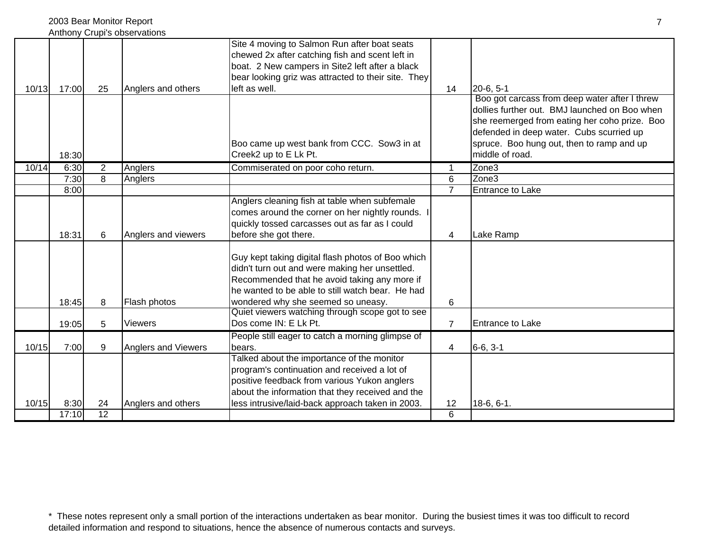|       |               |                       | Anthony Crupi's observations |                                                                                                                                                                                                                                               |                      |                                                                                                                                                                                                                                                             |
|-------|---------------|-----------------------|------------------------------|-----------------------------------------------------------------------------------------------------------------------------------------------------------------------------------------------------------------------------------------------|----------------------|-------------------------------------------------------------------------------------------------------------------------------------------------------------------------------------------------------------------------------------------------------------|
|       |               |                       |                              | Site 4 moving to Salmon Run after boat seats<br>chewed 2x after catching fish and scent left in<br>boat. 2 New campers in Site2 left after a black<br>bear looking griz was attracted to their site. They                                     |                      |                                                                                                                                                                                                                                                             |
| 10/13 | 17:00         | 25                    | Anglers and others           | left as well.                                                                                                                                                                                                                                 | 14                   | $20-6, 5-1$                                                                                                                                                                                                                                                 |
|       | 18:30         |                       |                              | Boo came up west bank from CCC. Sow3 in at<br>Creek2 up to E Lk Pt.                                                                                                                                                                           |                      | Boo got carcass from deep water after I threw<br>dollies further out. BMJ launched on Boo when<br>she reemerged from eating her coho prize. Boo<br>defended in deep water. Cubs scurried up<br>spruce. Boo hung out, then to ramp and up<br>middle of road. |
| 10/14 | 6:30          | $\overline{2}$        | Anglers                      | Commiserated on poor coho return.                                                                                                                                                                                                             | $\blacktriangleleft$ | Zone3                                                                                                                                                                                                                                                       |
|       | 7:30          | 8                     | Anglers                      |                                                                                                                                                                                                                                               | $\overline{6}$       | Zone <sub>3</sub>                                                                                                                                                                                                                                           |
|       | 8:00          |                       |                              |                                                                                                                                                                                                                                               | $\overline{7}$       | <b>Entrance to Lake</b>                                                                                                                                                                                                                                     |
|       | 18:31         | 6                     | Anglers and viewers          | Anglers cleaning fish at table when subfemale<br>comes around the corner on her nightly rounds.<br>quickly tossed carcasses out as far as I could<br>before she got there.                                                                    | 4                    | Lake Ramp                                                                                                                                                                                                                                                   |
|       | 18:45         | 8                     | Flash photos                 | Guy kept taking digital flash photos of Boo which<br>didn't turn out and were making her unsettled.<br>Recommended that he avoid taking any more if<br>he wanted to be able to still watch bear. He had<br>wondered why she seemed so uneasy. | 6                    |                                                                                                                                                                                                                                                             |
|       | 19:05         | 5                     | <b>Viewers</b>               | Quiet viewers watching through scope got to see<br>Dos come IN: E Lk Pt.                                                                                                                                                                      | $\overline{7}$       | Entrance to Lake                                                                                                                                                                                                                                            |
| 10/15 | 7:00          | 9                     | Anglers and Viewers          | People still eager to catch a morning glimpse of<br>bears.                                                                                                                                                                                    | 4                    | $6-6, 3-1$                                                                                                                                                                                                                                                  |
|       |               |                       |                              | Talked about the importance of the monitor<br>program's continuation and received a lot of<br>positive feedback from various Yukon anglers<br>about the information that they received and the                                                |                      |                                                                                                                                                                                                                                                             |
| 10/15 | 8:30<br>17:10 | 24<br>$\overline{12}$ | Anglers and others           | less intrusive/laid-back approach taken in 2003.                                                                                                                                                                                              | 12<br>6              | $18-6, 6-1.$                                                                                                                                                                                                                                                |
|       |               |                       |                              |                                                                                                                                                                                                                                               |                      |                                                                                                                                                                                                                                                             |

7

2003 Bear Monitor Report

<sup>\*</sup> These notes represent only a small portion of the interactions undertaken as bear monitor. During the busiest times it was too difficult to record detailed information and respond to situations, hence the absence of numerous contacts and surveys.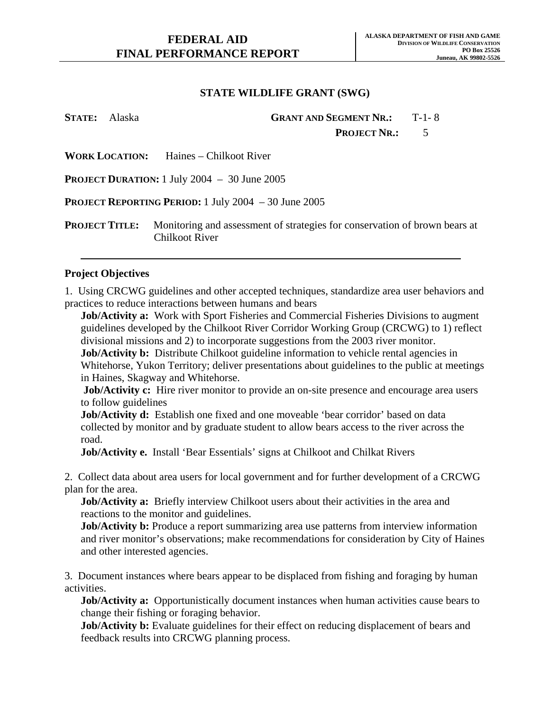| <b>STATE:</b> Alaska |                       | <b>GRANT AND SEGMENT NR.: T-1-8</b>                                                                 |    |  |
|----------------------|-----------------------|-----------------------------------------------------------------------------------------------------|----|--|
|                      |                       | <b>PROJECT NR.:</b>                                                                                 | .5 |  |
|                      |                       | <b>WORK LOCATION:</b> Haines – Chilkoot River                                                       |    |  |
|                      |                       | <b>PROJECT DURATION:</b> 1 July 2004 $-$ 30 June 2005                                               |    |  |
|                      |                       | <b>PROJECT REPORTING PERIOD:</b> 1 July 2004 $-30$ June 2005                                        |    |  |
|                      | <b>PROJECT TITLE:</b> | Monitoring and assessment of strategies for conservation of brown bears at<br><b>Chilkoot River</b> |    |  |

#### **Project Objectives**

1. Using CRCWG guidelines and other accepted techniques, standardize area user behaviors and practices to reduce interactions between humans and bears

**Job/Activity a:** Work with Sport Fisheries and Commercial Fisheries Divisions to augment guidelines developed by the Chilkoot River Corridor Working Group (CRCWG) to 1) reflect divisional missions and 2) to incorporate suggestions from the 2003 river monitor.

**Job/Activity b:** Distribute Chilkoot guideline information to vehicle rental agencies in Whitehorse, Yukon Territory; deliver presentations about guidelines to the public at meetings in Haines, Skagway and Whitehorse.

**Job/Activity c:** Hire river monitor to provide an on-site presence and encourage area users to follow guidelines

**Job/Activity d:** Establish one fixed and one moveable 'bear corridor' based on data collected by monitor and by graduate student to allow bears access to the river across the road.

**Job/Activity e.** Install 'Bear Essentials' signs at Chilkoot and Chilkat Rivers

2. Collect data about area users for local government and for further development of a CRCWG plan for the area.

**Job/Activity a:** Briefly interview Chilkoot users about their activities in the area and reactions to the monitor and guidelines.

**Job/Activity b:** Produce a report summarizing area use patterns from interview information and river monitor's observations; make recommendations for consideration by City of Haines and other interested agencies.

3. Document instances where bears appear to be displaced from fishing and foraging by human activities.

**Job/Activity a:** Opportunistically document instances when human activities cause bears to change their fishing or foraging behavior.

**Job/Activity b:** Evaluate guidelines for their effect on reducing displacement of bears and feedback results into CRCWG planning process.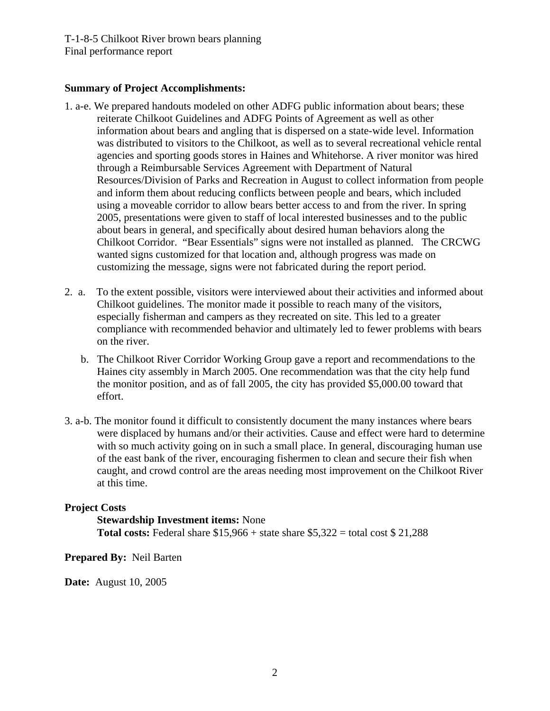T-1-8-5 Chilkoot River brown bears planning Final performance report

### **Summary of Project Accomplishments:**

- 1. a-e. We prepared handouts modeled on other ADFG public information about bears; these reiterate Chilkoot Guidelines and ADFG Points of Agreement as well as other information about bears and angling that is dispersed on a state-wide level. Information was distributed to visitors to the Chilkoot, as well as to several recreational vehicle rental agencies and sporting goods stores in Haines and Whitehorse. A river monitor was hired through a Reimbursable Services Agreement with Department of Natural Resources/Division of Parks and Recreation in August to collect information from people and inform them about reducing conflicts between people and bears, which included using a moveable corridor to allow bears better access to and from the river. In spring 2005, presentations were given to staff of local interested businesses and to the public about bears in general, and specifically about desired human behaviors along the Chilkoot Corridor. "Bear Essentials" signs were not installed as planned. The CRCWG wanted signs customized for that location and, although progress was made on customizing the message, signs were not fabricated during the report period.
- 2. a. To the extent possible, visitors were interviewed about their activities and informed about Chilkoot guidelines. The monitor made it possible to reach many of the visitors, especially fisherman and campers as they recreated on site. This led to a greater compliance with recommended behavior and ultimately led to fewer problems with bears on the river.
	- b. The Chilkoot River Corridor Working Group gave a report and recommendations to the Haines city assembly in March 2005. One recommendation was that the city help fund the monitor position, and as of fall 2005, the city has provided \$5,000.00 toward that effort.
- 3. a-b. The monitor found it difficult to consistently document the many instances where bears were displaced by humans and/or their activities. Cause and effect were hard to determine with so much activity going on in such a small place. In general, discouraging human use of the east bank of the river, encouraging fishermen to clean and secure their fish when caught, and crowd control are the areas needing most improvement on the Chilkoot River at this time.

### **Project Costs**

**Stewardship Investment items:** None **Total costs:** Federal share  $$15,966 + state share $5,322 = total cost $21,288$ 

### **Prepared By:** Neil Barten

**Date:** August 10, 2005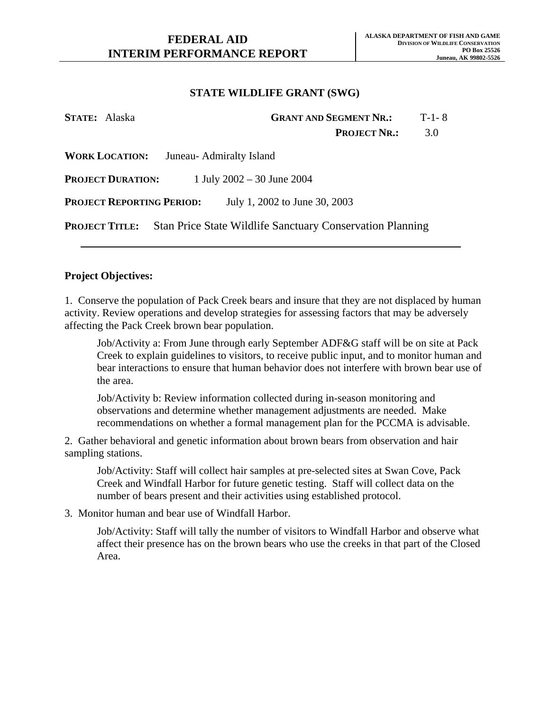| STATE: Alaska                    | <b>GRANT AND SEGMENT NR.:</b>                                    | $T-1-8$ |
|----------------------------------|------------------------------------------------------------------|---------|
|                                  | <b>PROJECT NR.:</b>                                              | 3.0     |
| <b>WORK LOCATION:</b>            | Juneau- Admiralty Island                                         |         |
| <b>PROJECT DURATION:</b>         | 1 July $2002 - 30$ June $2004$                                   |         |
| <b>PROJECT REPORTING PERIOD:</b> | July 1, 2002 to June 30, 2003                                    |         |
| <b>PROJECT TITLE:</b>            | <b>Stan Price State Wildlife Sanctuary Conservation Planning</b> |         |

#### **Project Objectives:**

1. Conserve the population of Pack Creek bears and insure that they are not displaced by human activity. Review operations and develop strategies for assessing factors that may be adversely affecting the Pack Creek brown bear population.

Job/Activity a: From June through early September ADF&G staff will be on site at Pack Creek to explain guidelines to visitors, to receive public input, and to monitor human and bear interactions to ensure that human behavior does not interfere with brown bear use of the area.

Job/Activity b: Review information collected during in-season monitoring and observations and determine whether management adjustments are needed. Make recommendations on whether a formal management plan for the PCCMA is advisable.

2. Gather behavioral and genetic information about brown bears from observation and hair sampling stations.

Job/Activity: Staff will collect hair samples at pre-selected sites at Swan Cove, Pack Creek and Windfall Harbor for future genetic testing. Staff will collect data on the number of bears present and their activities using established protocol.

3. Monitor human and bear use of Windfall Harbor.

Job/Activity: Staff will tally the number of visitors to Windfall Harbor and observe what affect their presence has on the brown bears who use the creeks in that part of the Closed Area.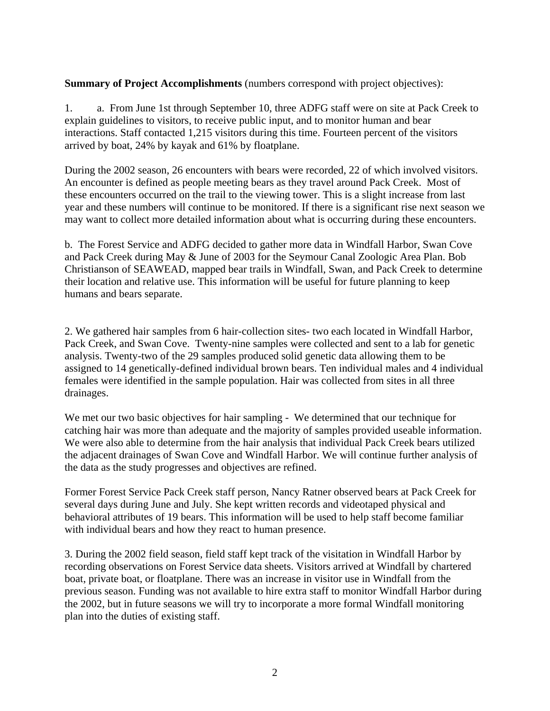## **Summary of Project Accomplishments** (numbers correspond with project objectives):

1. a. From June 1st through September 10, three ADFG staff were on site at Pack Creek to explain guidelines to visitors, to receive public input, and to monitor human and bear interactions. Staff contacted 1,215 visitors during this time. Fourteen percent of the visitors arrived by boat, 24% by kayak and 61% by floatplane.

During the 2002 season, 26 encounters with bears were recorded, 22 of which involved visitors. An encounter is defined as people meeting bears as they travel around Pack Creek. Most of these encounters occurred on the trail to the viewing tower. This is a slight increase from last year and these numbers will continue to be monitored. If there is a significant rise next season we may want to collect more detailed information about what is occurring during these encounters.

b. The Forest Service and ADFG decided to gather more data in Windfall Harbor, Swan Cove and Pack Creek during May & June of 2003 for the Seymour Canal Zoologic Area Plan. Bob Christianson of SEAWEAD, mapped bear trails in Windfall, Swan, and Pack Creek to determine their location and relative use. This information will be useful for future planning to keep humans and bears separate.

2. We gathered hair samples from 6 hair-collection sites- two each located in Windfall Harbor, Pack Creek, and Swan Cove. Twenty-nine samples were collected and sent to a lab for genetic analysis. Twenty-two of the 29 samples produced solid genetic data allowing them to be assigned to 14 genetically-defined individual brown bears. Ten individual males and 4 individual females were identified in the sample population. Hair was collected from sites in all three drainages.

We met our two basic objectives for hair sampling - We determined that our technique for catching hair was more than adequate and the majority of samples provided useable information. We were also able to determine from the hair analysis that individual Pack Creek bears utilized the adjacent drainages of Swan Cove and Windfall Harbor. We will continue further analysis of the data as the study progresses and objectives are refined.

Former Forest Service Pack Creek staff person, Nancy Ratner observed bears at Pack Creek for several days during June and July. She kept written records and videotaped physical and behavioral attributes of 19 bears. This information will be used to help staff become familiar with individual bears and how they react to human presence.

3. During the 2002 field season, field staff kept track of the visitation in Windfall Harbor by recording observations on Forest Service data sheets. Visitors arrived at Windfall by chartered boat, private boat, or floatplane. There was an increase in visitor use in Windfall from the previous season. Funding was not available to hire extra staff to monitor Windfall Harbor during the 2002, but in future seasons we will try to incorporate a more formal Windfall monitoring plan into the duties of existing staff.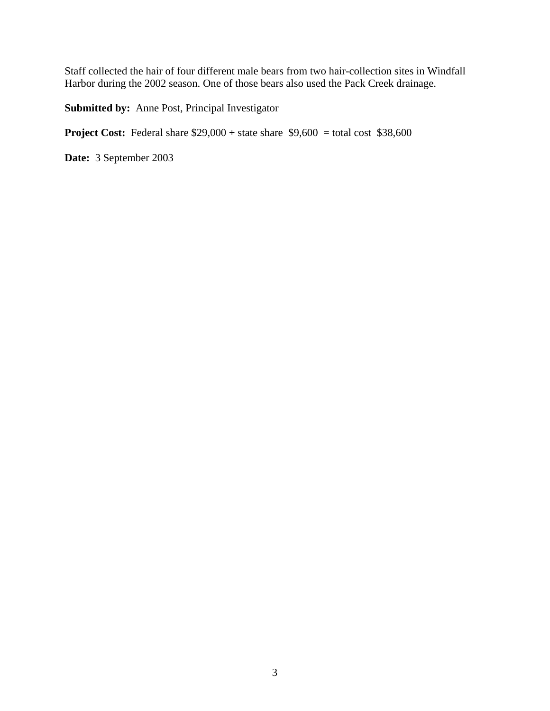Staff collected the hair of four different male bears from two hair-collection sites in Windfall Harbor during the 2002 season. One of those bears also used the Pack Creek drainage.

**Submitted by:** Anne Post, Principal Investigator

**Project Cost:** Federal share  $$29,000 + state share $9,600 = total cost $38,600$ 

**Date:** 3 September 2003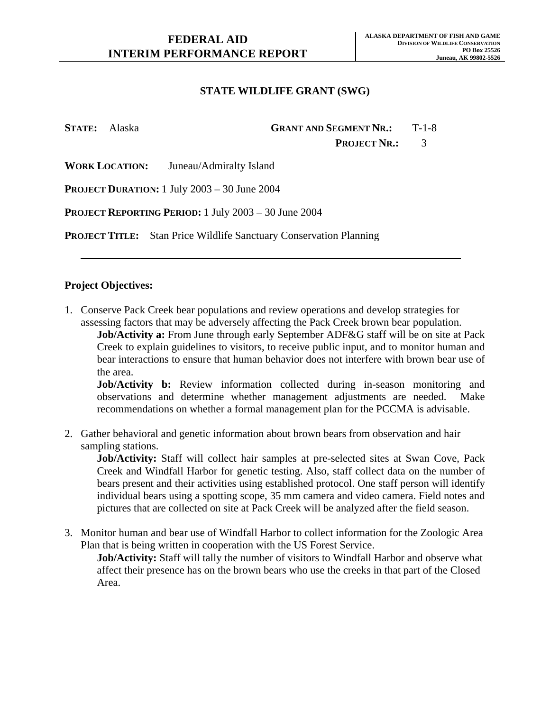**STATE:** Alaska **GRANT AND SEGMENT NR.:** T-1-8

PROJECT NR.: 3

**WORK LOCATION:** Juneau/Admiralty Island

**PROJECT DURATION:** 1 July 2003 – 30 June 2004

**PROJECT REPORTING PERIOD:** 1 July 2003 – 30 June 2004

**PROJECT TITLE:** Stan Price Wildlife Sanctuary Conservation Planning

#### **Project Objectives:**

1. Conserve Pack Creek bear populations and review operations and develop strategies for assessing factors that may be adversely affecting the Pack Creek brown bear population.

**Job/Activity a:** From June through early September ADF&G staff will be on site at Pack Creek to explain guidelines to visitors, to receive public input, and to monitor human and bear interactions to ensure that human behavior does not interfere with brown bear use of the area.

**Job/Activity b:** Review information collected during in-season monitoring and observations and determine whether management adjustments are needed. Make recommendations on whether a formal management plan for the PCCMA is advisable.

2. Gather behavioral and genetic information about brown bears from observation and hair sampling stations.

**Job/Activity:** Staff will collect hair samples at pre-selected sites at Swan Cove, Pack Creek and Windfall Harbor for genetic testing. Also, staff collect data on the number of bears present and their activities using established protocol. One staff person will identify individual bears using a spotting scope, 35 mm camera and video camera. Field notes and pictures that are collected on site at Pack Creek will be analyzed after the field season.

3. Monitor human and bear use of Windfall Harbor to collect information for the Zoologic Area Plan that is being written in cooperation with the US Forest Service.

**Job/Activity:** Staff will tally the number of visitors to Windfall Harbor and observe what affect their presence has on the brown bears who use the creeks in that part of the Closed Area.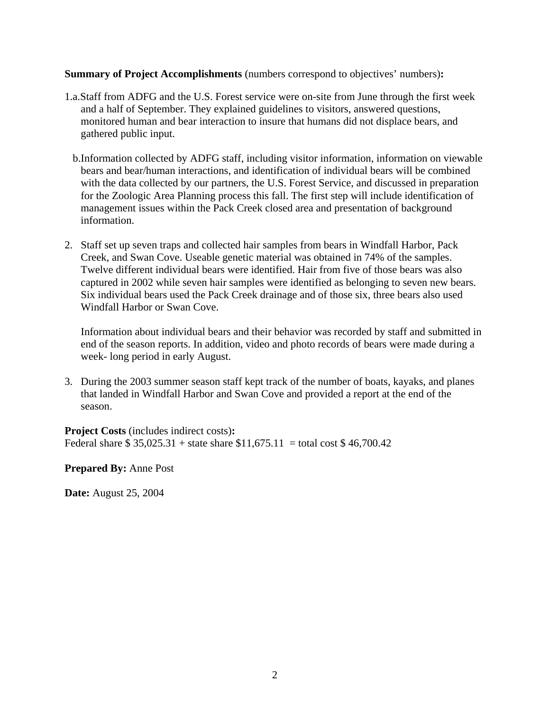### **Summary of Project Accomplishments** (numbers correspond to objectives' numbers)**:**

- 1.a.Staff from ADFG and the U.S. Forest service were on-site from June through the first week and a half of September. They explained guidelines to visitors, answered questions, monitored human and bear interaction to insure that humans did not displace bears, and gathered public input.
	- b.Information collected by ADFG staff, including visitor information, information on viewable bears and bear/human interactions, and identification of individual bears will be combined with the data collected by our partners, the U.S. Forest Service, and discussed in preparation for the Zoologic Area Planning process this fall. The first step will include identification of management issues within the Pack Creek closed area and presentation of background information.
- 2. Staff set up seven traps and collected hair samples from bears in Windfall Harbor, Pack Creek, and Swan Cove. Useable genetic material was obtained in 74% of the samples. Twelve different individual bears were identified. Hair from five of those bears was also captured in 2002 while seven hair samples were identified as belonging to seven new bears. Six individual bears used the Pack Creek drainage and of those six, three bears also used Windfall Harbor or Swan Cove.

Information about individual bears and their behavior was recorded by staff and submitted in end of the season reports. In addition, video and photo records of bears were made during a week- long period in early August.

3. During the 2003 summer season staff kept track of the number of boats, kayaks, and planes that landed in Windfall Harbor and Swan Cove and provided a report at the end of the season.

**Project Costs** (includes indirect costs)**:**  Federal share  $$35,025.31 + state share $11,675.11 = total cost $46,700.42$ 

**Prepared By:** Anne Post

**Date:** August 25, 2004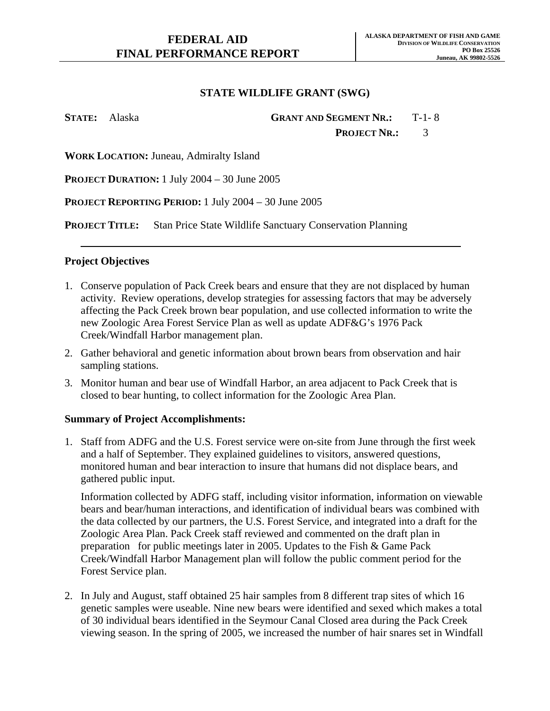**STATE:** Alaska **GRANT AND SEGMENT NR.:** T-1- 8 PROJECT NR.: 3

**WORK LOCATION:** Juneau, Admiralty Island

**PROJECT DURATION:** 1 July 2004 – 30 June 2005

**PROJECT REPORTING PERIOD:** 1 July 2004 – 30 June 2005

**PROJECT TITLE:** Stan Price State Wildlife Sanctuary Conservation Planning

#### **Project Objectives**

- 1. Conserve population of Pack Creek bears and ensure that they are not displaced by human activity. Review operations, develop strategies for assessing factors that may be adversely affecting the Pack Creek brown bear population, and use collected information to write the new Zoologic Area Forest Service Plan as well as update ADF&G's 1976 Pack Creek/Windfall Harbor management plan.
- 2. Gather behavioral and genetic information about brown bears from observation and hair sampling stations.
- 3. Monitor human and bear use of Windfall Harbor, an area adjacent to Pack Creek that is closed to bear hunting, to collect information for the Zoologic Area Plan.

#### **Summary of Project Accomplishments:**

1. Staff from ADFG and the U.S. Forest service were on-site from June through the first week and a half of September. They explained guidelines to visitors, answered questions, monitored human and bear interaction to insure that humans did not displace bears, and gathered public input.

Information collected by ADFG staff, including visitor information, information on viewable bears and bear/human interactions, and identification of individual bears was combined with the data collected by our partners, the U.S. Forest Service, and integrated into a draft for the Zoologic Area Plan. Pack Creek staff reviewed and commented on the draft plan in preparation for public meetings later in 2005. Updates to the Fish  $\&$  Game Pack Creek/Windfall Harbor Management plan will follow the public comment period for the Forest Service plan.

2. In July and August, staff obtained 25 hair samples from 8 different trap sites of which 16 genetic samples were useable. Nine new bears were identified and sexed which makes a total of 30 individual bears identified in the Seymour Canal Closed area during the Pack Creek viewing season. In the spring of 2005, we increased the number of hair snares set in Windfall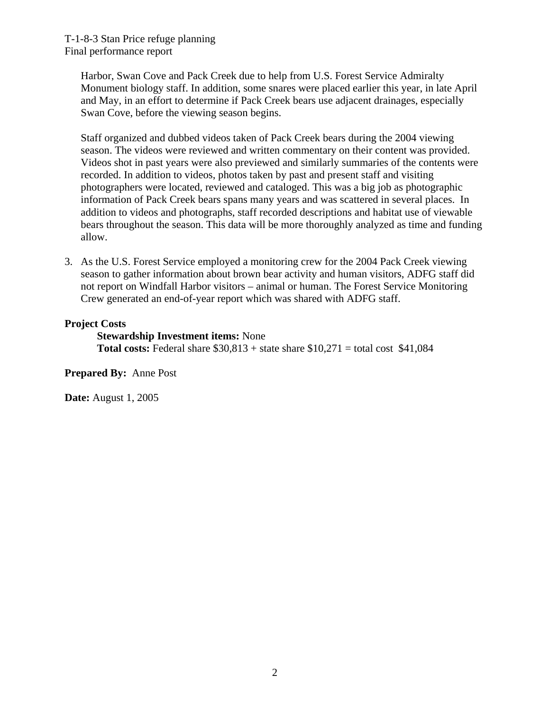Harbor, Swan Cove and Pack Creek due to help from U.S. Forest Service Admiralty Monument biology staff. In addition, some snares were placed earlier this year, in late April and May, in an effort to determine if Pack Creek bears use adjacent drainages, especially Swan Cove, before the viewing season begins.

Staff organized and dubbed videos taken of Pack Creek bears during the 2004 viewing season. The videos were reviewed and written commentary on their content was provided. Videos shot in past years were also previewed and similarly summaries of the contents were recorded. In addition to videos, photos taken by past and present staff and visiting photographers were located, reviewed and cataloged. This was a big job as photographic information of Pack Creek bears spans many years and was scattered in several places. In addition to videos and photographs, staff recorded descriptions and habitat use of viewable bears throughout the season. This data will be more thoroughly analyzed as time and funding allow.

3. As the U.S. Forest Service employed a monitoring crew for the 2004 Pack Creek viewing season to gather information about brown bear activity and human visitors, ADFG staff did not report on Windfall Harbor visitors – animal or human. The Forest Service Monitoring Crew generated an end-of-year report which was shared with ADFG staff.

## **Project Costs**

**Stewardship Investment items:** None **Total costs:** Federal share  $$30,813 +$  state share  $$10,271 =$  total cost  $$41,084$ 

**Prepared By:** Anne Post

**Date:** August 1, 2005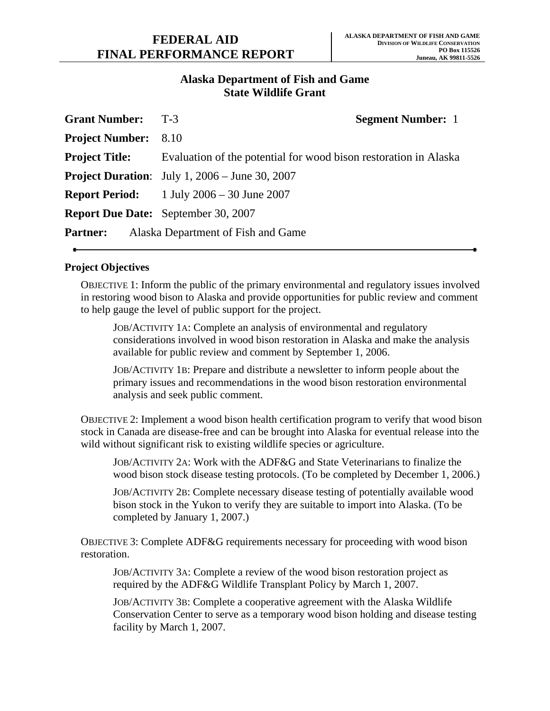## **Alaska Department of Fish and Game State Wildlife Grant**

| <b>Grant Number:</b> T-3    | <b>Segment Number: 1</b>                                         |
|-----------------------------|------------------------------------------------------------------|
| <b>Project Number:</b> 8.10 |                                                                  |
| <b>Project Title:</b>       | Evaluation of the potential for wood bison restoration in Alaska |
|                             | <b>Project Duration:</b> July 1, $2006 -$ June 30, $2007$        |
|                             | <b>Report Period:</b> 1 July $2006 - 30$ June $2007$             |
|                             | <b>Report Due Date:</b> September 30, 2007                       |
| <b>Partner:</b>             | Alaska Department of Fish and Game                               |

## **Project Objectives**

OBJECTIVE 1: Inform the public of the primary environmental and regulatory issues involved in restoring wood bison to Alaska and provide opportunities for public review and comment to help gauge the level of public support for the project.

JOB/ACTIVITY 1A: Complete an analysis of environmental and regulatory considerations involved in wood bison restoration in Alaska and make the analysis available for public review and comment by September 1, 2006.

JOB/ACTIVITY 1B: Prepare and distribute a newsletter to inform people about the primary issues and recommendations in the wood bison restoration environmental analysis and seek public comment.

OBJECTIVE 2: Implement a wood bison health certification program to verify that wood bison stock in Canada are disease-free and can be brought into Alaska for eventual release into the wild without significant risk to existing wildlife species or agriculture.

JOB/ACTIVITY 2A: Work with the ADF&G and State Veterinarians to finalize the wood bison stock disease testing protocols. (To be completed by December 1, 2006.)

JOB/ACTIVITY 2B: Complete necessary disease testing of potentially available wood bison stock in the Yukon to verify they are suitable to import into Alaska. (To be completed by January 1, 2007.)

OBJECTIVE 3: Complete ADF&G requirements necessary for proceeding with wood bison restoration.

JOB/ACTIVITY 3A: Complete a review of the wood bison restoration project as required by the ADF&G Wildlife Transplant Policy by March 1, 2007.

JOB/ACTIVITY 3B: Complete a cooperative agreement with the Alaska Wildlife Conservation Center to serve as a temporary wood bison holding and disease testing facility by March 1, 2007.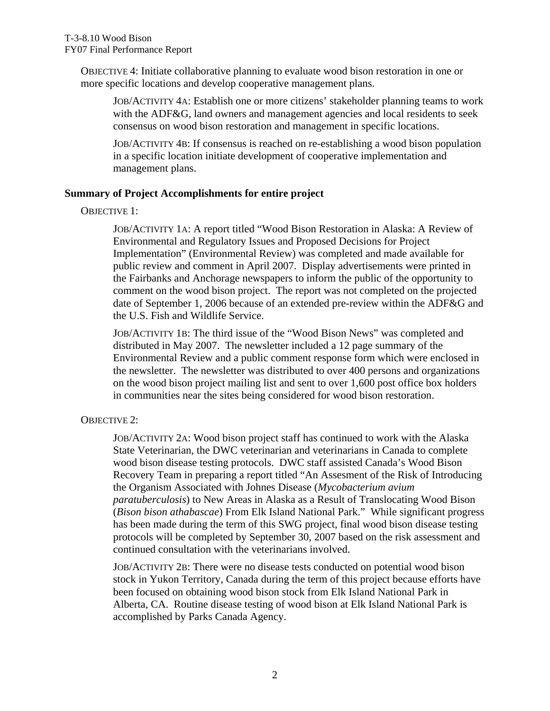OBJECTIVE 4: Initiate collaborative planning to evaluate wood bison restoration in one or more specific locations and develop cooperative management plans.

JOB/ACTIVITY 4A: Establish one or more citizens' stakeholder planning teams to work with the ADF&G, land owners and management agencies and local residents to seek consensus on wood bison restoration and management in specific locations.

JOB/ACTIVITY 4B: If consensus is reached on re-establishing a wood bison population in a specific location initiate development of cooperative implementation and management plans.

### **Summary of Project Accomplishments for entire project**

OBJECTIVE 1:

JOB/ACTIVITY 1A: A report titled "Wood Bison Restoration in Alaska: A Review of Environmental and Regulatory Issues and Proposed Decisions for Project Implementation" (Environmental Review) was completed and made available for public review and comment in April 2007. Display advertisements were printed in the Fairbanks and Anchorage newspapers to inform the public of the opportunity to comment on the wood bison project. The report was not completed on the projected date of September 1, 2006 because of an extended pre-review within the ADF&G and the U.S. Fish and Wildlife Service.

JOB/ACTIVITY 1B: The third issue of the "Wood Bison News" was completed and distributed in May 2007. The newsletter included a 12 page summary of the Environmental Review and a public comment response form which were enclosed in the newsletter. The newsletter was distributed to over 400 persons and organizations on the wood bison project mailing list and sent to over 1,600 post office box holders in communities near the sites being considered for wood bison restoration.

## OBJECTIVE 2:

JOB/ACTIVITY 2A: Wood bison project staff has continued to work with the Alaska State Veterinarian, the DWC veterinarian and veterinarians in Canada to complete wood bison disease testing protocols. DWC staff assisted Canada's Wood Bison Recovery Team in preparing a report titled "An Assesment of the Risk of Introducing the Organism Associated with Johnes Disease (*Mycobacterium avium paratuberculosis*) to New Areas in Alaska as a Result of Translocating Wood Bison (*Bison bison athabascae*) From Elk Island National Park."While significant progress has been made during the term of this SWG project, final wood bison disease testing protocols will be completed by September 30, 2007 based on the risk assessment and continued consultation with the veterinarians involved.

JOB/ACTIVITY 2B: There were no disease tests conducted on potential wood bison stock in Yukon Territory, Canada during the term of this project because efforts have been focused on obtaining wood bison stock from Elk Island National Park in Alberta, CA. Routine disease testing of wood bison at Elk Island National Park is accomplished by Parks Canada Agency.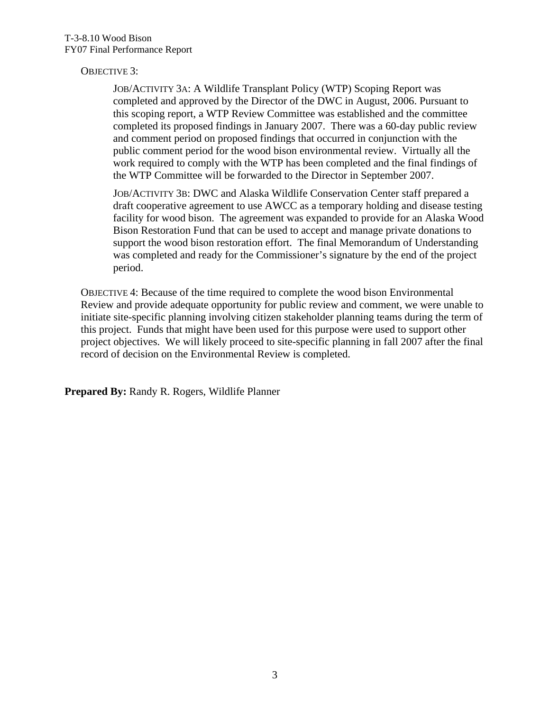## OBJECTIVE 3:

JOB/ACTIVITY 3A: A Wildlife Transplant Policy (WTP) Scoping Report was completed and approved by the Director of the DWC in August, 2006. Pursuant to this scoping report, a WTP Review Committee was established and the committee completed its proposed findings in January 2007. There was a 60-day public review and comment period on proposed findings that occurred in conjunction with the public comment period for the wood bison environmental review. Virtually all the work required to comply with the WTP has been completed and the final findings of the WTP Committee will be forwarded to the Director in September 2007.

JOB/ACTIVITY 3B: DWC and Alaska Wildlife Conservation Center staff prepared a draft cooperative agreement to use AWCC as a temporary holding and disease testing facility for wood bison. The agreement was expanded to provide for an Alaska Wood Bison Restoration Fund that can be used to accept and manage private donations to support the wood bison restoration effort. The final Memorandum of Understanding was completed and ready for the Commissioner's signature by the end of the project period.

OBJECTIVE 4: Because of the time required to complete the wood bison Environmental Review and provide adequate opportunity for public review and comment, we were unable to initiate site-specific planning involving citizen stakeholder planning teams during the term of this project. Funds that might have been used for this purpose were used to support other project objectives. We will likely proceed to site-specific planning in fall 2007 after the final record of decision on the Environmental Review is completed.

**Prepared By:** Randy R. Rogers, Wildlife Planner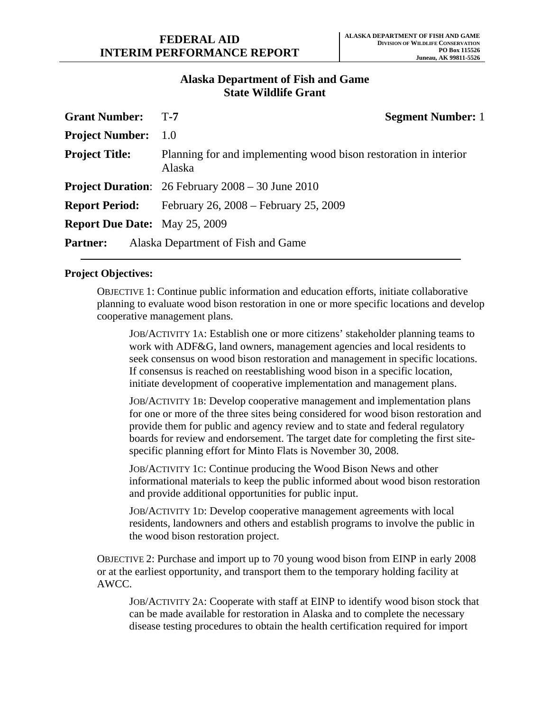## **Alaska Department of Fish and Game State Wildlife Grant**

| <b>Grant Number:</b>                 | <b>Segment Number: 1</b><br>$T-7$                                          |
|--------------------------------------|----------------------------------------------------------------------------|
| <b>Project Number:</b>               | 1.0                                                                        |
| <b>Project Title:</b>                | Planning for and implementing wood bison restoration in interior<br>Alaska |
|                                      | <b>Project Duration:</b> $26$ February $2008 - 30$ June $2010$             |
| <b>Report Period:</b>                | February 26, 2008 – February 25, 2009                                      |
| <b>Report Due Date:</b> May 25, 2009 |                                                                            |
| <b>Partner:</b>                      | Alaska Department of Fish and Game                                         |

## **Project Objectives:**

OBJECTIVE 1: Continue public information and education efforts, initiate collaborative planning to evaluate wood bison restoration in one or more specific locations and develop cooperative management plans.

JOB/ACTIVITY 1A: Establish one or more citizens' stakeholder planning teams to work with ADF&G, land owners, management agencies and local residents to seek consensus on wood bison restoration and management in specific locations. If consensus is reached on reestablishing wood bison in a specific location, initiate development of cooperative implementation and management plans.

JOB/ACTIVITY 1B: Develop cooperative management and implementation plans for one or more of the three sites being considered for wood bison restoration and provide them for public and agency review and to state and federal regulatory boards for review and endorsement. The target date for completing the first sitespecific planning effort for Minto Flats is November 30, 2008.

JOB/ACTIVITY 1C: Continue producing the Wood Bison News and other informational materials to keep the public informed about wood bison restoration and provide additional opportunities for public input.

JOB/ACTIVITY 1D: Develop cooperative management agreements with local residents, landowners and others and establish programs to involve the public in the wood bison restoration project.

OBJECTIVE 2: Purchase and import up to 70 young wood bison from EINP in early 2008 or at the earliest opportunity, and transport them to the temporary holding facility at AWCC.

JOB/ACTIVITY 2A: Cooperate with staff at EINP to identify wood bison stock that can be made available for restoration in Alaska and to complete the necessary disease testing procedures to obtain the health certification required for import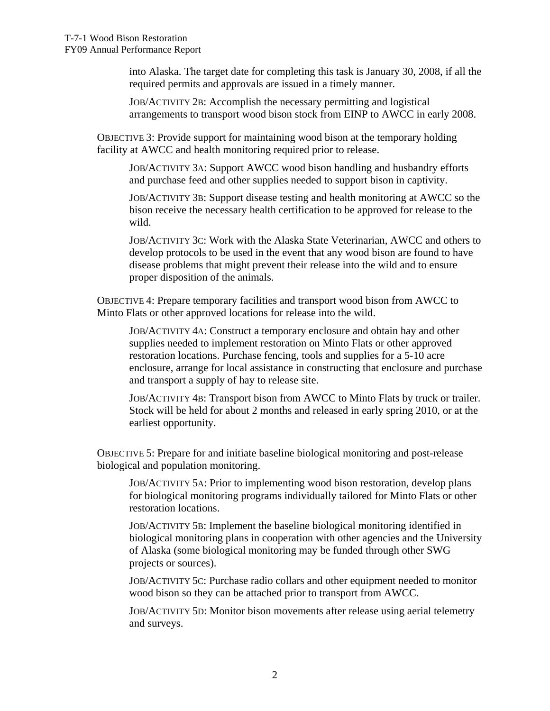into Alaska. The target date for completing this task is January 30, 2008, if all the required permits and approvals are issued in a timely manner.

JOB/ACTIVITY 2B: Accomplish the necessary permitting and logistical arrangements to transport wood bison stock from EINP to AWCC in early 2008.

OBJECTIVE 3: Provide support for maintaining wood bison at the temporary holding facility at AWCC and health monitoring required prior to release.

JOB/ACTIVITY 3A: Support AWCC wood bison handling and husbandry efforts and purchase feed and other supplies needed to support bison in captivity.

JOB/ACTIVITY 3B: Support disease testing and health monitoring at AWCC so the bison receive the necessary health certification to be approved for release to the wild.

JOB/ACTIVITY 3C: Work with the Alaska State Veterinarian, AWCC and others to develop protocols to be used in the event that any wood bison are found to have disease problems that might prevent their release into the wild and to ensure proper disposition of the animals.

OBJECTIVE 4: Prepare temporary facilities and transport wood bison from AWCC to Minto Flats or other approved locations for release into the wild.

JOB/ACTIVITY 4A: Construct a temporary enclosure and obtain hay and other supplies needed to implement restoration on Minto Flats or other approved restoration locations. Purchase fencing, tools and supplies for a 5-10 acre enclosure, arrange for local assistance in constructing that enclosure and purchase and transport a supply of hay to release site.

JOB/ACTIVITY 4B: Transport bison from AWCC to Minto Flats by truck or trailer. Stock will be held for about 2 months and released in early spring 2010, or at the earliest opportunity.

OBJECTIVE 5: Prepare for and initiate baseline biological monitoring and post-release biological and population monitoring.

JOB/ACTIVITY 5A: Prior to implementing wood bison restoration, develop plans for biological monitoring programs individually tailored for Minto Flats or other restoration locations.

JOB/ACTIVITY 5B: Implement the baseline biological monitoring identified in biological monitoring plans in cooperation with other agencies and the University of Alaska (some biological monitoring may be funded through other SWG projects or sources).

JOB/ACTIVITY 5C: Purchase radio collars and other equipment needed to monitor wood bison so they can be attached prior to transport from AWCC.

JOB/ACTIVITY 5D: Monitor bison movements after release using aerial telemetry and surveys.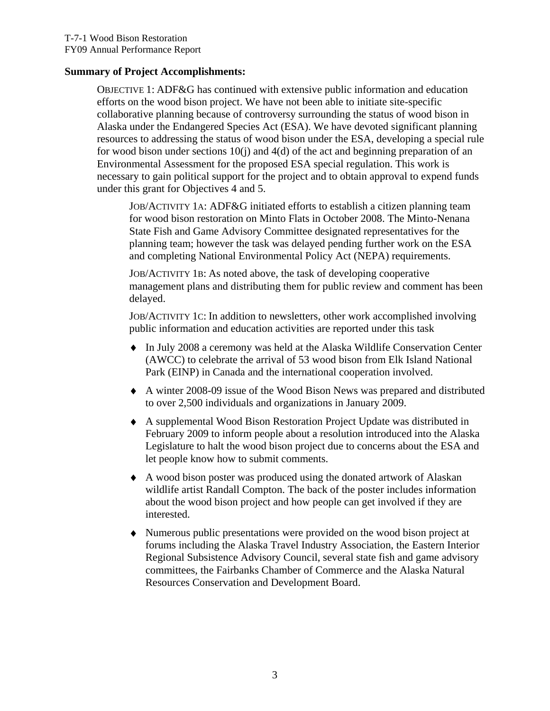#### **Summary of Project Accomplishments:**

OBJECTIVE 1: ADF&G has continued with extensive public information and education efforts on the wood bison project. We have not been able to initiate site-specific collaborative planning because of controversy surrounding the status of wood bison in Alaska under the Endangered Species Act (ESA). We have devoted significant planning resources to addressing the status of wood bison under the ESA, developing a special rule for wood bison under sections 10(j) and 4(d) of the act and beginning preparation of an Environmental Assessment for the proposed ESA special regulation. This work is necessary to gain political support for the project and to obtain approval to expend funds under this grant for Objectives 4 and 5.

JOB/ACTIVITY 1A: ADF&G initiated efforts to establish a citizen planning team for wood bison restoration on Minto Flats in October 2008. The Minto-Nenana State Fish and Game Advisory Committee designated representatives for the planning team; however the task was delayed pending further work on the ESA and completing National Environmental Policy Act (NEPA) requirements.

JOB/ACTIVITY 1B: As noted above, the task of developing cooperative management plans and distributing them for public review and comment has been delayed.

JOB/ACTIVITY 1C: In addition to newsletters, other work accomplished involving public information and education activities are reported under this task

- ♦ In July 2008 a ceremony was held at the Alaska Wildlife Conservation Center (AWCC) to celebrate the arrival of 53 wood bison from Elk Island National Park (EINP) in Canada and the international cooperation involved.
- ♦ A winter 2008-09 issue of the Wood Bison News was prepared and distributed to over 2,500 individuals and organizations in January 2009.
- ♦ A supplemental Wood Bison Restoration Project Update was distributed in February 2009 to inform people about a resolution introduced into the Alaska Legislature to halt the wood bison project due to concerns about the ESA and let people know how to submit comments.
- ♦ A wood bison poster was produced using the donated artwork of Alaskan wildlife artist Randall Compton. The back of the poster includes information about the wood bison project and how people can get involved if they are interested.
- ♦ Numerous public presentations were provided on the wood bison project at forums including the Alaska Travel Industry Association, the Eastern Interior Regional Subsistence Advisory Council, several state fish and game advisory committees, the Fairbanks Chamber of Commerce and the Alaska Natural Resources Conservation and Development Board.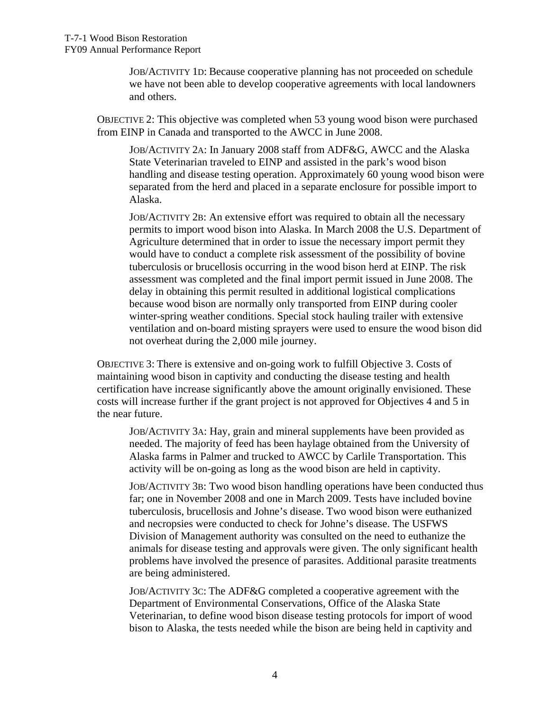JOB/ACTIVITY 1D: Because cooperative planning has not proceeded on schedule we have not been able to develop cooperative agreements with local landowners and others.

OBJECTIVE 2: This objective was completed when 53 young wood bison were purchased from EINP in Canada and transported to the AWCC in June 2008.

JOB/ACTIVITY 2A: In January 2008 staff from ADF&G, AWCC and the Alaska State Veterinarian traveled to EINP and assisted in the park's wood bison handling and disease testing operation. Approximately 60 young wood bison were separated from the herd and placed in a separate enclosure for possible import to Alaska.

JOB/ACTIVITY 2B: An extensive effort was required to obtain all the necessary permits to import wood bison into Alaska. In March 2008 the U.S. Department of Agriculture determined that in order to issue the necessary import permit they would have to conduct a complete risk assessment of the possibility of bovine tuberculosis or brucellosis occurring in the wood bison herd at EINP. The risk assessment was completed and the final import permit issued in June 2008. The delay in obtaining this permit resulted in additional logistical complications because wood bison are normally only transported from EINP during cooler winter-spring weather conditions. Special stock hauling trailer with extensive ventilation and on-board misting sprayers were used to ensure the wood bison did not overheat during the 2,000 mile journey.

OBJECTIVE 3: There is extensive and on-going work to fulfill Objective 3. Costs of maintaining wood bison in captivity and conducting the disease testing and health certification have increase significantly above the amount originally envisioned. These costs will increase further if the grant project is not approved for Objectives 4 and 5 in the near future.

JOB/ACTIVITY 3A: Hay, grain and mineral supplements have been provided as needed. The majority of feed has been haylage obtained from the University of Alaska farms in Palmer and trucked to AWCC by Carlile Transportation. This activity will be on-going as long as the wood bison are held in captivity.

JOB/ACTIVITY 3B: Two wood bison handling operations have been conducted thus far; one in November 2008 and one in March 2009. Tests have included bovine tuberculosis, brucellosis and Johne's disease. Two wood bison were euthanized and necropsies were conducted to check for Johne's disease. The USFWS Division of Management authority was consulted on the need to euthanize the animals for disease testing and approvals were given. The only significant health problems have involved the presence of parasites. Additional parasite treatments are being administered.

JOB/ACTIVITY 3C: The ADF&G completed a cooperative agreement with the Department of Environmental Conservations, Office of the Alaska State Veterinarian, to define wood bison disease testing protocols for import of wood bison to Alaska, the tests needed while the bison are being held in captivity and